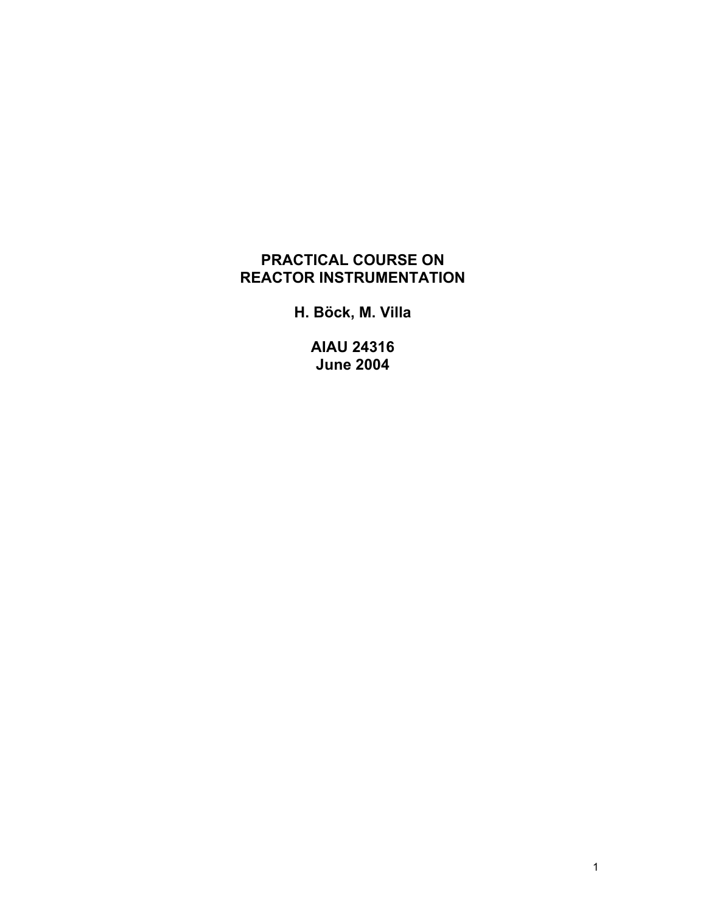# **PRACTICAL COURSE ON REACTOR INSTRUMENTATION**

**H. Böck, M. Villa** 

**AIAU 24316 June 2004**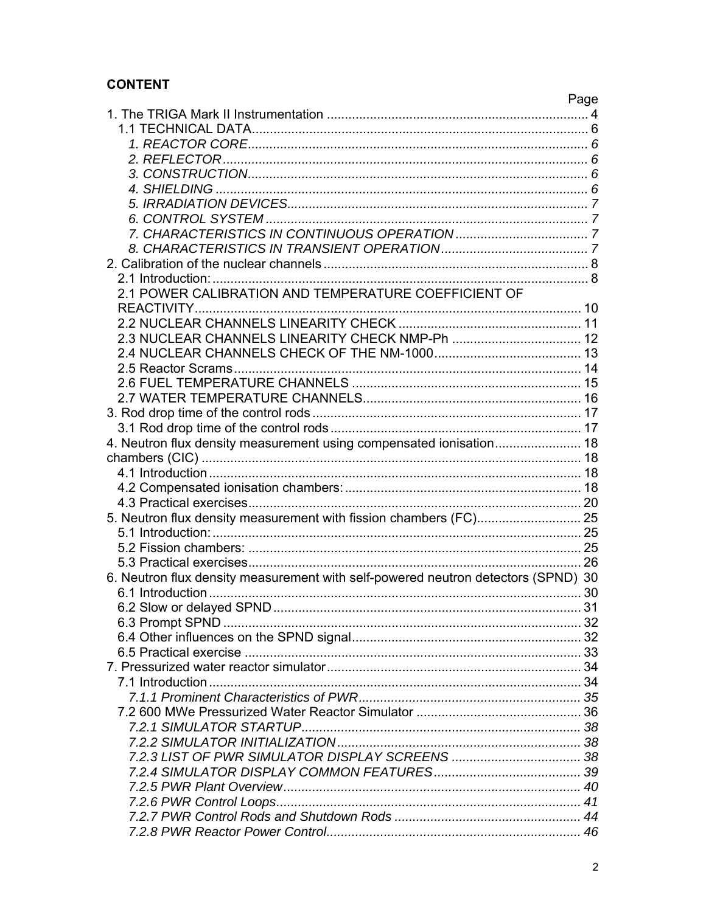# **CONTENT**

|                                                                                   | Page |
|-----------------------------------------------------------------------------------|------|
|                                                                                   |      |
|                                                                                   |      |
|                                                                                   |      |
|                                                                                   |      |
|                                                                                   |      |
|                                                                                   |      |
|                                                                                   |      |
|                                                                                   |      |
|                                                                                   |      |
|                                                                                   |      |
|                                                                                   |      |
|                                                                                   |      |
|                                                                                   |      |
| 2.1 POWER CALIBRATION AND TEMPERATURE COEFFICIENT OF                              |      |
|                                                                                   |      |
|                                                                                   |      |
|                                                                                   |      |
|                                                                                   |      |
|                                                                                   |      |
|                                                                                   |      |
|                                                                                   |      |
|                                                                                   |      |
|                                                                                   |      |
| 4. Neutron flux density measurement using compensated ionisation 18               |      |
|                                                                                   |      |
|                                                                                   |      |
|                                                                                   |      |
|                                                                                   |      |
|                                                                                   |      |
|                                                                                   |      |
|                                                                                   |      |
|                                                                                   |      |
| 6. Neutron flux density measurement with self-powered neutron detectors (SPND) 30 |      |
|                                                                                   |      |
|                                                                                   |      |
|                                                                                   |      |
|                                                                                   |      |
|                                                                                   |      |
|                                                                                   |      |
|                                                                                   |      |
|                                                                                   |      |
|                                                                                   |      |
|                                                                                   |      |
|                                                                                   |      |
|                                                                                   |      |
|                                                                                   |      |
|                                                                                   |      |
|                                                                                   |      |
|                                                                                   |      |
|                                                                                   |      |
|                                                                                   |      |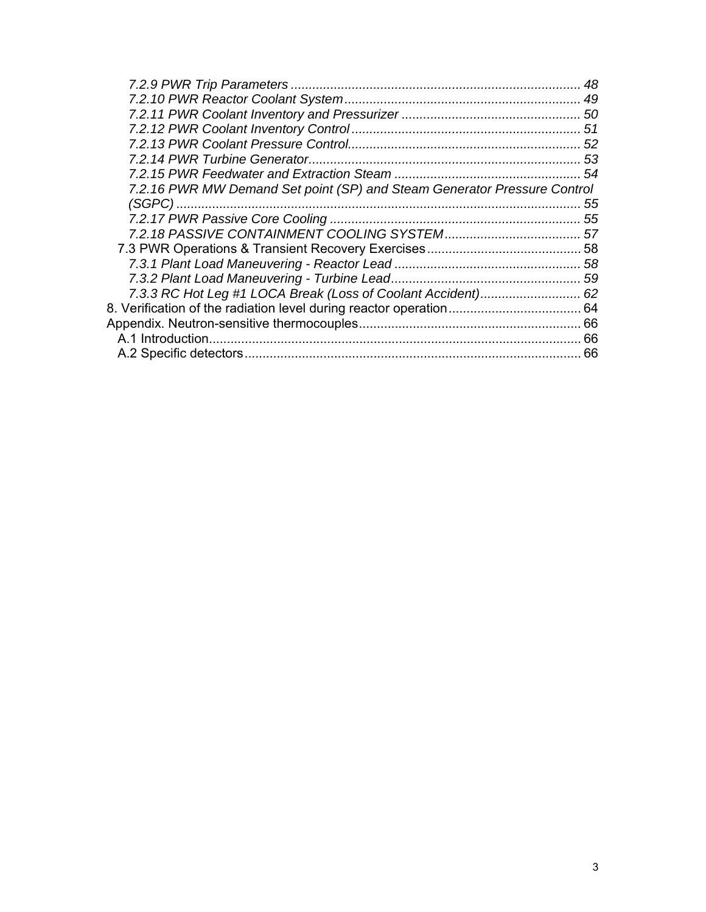|                                                                          | 48 |
|--------------------------------------------------------------------------|----|
|                                                                          |    |
|                                                                          |    |
|                                                                          |    |
|                                                                          |    |
|                                                                          |    |
|                                                                          |    |
| 7.2.16 PWR MW Demand Set point (SP) and Steam Generator Pressure Control |    |
|                                                                          |    |
|                                                                          |    |
|                                                                          |    |
|                                                                          |    |
|                                                                          |    |
|                                                                          |    |
|                                                                          |    |
|                                                                          |    |
|                                                                          |    |
|                                                                          | 66 |
|                                                                          |    |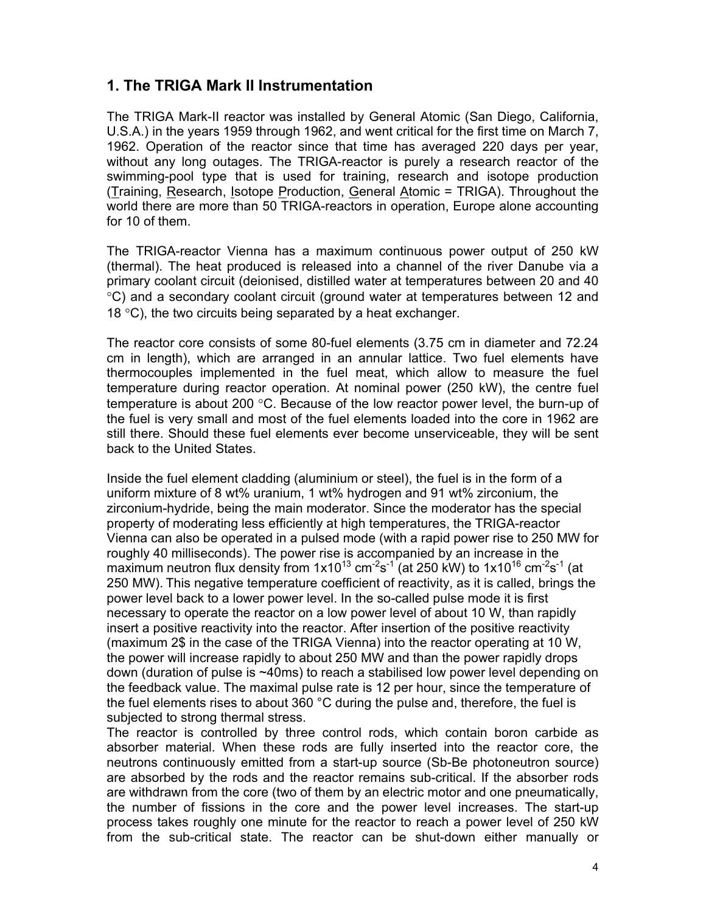# **1. The TRIGA Mark II Instrumentation**

The TRIGA Mark-II reactor was installed by General Atomic (San Diego, California, U.S.A.) in the years 1959 through 1962, and went critical for the first time on March 7, 1962. Operation of the reactor since that time has averaged 220 days per year, without any long outages. The TRIGA-reactor is purely a research reactor of the swimming-pool type that is used for training, research and isotope production (Training, Research, Isotope Production, General Atomic = TRIGA). Throughout the world there are more than 50 TRIGA-reactors in operation, Europe alone accounting for 10 of them.

The TRIGA-reactor Vienna has a maximum continuous power output of 250 kW (thermal). The heat produced is released into a channel of the river Danube via a primary coolant circuit (deionised, distilled water at temperatures between 20 and 40 °C) and a secondary coolant circuit (ground water at temperatures between 12 and 18  $\degree$ C), the two circuits being separated by a heat exchanger.

The reactor core consists of some 80-fuel elements (3.75 cm in diameter and 72.24 cm in length), which are arranged in an annular lattice. Two fuel elements have thermocouples implemented in the fuel meat, which allow to measure the fuel temperature during reactor operation. At nominal power (250 kW), the centre fuel temperature is about 200 °C. Because of the low reactor power level, the burn-up of the fuel is very small and most of the fuel elements loaded into the core in 1962 are still there. Should these fuel elements ever become unserviceable, they will be sent back to the United States.

Inside the fuel element cladding (aluminium or steel), the fuel is in the form of a uniform mixture of 8 wt% uranium, 1 wt% hydrogen and 91 wt% zirconium, the zirconium-hydride, being the main moderator. Since the moderator has the special property of moderating less efficiently at high temperatures, the TRIGA-reactor Vienna can also be operated in a pulsed mode (with a rapid power rise to 250 MW for roughly 40 milliseconds). The power rise is accompanied by an increase in the maximum neutron flux density from  $1x10^{13}$  cm<sup>-2</sup>s<sup>-1</sup> (at 250 kW) to  $1x10^{16}$  cm<sup>-2</sup>s<sup>-1</sup> (at 250 MW). This negative temperature coefficient of reactivity, as it is called, brings the power level back to a lower power level. In the so-called pulse mode it is first necessary to operate the reactor on a low power level of about 10 W, than rapidly insert a positive reactivity into the reactor. After insertion of the positive reactivity (maximum 2\$ in the case of the TRIGA Vienna) into the reactor operating at 10 W, the power will increase rapidly to about 250 MW and than the power rapidly drops down (duration of pulse is ~40ms) to reach a stabilised low power level depending on the feedback value. The maximal pulse rate is 12 per hour, since the temperature of the fuel elements rises to about 360 °C during the pulse and, therefore, the fuel is subjected to strong thermal stress.

The reactor is controlled by three control rods, which contain boron carbide as absorber material. When these rods are fully inserted into the reactor core, the neutrons continuously emitted from a start-up source (Sb-Be photoneutron source) are absorbed by the rods and the reactor remains sub-critical. If the absorber rods are withdrawn from the core (two of them by an electric motor and one pneumatically, the number of fissions in the core and the power level increases. The start-up process takes roughly one minute for the reactor to reach a power level of 250 kW from the sub-critical state. The reactor can be shut-down either manually or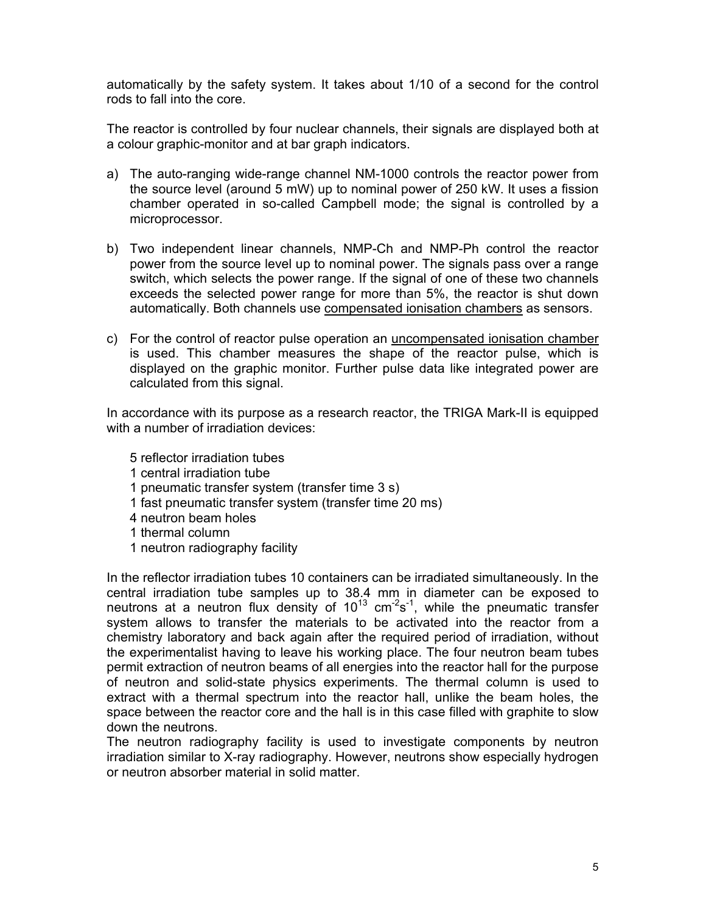automatically by the safety system. It takes about 1/10 of a second for the control rods to fall into the core.

The reactor is controlled by four nuclear channels, their signals are displayed both at a colour graphic-monitor and at bar graph indicators.

- a) The auto-ranging wide-range channel NM-1000 controls the reactor power from the source level (around 5 mW) up to nominal power of 250 kW. It uses a fission chamber operated in so-called Campbell mode; the signal is controlled by a microprocessor.
- b) Two independent linear channels, NMP-Ch and NMP-Ph control the reactor power from the source level up to nominal power. The signals pass over a range switch, which selects the power range. If the signal of one of these two channels exceeds the selected power range for more than 5%, the reactor is shut down automatically. Both channels use compensated ionisation chambers as sensors.
- c) For the control of reactor pulse operation an uncompensated ionisation chamber is used. This chamber measures the shape of the reactor pulse, which is displayed on the graphic monitor. Further pulse data like integrated power are calculated from this signal.

In accordance with its purpose as a research reactor, the TRIGA Mark-II is equipped with a number of irradiation devices:

- 5 reflector irradiation tubes
- 1 central irradiation tube
- 1 pneumatic transfer system (transfer time 3 s)
- 1 fast pneumatic transfer system (transfer time 20 ms)
- 4 neutron beam holes
- 1 thermal column
- 1 neutron radiography facility

In the reflector irradiation tubes 10 containers can be irradiated simultaneously. In the central irradiation tube samples up to 38.4 mm in diameter can be exposed to neutrons at a neutron flux density of  $10^{13}$  cm<sup>-2</sup>s<sup>-1</sup>, while the pneumatic transfer system allows to transfer the materials to be activated into the reactor from a chemistry laboratory and back again after the required period of irradiation, without the experimentalist having to leave his working place. The four neutron beam tubes permit extraction of neutron beams of all energies into the reactor hall for the purpose of neutron and solid-state physics experiments. The thermal column is used to extract with a thermal spectrum into the reactor hall, unlike the beam holes, the space between the reactor core and the hall is in this case filled with graphite to slow down the neutrons.

The neutron radiography facility is used to investigate components by neutron irradiation similar to X-ray radiography. However, neutrons show especially hydrogen or neutron absorber material in solid matter.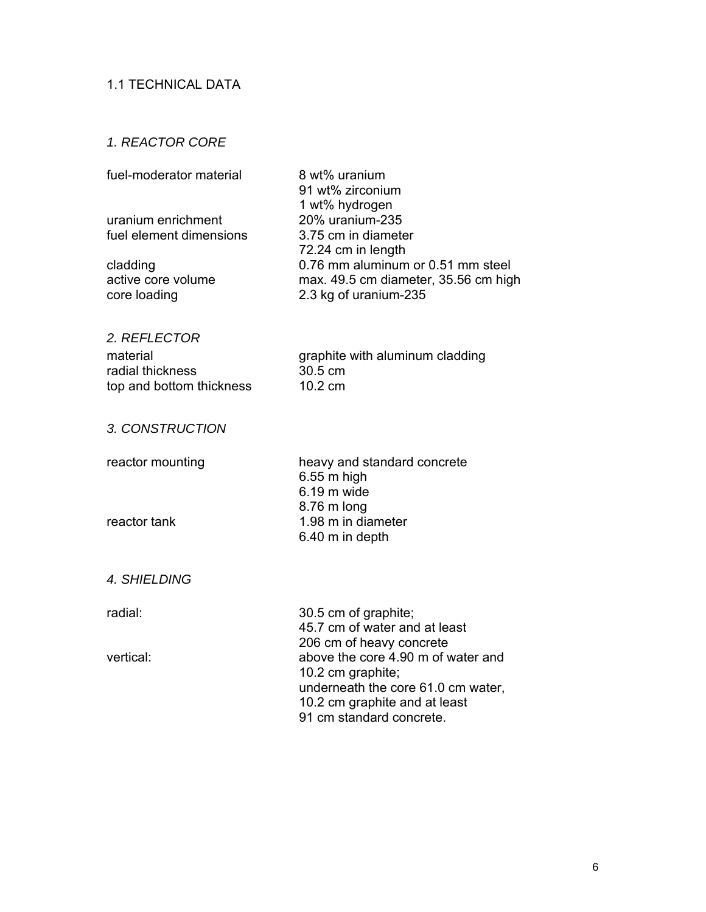## 1.1 TECHNICAL DATA

### *1. REACTOR CORE*

| fuel-moderator material | 8 wt% uranium                        |
|-------------------------|--------------------------------------|
|                         | 91 wt% zirconium                     |
|                         | 1 wt% hydrogen                       |
| uranium enrichment      | 20% uranium-235                      |
| fuel element dimensions | 3.75 cm in diameter                  |
|                         | 72.24 cm in length                   |
| cladding                | 0.76 mm aluminum or 0.51 mm steel    |
| active core volume      | max. 49.5 cm diameter, 35.56 cm high |
| core loading            | 2.3 kg of uranium-235                |
|                         |                                      |

### *2. REFLECTOR*

radial thickness top and bottom thickness 10.2 cm

material graphite with aluminum cladding<br>radial thickness 30.5 cm

#### *3. CONSTRUCTION*

reactor mounting heavy and standard concrete 6.55 m high 6.19 m wide 8.76 m long reactor tank 1.98 m in diameter 6.40 m in depth

#### *4. SHIELDING*

radial: 30.5 cm of graphite; 45.7 cm of water and at least 206 cm of heavy concrete vertical: above the core 4.90 m of water and 10.2 cm graphite; underneath the core 61.0 cm water, 10.2 cm graphite and at least 91 cm standard concrete.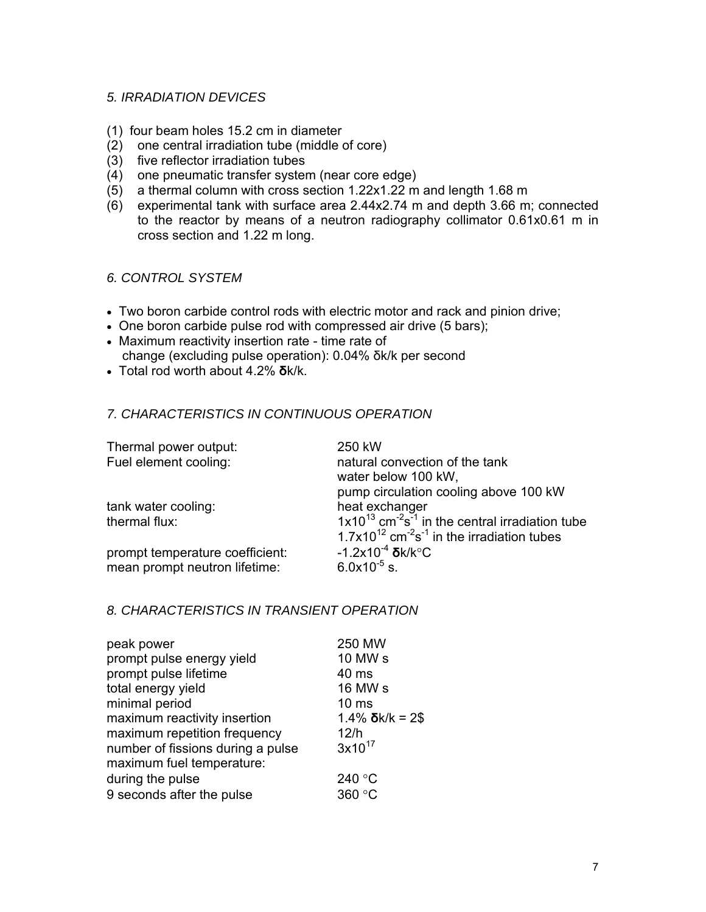### *5. IRRADIATION DEVICES*

- (1) four beam holes 15.2 cm in diameter
- (2) one central irradiation tube (middle of core)
- (3) five reflector irradiation tubes
- (4) one pneumatic transfer system (near core edge)
- (5) a thermal column with cross section 1.22x1.22 m and length 1.68 m
- (6) experimental tank with surface area 2.44x2.74 m and depth 3.66 m; connected to the reactor by means of a neutron radiography collimator 0.61x0.61 m in cross section and 1.22 m long.

#### *6. CONTROL SYSTEM*

- Two boron carbide control rods with electric motor and rack and pinion drive;
- One boron carbide pulse rod with compressed air drive (5 bars);
- Maximum reactivity insertion rate time rate of change (excluding pulse operation): 0.04% δk/k per second
- Total rod worth about 4.2% **δ**k/k.

### *7. CHARACTERISTICS IN CONTINUOUS OPERATION*

| Thermal power output:<br>Fuel element cooling: | 250 kW<br>natural convection of the tank<br>water below 100 kW,              |
|------------------------------------------------|------------------------------------------------------------------------------|
|                                                | pump circulation cooling above 100 kW                                        |
| tank water cooling:                            | heat exchanger                                                               |
| thermal flux:                                  | $1x10^{13}$ cm <sup>-2</sup> s <sup>-1</sup> in the central irradiation tube |
|                                                | $1.7x10^{12}$ cm <sup>-2</sup> s <sup>-1</sup> in the irradiation tubes      |
| prompt temperature coefficient:                | $-1.2x10^{-4}$ $\delta$ k/k $^{\circ}$ C                                     |
| mean prompt neutron lifetime:                  | $6.0x10^{-5}$ s.                                                             |

### *8. CHARACTERISTICS IN TRANSIENT OPERATION*

| peak power<br>prompt pulse energy yield | 250 MW<br>10 MW s          |
|-----------------------------------------|----------------------------|
| prompt pulse lifetime                   | 40 ms                      |
| total energy yield                      | 16 MW s                    |
| minimal period                          | 10 <sub>ms</sub>           |
| maximum reactivity insertion            | $1.4\%$ $\delta$ k/k = 2\$ |
| maximum repetition frequency            | 12/h                       |
| number of fissions during a pulse       | $3x10^{17}$                |
| maximum fuel temperature:               |                            |
| during the pulse                        | 240 °C                     |
| 9 seconds after the pulse               | 360 °C                     |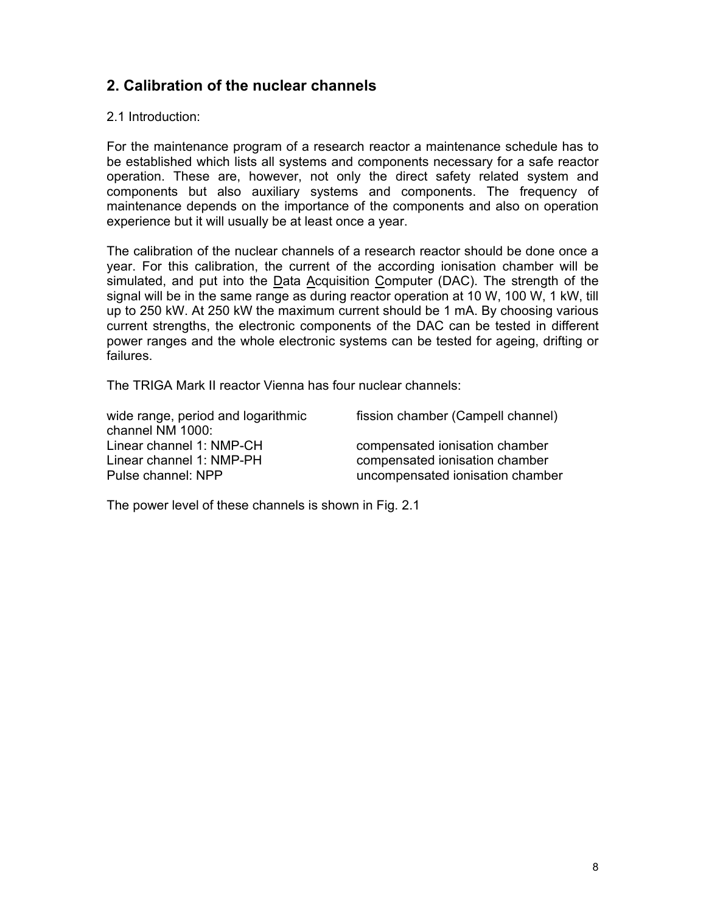# **2. Calibration of the nuclear channels**

2.1 Introduction:

For the maintenance program of a research reactor a maintenance schedule has to be established which lists all systems and components necessary for a safe reactor operation. These are, however, not only the direct safety related system and components but also auxiliary systems and components. The frequency of maintenance depends on the importance of the components and also on operation experience but it will usually be at least once a year.

The calibration of the nuclear channels of a research reactor should be done once a year. For this calibration, the current of the according ionisation chamber will be simulated, and put into the Data Acquisition Computer (DAC). The strength of the signal will be in the same range as during reactor operation at 10 W, 100 W, 1 kW, till up to 250 kW. At 250 kW the maximum current should be 1 mA. By choosing various current strengths, the electronic components of the DAC can be tested in different power ranges and the whole electronic systems can be tested for ageing, drifting or failures.

The TRIGA Mark II reactor Vienna has four nuclear channels:

wide range, period and logarithmic channel NM 1000: Linear channel 1: NMP-CH compensated ionisation chamber Linear channel 1: NMP-PH compensated ionisation chamber

fission chamber (Campell channel)

Pulse channel: NPP uncompensated ionisation chamber

The power level of these channels is shown in Fig. 2.1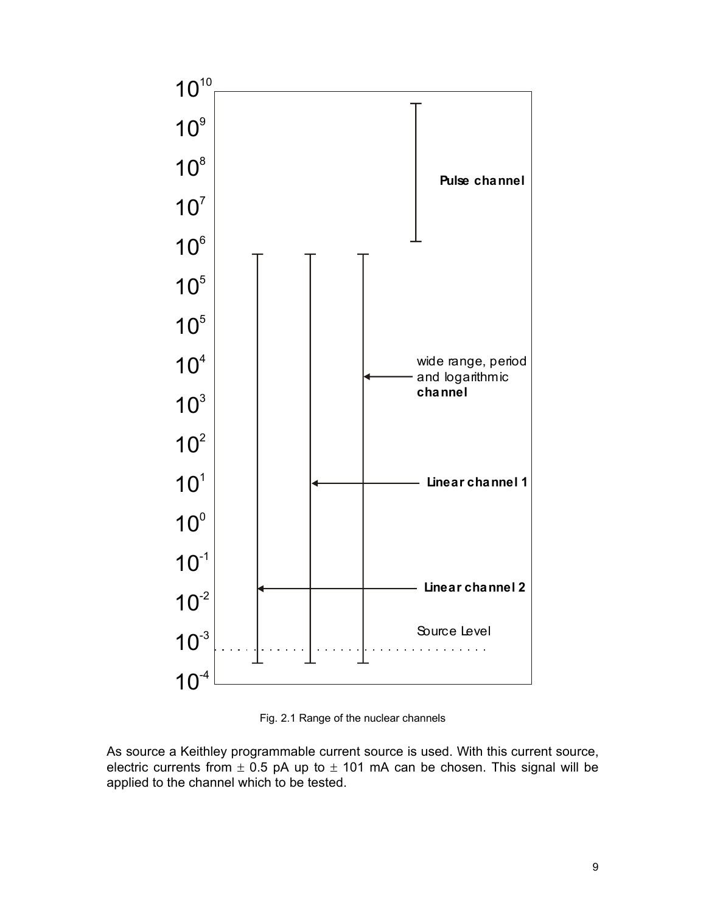

Fig. 2.1 Range of the nuclear channels

As source a Keithley programmable current source is used. With this current source, electric currents from  $\pm$  0.5 pA up to  $\pm$  101 mA can be chosen. This signal will be applied to the channel which to be tested.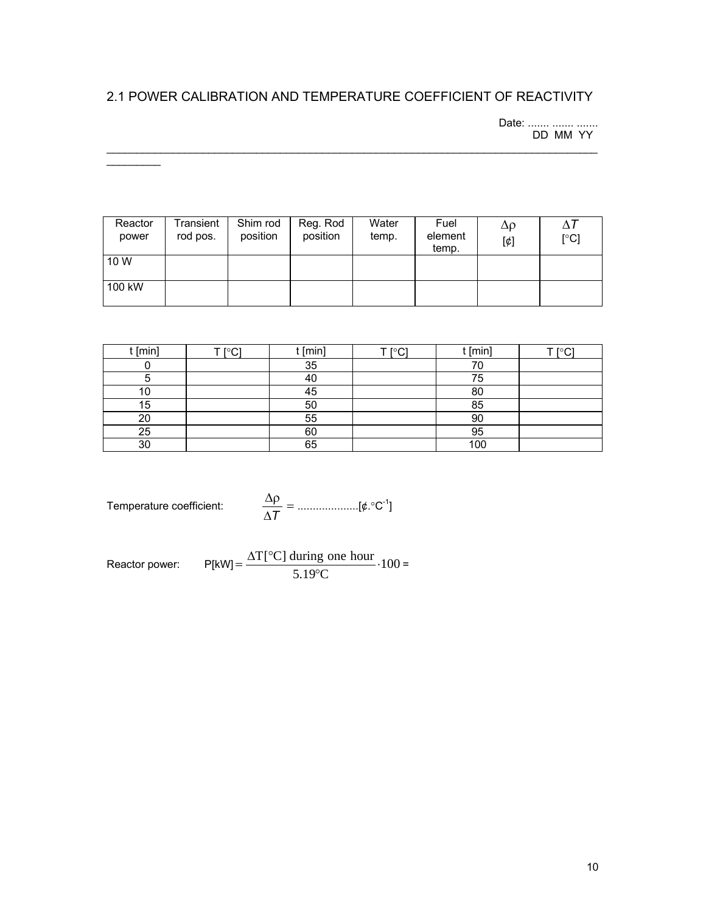# 2.1 POWER CALIBRATION AND TEMPERATURE COEFFICIENT OF REACTIVITY

 $\mathcal{L}_\mathcal{L} = \{ \mathcal{L}_\mathcal{L} = \{ \mathcal{L}_\mathcal{L} = \{ \mathcal{L}_\mathcal{L} = \{ \mathcal{L}_\mathcal{L} = \{ \mathcal{L}_\mathcal{L} = \{ \mathcal{L}_\mathcal{L} = \{ \mathcal{L}_\mathcal{L} = \{ \mathcal{L}_\mathcal{L} = \{ \mathcal{L}_\mathcal{L} = \{ \mathcal{L}_\mathcal{L} = \{ \mathcal{L}_\mathcal{L} = \{ \mathcal{L}_\mathcal{L} = \{ \mathcal{L}_\mathcal{L} = \{ \mathcal{L}_\mathcal{$ 

Date: ....... ....... ....... DD MM YY

| Reactor<br>power | Transient<br>rod pos. | Shim rod<br>position | Reg. Rod<br>position | Water<br>temp. | Fuel<br>element<br>temp. | Δρ<br>$[\phi]$ | $\Lambda$<br>[°C] |
|------------------|-----------------------|----------------------|----------------------|----------------|--------------------------|----------------|-------------------|
| 10 W             |                       |                      |                      |                |                          |                |                   |
| 100 kW           |                       |                      |                      |                |                          |                |                   |

| ՝ [min] | וי∩∘ד ד | t [min] | וי∩∘ז ⊤ | t [min] | וי∩∘ז ⊤ |
|---------|---------|---------|---------|---------|---------|
|         |         | 35      |         | 70      |         |
|         |         | 40      |         | 75      |         |
| 10      |         | 45      |         | 80      |         |
| 15      |         | 50      |         | 85      |         |
| 20      |         | 55      |         | 90      |         |
| 25      |         | 60      |         | 95      |         |
| 30      |         | 65      |         | 100     |         |

Temperature coefficient: 
$$
\frac{\Delta \rho}{\Delta T} = \dots \dots \dots \dots \dots \dots [\phi \cdot {}^{\circ}C^{-1}]
$$

 $\frac{1}{2}$ 

Reactor power:  $P[KW] = \frac{\Delta T_{L} C_{J} \tan{mg} \cot{h} \cot{h} \cdot 100}{5.1888} \cdot 100$  $=\frac{\Delta T[^{\circ}C]}{5.19^{\circ}C} \cdot 100 =$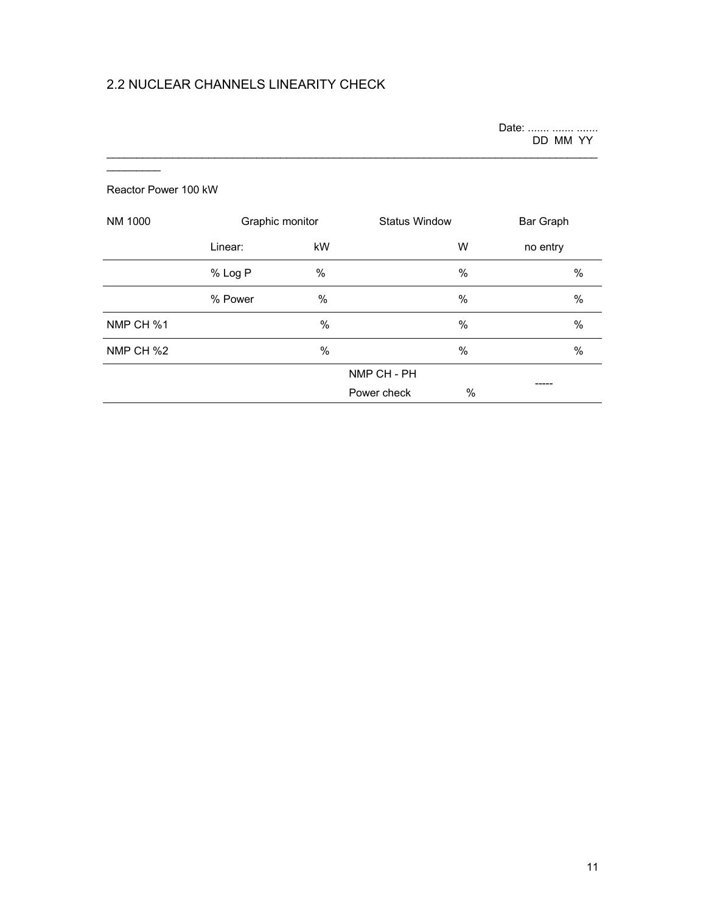# 2.2 NUCLEAR CHANNELS LINEARITY CHECK

Date: ....... ....... ....... DD MM YY

#### Reactor Power 100 kW

 $\overline{\phantom{a}}$ 

| NM 1000   | Graphic monitor |             |             | <b>Status Window</b> |               |
|-----------|-----------------|-------------|-------------|----------------------|---------------|
|           | Linear:         | kW          |             | W                    | no entry      |
|           | % Log P         | %           |             | $\%$                 | $\frac{0}{0}$ |
|           | % Power         | %           |             | %                    | $\frac{0}{0}$ |
| NMP CH %1 |                 | $\%$        |             | %                    | $\frac{0}{0}$ |
| NMP CH %2 |                 | $\%$        |             | %                    | $\%$          |
|           |                 | NMP CH - PH |             |                      |               |
|           |                 |             | Power check | $\%$                 |               |

 $\mathcal{L}_\mathcal{L} = \{ \mathcal{L}_\mathcal{L} = \{ \mathcal{L}_\mathcal{L} = \{ \mathcal{L}_\mathcal{L} = \{ \mathcal{L}_\mathcal{L} = \{ \mathcal{L}_\mathcal{L} = \{ \mathcal{L}_\mathcal{L} = \{ \mathcal{L}_\mathcal{L} = \{ \mathcal{L}_\mathcal{L} = \{ \mathcal{L}_\mathcal{L} = \{ \mathcal{L}_\mathcal{L} = \{ \mathcal{L}_\mathcal{L} = \{ \mathcal{L}_\mathcal{L} = \{ \mathcal{L}_\mathcal{L} = \{ \mathcal{L}_\mathcal{$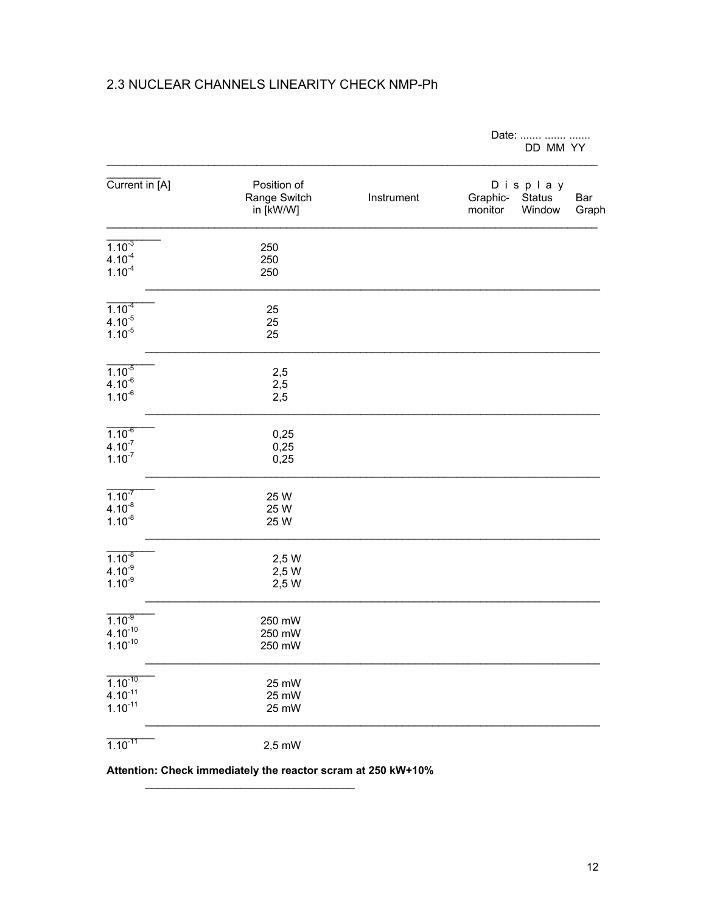## 2.3 NUCLEAR CHANNELS LINEARITY CHECK NMP-Ph

|                                              |                                          |            | Date:<br>DD MM YY                                                  |
|----------------------------------------------|------------------------------------------|------------|--------------------------------------------------------------------|
| Current in [A]                               | Position of<br>Range Switch<br>in [kW/W] | Instrument | Display<br>Graphic-<br>Status<br>Bar<br>monitor<br>Window<br>Graph |
| $1.10^{-3}$<br>$4.10^{4}$<br>$1.10^{-4}$     | 250<br>250<br>250                        |            |                                                                    |
| $1.10^{-4}$<br>$4.10^{-5}$<br>$1.10^{-5}$    | 25<br>25<br>25                           |            |                                                                    |
| $1.10^{-5}$<br>$4.10^{-6}$<br>$1.10^{-6}$    | 2,5<br>2,5<br>2,5                        |            |                                                                    |
| $1.10^{-6}$<br>$4.10^{-7}$<br>$1.10^{-7}$    | 0,25<br>0,25<br>0,25                     |            |                                                                    |
| $1.10^{7}$<br>$4.10^{-8}$<br>$1.10^{-8}$     | 25 W<br>25 W<br>25 W                     |            |                                                                    |
| $1.10^{-8}$<br>$4.10^{9}$<br>$1.10^{9}$      | 2,5 W<br>2,5 W<br>2,5 W                  |            |                                                                    |
| $1.10^{-9}$<br>$4.10^{-10}$<br>$1.10^{-10}$  | 250 mW<br>250 mW<br>250 mW               |            |                                                                    |
| $1.10^{-10}$<br>$4.10^{-11}$<br>$1.10^{-11}$ | 25 mW<br>25 mW<br>25 mW                  |            |                                                                    |
| $1.10^{-11}$                                 | 2,5 mW                                   |            |                                                                    |

Attention: Check immediately the reactor scram at 250 kW+10%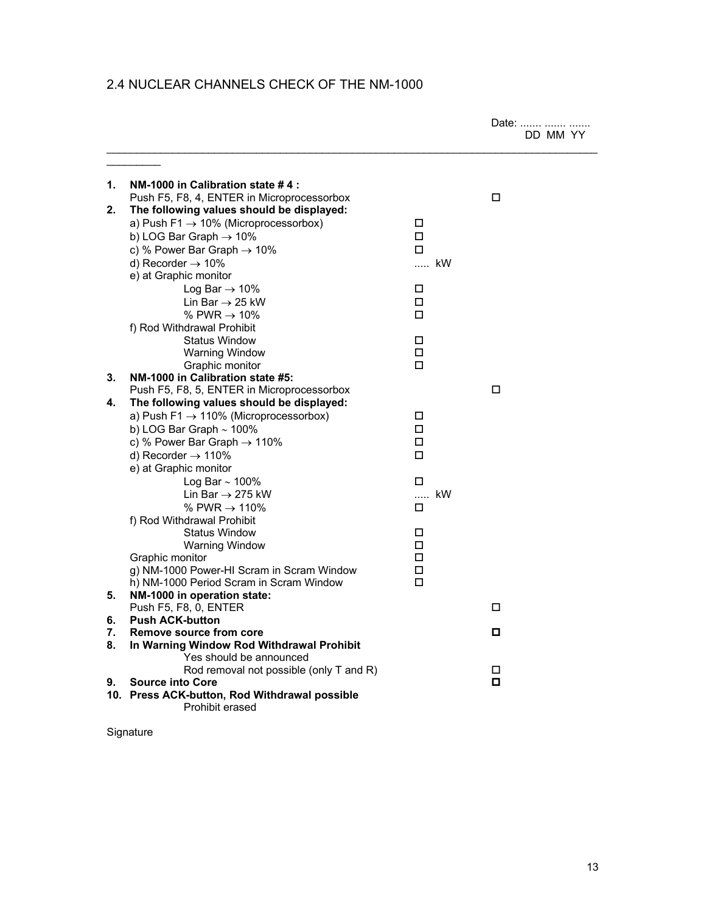## 2.4 NUCLEAR CHANNELS CHECK OF THE NM-1000

|    |                                                                        |             | Date:<br>DD MM YY |
|----|------------------------------------------------------------------------|-------------|-------------------|
| 1. | NM-1000 in Calibration state #4:                                       |             |                   |
|    | Push F5, F8, 4, ENTER in Microprocessorbox                             |             | □                 |
| 2. | The following values should be displayed:                              |             |                   |
|    | a) Push F1 $\rightarrow$ 10% (Microprocessorbox)                       | □           |                   |
|    | b) LOG Bar Graph $\rightarrow$ 10%                                     | $\Box$      |                   |
|    | c) % Power Bar Graph $\rightarrow$ 10%                                 | $\Box$      |                   |
|    | d) Recorder $\rightarrow$ 10%                                          | … kW        |                   |
|    | e) at Graphic monitor                                                  |             |                   |
|    | Log Bar $\rightarrow$ 10%                                              | □           |                   |
|    | Lin Bar $\rightarrow$ 25 kW                                            | $\Box$      |                   |
|    | % PWR $\rightarrow$ 10%                                                | □           |                   |
|    | f) Rod Withdrawal Prohibit                                             |             |                   |
|    | <b>Status Window</b>                                                   | □           |                   |
|    | <b>Warning Window</b>                                                  | □<br>П      |                   |
| 3. | Graphic monitor<br>NM-1000 in Calibration state #5:                    |             |                   |
|    | Push F5, F8, 5, ENTER in Microprocessorbox                             |             | □                 |
| 4. | The following values should be displayed:                              |             |                   |
|    | a) Push F1 $\rightarrow$ 110% (Microprocessorbox)                      | $\Box$      |                   |
|    | b) LOG Bar Graph $\sim$ 100%                                           | $\Box$      |                   |
|    | c) % Power Bar Graph $\rightarrow$ 110%                                | П           |                   |
|    | d) Recorder $\rightarrow$ 110%                                         | □           |                   |
|    | e) at Graphic monitor                                                  |             |                   |
|    | Log Bar $\sim$ 100%                                                    | П           |                   |
|    | Lin Bar $\rightarrow$ 275 kW                                           | kW          |                   |
|    | % PWR $\rightarrow$ 110%                                               | П           |                   |
|    | f) Rod Withdrawal Prohibit                                             |             |                   |
|    | <b>Status Window</b>                                                   | □           |                   |
|    | Warning Window                                                         | □           |                   |
|    | Graphic monitor                                                        | □           |                   |
|    | g) NM-1000 Power-HI Scram in Scram Window                              | $\Box$<br>П |                   |
| 5. | h) NM-1000 Period Scram in Scram Window<br>NM-1000 in operation state: |             |                   |
|    | Push F5, F8, 0, ENTER                                                  |             | □                 |
| 6. | <b>Push ACK-button</b>                                                 |             |                   |
| 7. | Remove source from core                                                |             | о                 |
| 8. | In Warning Window Rod Withdrawal Prohibit                              |             |                   |
|    | Yes should be announced                                                |             |                   |
|    | Rod removal not possible (only T and R)                                |             | □                 |
| 9. | <b>Source into Core</b>                                                |             | о                 |
|    | 10. Press ACK-button, Rod Withdrawal possible<br>Prohibit erased       |             |                   |

Signature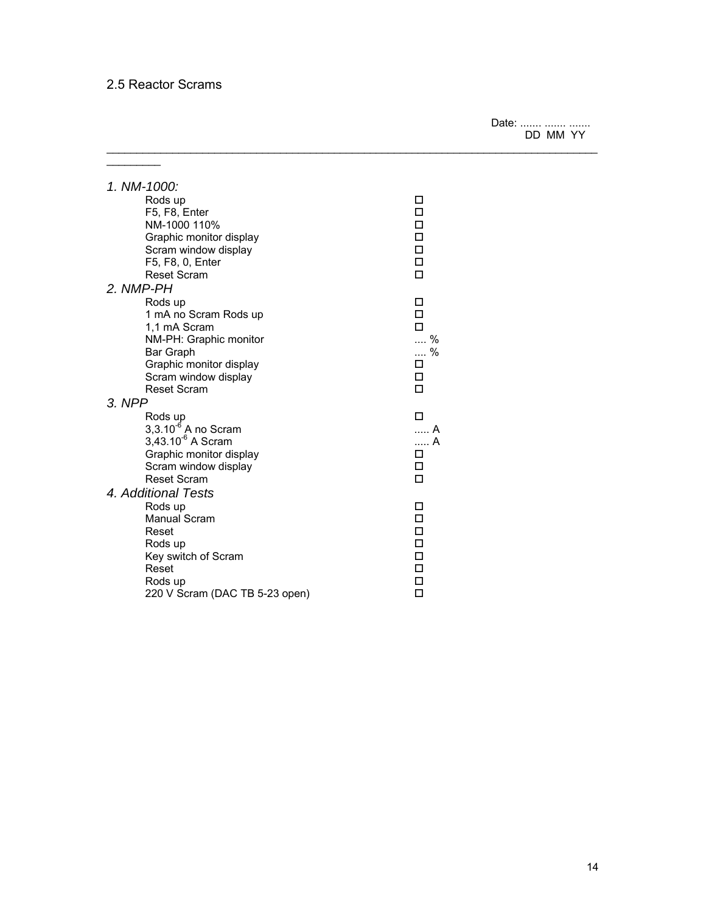## 2.5 Reactor Scrams

 $\overline{\phantom{a}}$ 

Date: ....... ....... ....... DD MM YY

|        | 1. NM-1000:                    |             |
|--------|--------------------------------|-------------|
|        | Rods up                        | □           |
|        | F5, F8, Enter                  | $\Box$      |
|        | NM-1000 110%                   | $\Box$      |
|        | Graphic monitor display        | $\Box$      |
|        | Scram window display           |             |
|        | F5, F8, 0, Enter               | 0<br>0<br>0 |
|        | <b>Reset Scram</b>             |             |
|        | 2. NMP-PH                      |             |
|        | Rods up                        | П           |
|        | 1 mA no Scram Rods up          | $\Box$      |
|        | 1.1 mA Scram                   | П           |
|        | NM-PH: Graphic monitor         | $\ldots$ %  |
|        | Bar Graph                      | $\ldots$ %  |
|        | Graphic monitor display        | $\Box$      |
|        | Scram window display           | □           |
|        | <b>Reset Scram</b>             | п           |
| 3. NPP |                                |             |
|        | Rods up                        | п           |
|        | $3,3.10^{-6}$ A no Scram       | … A         |
|        | $3,43.10^{-6}$ A Scram         | A           |
|        | Graphic monitor display        | □           |
|        | Scram window display           | □           |
|        | <b>Reset Scram</b>             | $\Box$      |
|        | 4. Additional Tests            |             |
|        | Rods up                        | □           |
|        | <b>Manual Scram</b>            | $\Box$      |
|        | Reset                          |             |
|        | Rods up                        | 0000        |
|        | Key switch of Scram            |             |
|        | Reset                          |             |
|        | Rods up                        | $\Box$      |
|        | 220 V Scram (DAC TB 5-23 open) | П           |

 $\mathcal{L}_\mathcal{L} = \{ \mathcal{L}_\mathcal{L} = \{ \mathcal{L}_\mathcal{L} = \{ \mathcal{L}_\mathcal{L} = \{ \mathcal{L}_\mathcal{L} = \{ \mathcal{L}_\mathcal{L} = \{ \mathcal{L}_\mathcal{L} = \{ \mathcal{L}_\mathcal{L} = \{ \mathcal{L}_\mathcal{L} = \{ \mathcal{L}_\mathcal{L} = \{ \mathcal{L}_\mathcal{L} = \{ \mathcal{L}_\mathcal{L} = \{ \mathcal{L}_\mathcal{L} = \{ \mathcal{L}_\mathcal{L} = \{ \mathcal{L}_\mathcal{$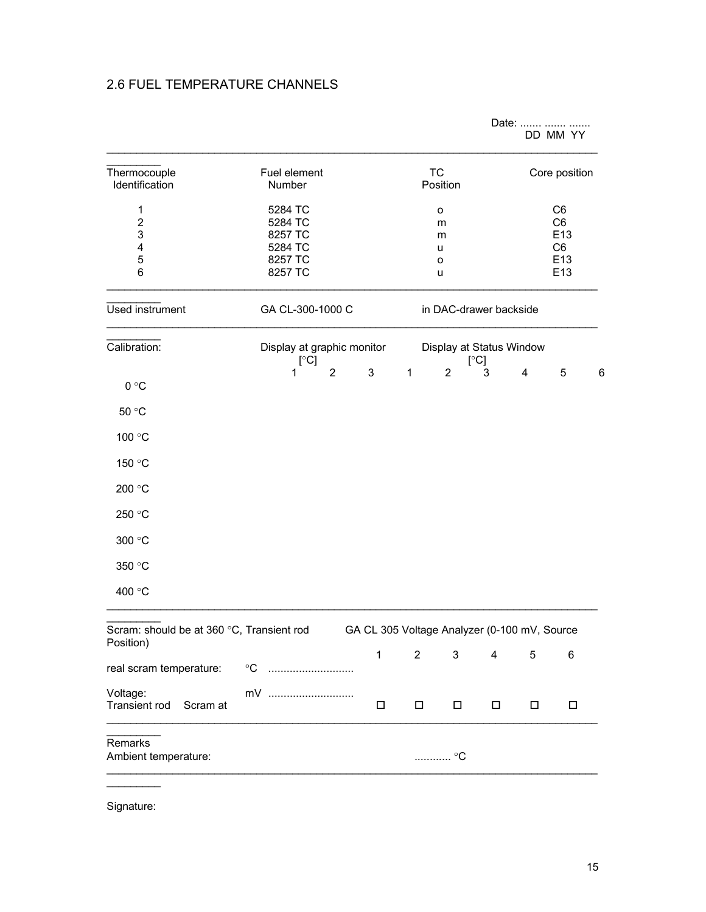## 2.6 FUEL TEMPERATURE CHANNELS

|                                                        |                                                                        |                |              |                                       |                                              |        | Date:                                                                   | DD MM YY      |   |  |
|--------------------------------------------------------|------------------------------------------------------------------------|----------------|--------------|---------------------------------------|----------------------------------------------|--------|-------------------------------------------------------------------------|---------------|---|--|
| Thermocouple<br>Identification                         | Fuel element<br>Number                                                 |                |              |                                       | <b>TC</b><br>Position                        |        |                                                                         | Core position |   |  |
| $\mathbf{1}$<br>$\overline{2}$<br>3<br>4<br>5<br>6     | 5284 TC<br>5284 TC<br>8257 TC<br>5284 TC<br>8257 TC<br>8257 TC         |                |              | о<br>m<br>m<br>u<br>$\mathsf{o}$<br>u |                                              |        | C <sub>6</sub><br>C <sub>6</sub><br>E13<br>C <sub>6</sub><br>E13<br>E13 |               |   |  |
| Used instrument                                        | GA CL-300-1000 C                                                       |                |              |                                       | in DAC-drawer backside                       |        |                                                                         |               |   |  |
| Calibration:                                           | Display at graphic monitor<br>Display at Status Window<br>[°C]<br>[°C] |                |              |                                       |                                              |        |                                                                         |               |   |  |
| 0 °C                                                   | 1                                                                      | $\overline{2}$ | 3            | $\mathbf{1}$                          | $\overline{2}$                               | 3      | 4                                                                       | 5             | 6 |  |
| 50 °C                                                  |                                                                        |                |              |                                       |                                              |        |                                                                         |               |   |  |
| 100 °C                                                 |                                                                        |                |              |                                       |                                              |        |                                                                         |               |   |  |
| 150 °C                                                 |                                                                        |                |              |                                       |                                              |        |                                                                         |               |   |  |
| 200 °C                                                 |                                                                        |                |              |                                       |                                              |        |                                                                         |               |   |  |
| 250 °C                                                 |                                                                        |                |              |                                       |                                              |        |                                                                         |               |   |  |
| 300 °C                                                 |                                                                        |                |              |                                       |                                              |        |                                                                         |               |   |  |
| 350 °C                                                 |                                                                        |                |              |                                       |                                              |        |                                                                         |               |   |  |
| 400 °C                                                 |                                                                        |                |              |                                       |                                              |        |                                                                         |               |   |  |
| Scram: should be at 360 °C, Transient rod<br>Position) |                                                                        |                |              |                                       | GA CL 305 Voltage Analyzer (0-100 mV, Source |        |                                                                         |               |   |  |
| real scram temperature:                                | $\rm ^{\circ}C$                                                        |                | $\mathbf{1}$ | $\overline{2}$                        | 3                                            | 4      | 5                                                                       | 6             |   |  |
| Voltage:<br><b>Transient rod</b><br>Scram at           | mV                                                                     |                | $\Box$       | $\Box$                                | $\Box$                                       | $\Box$ | $\Box$                                                                  | $\Box$        |   |  |
| Remarks<br>Ambient temperature:                        |                                                                        |                |              |                                       | ………… °C                                      |        |                                                                         |               |   |  |
|                                                        |                                                                        |                |              |                                       |                                              |        |                                                                         |               |   |  |

Signature: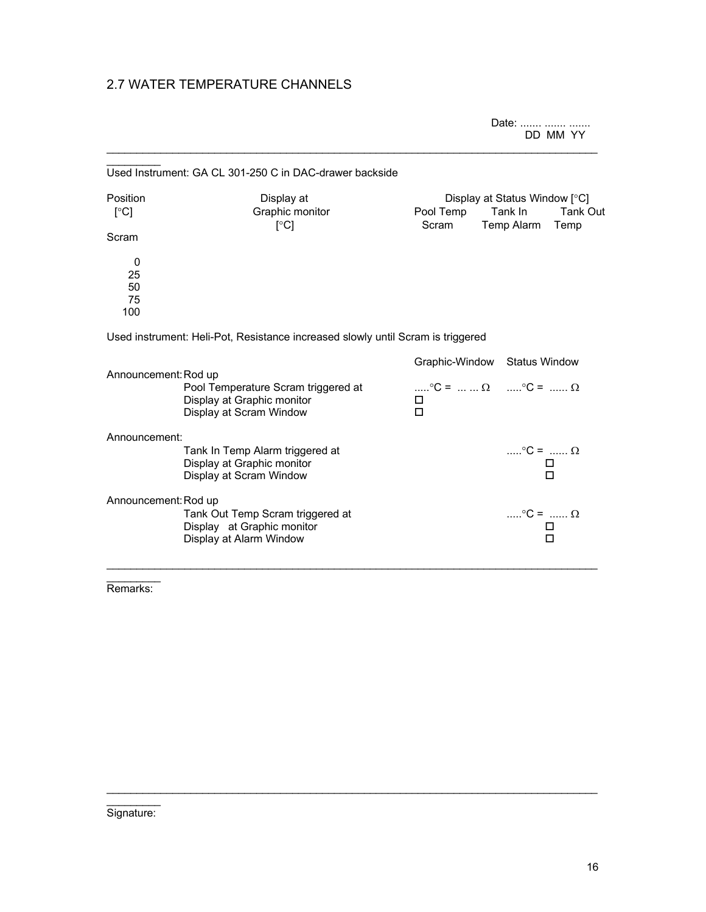## 2.7 WATER TEMPERATURE CHANNELS

Date: ....... ....... ....... DD MM YY

|                            | Used Instrument: GA CL 301-250 C in DAC-drawer backside                                      |                          |                                                                                                  |
|----------------------------|----------------------------------------------------------------------------------------------|--------------------------|--------------------------------------------------------------------------------------------------|
| Position<br>[°C]<br>Scram  | Display at<br>Graphic monitor<br>$\lceil \circ C \rceil$                                     | Pool Temp<br>Scram       | Display at Status Window [°C]<br>Tank In<br>Tank Out<br>Temp Alarm<br>Temp                       |
| 0<br>25<br>50<br>75<br>100 |                                                                                              |                          |                                                                                                  |
|                            | Used instrument: Heli-Pot, Resistance increased slowly until Scram is triggered              |                          |                                                                                                  |
| Announcement: Rod up       | Pool Temperature Scram triggered at<br>Display at Graphic monitor<br>Display at Scram Window | Graphic-Window<br>0<br>П | <b>Status Window</b><br>$\ldots$ °C = $\ldots$ $\ldots$ $\Omega$ $\ldots$ °C = $\ldots$ $\Omega$ |
| Announcement:              |                                                                                              |                          |                                                                                                  |
|                            | Tank In Temp Alarm triggered at<br>Display at Graphic monitor<br>Display at Scram Window     |                          | $\ldots$ °C = $\ldots$ Ω<br>□<br>п                                                               |
| Announcement: Rod up       |                                                                                              |                          |                                                                                                  |
|                            | Tank Out Temp Scram triggered at<br>Display at Graphic monitor<br>Display at Alarm Window    |                          | $\ldots$ °C = $\ldots$ Ω<br>п<br>П                                                               |

 $\mathcal{L}_\mathcal{L} = \{ \mathcal{L}_\mathcal{L} = \{ \mathcal{L}_\mathcal{L} = \{ \mathcal{L}_\mathcal{L} = \{ \mathcal{L}_\mathcal{L} = \{ \mathcal{L}_\mathcal{L} = \{ \mathcal{L}_\mathcal{L} = \{ \mathcal{L}_\mathcal{L} = \{ \mathcal{L}_\mathcal{L} = \{ \mathcal{L}_\mathcal{L} = \{ \mathcal{L}_\mathcal{L} = \{ \mathcal{L}_\mathcal{L} = \{ \mathcal{L}_\mathcal{L} = \{ \mathcal{L}_\mathcal{L} = \{ \mathcal{L}_\mathcal{$ 

 $\mathcal{L}_\mathcal{L} = \{ \mathcal{L}_\mathcal{L} = \{ \mathcal{L}_\mathcal{L} = \{ \mathcal{L}_\mathcal{L} = \{ \mathcal{L}_\mathcal{L} = \{ \mathcal{L}_\mathcal{L} = \{ \mathcal{L}_\mathcal{L} = \{ \mathcal{L}_\mathcal{L} = \{ \mathcal{L}_\mathcal{L} = \{ \mathcal{L}_\mathcal{L} = \{ \mathcal{L}_\mathcal{L} = \{ \mathcal{L}_\mathcal{L} = \{ \mathcal{L}_\mathcal{L} = \{ \mathcal{L}_\mathcal{L} = \{ \mathcal{L}_\mathcal{$ 

 $\frac{1}{2}$ Remarks:

 $\frac{1}{2}$ Signature: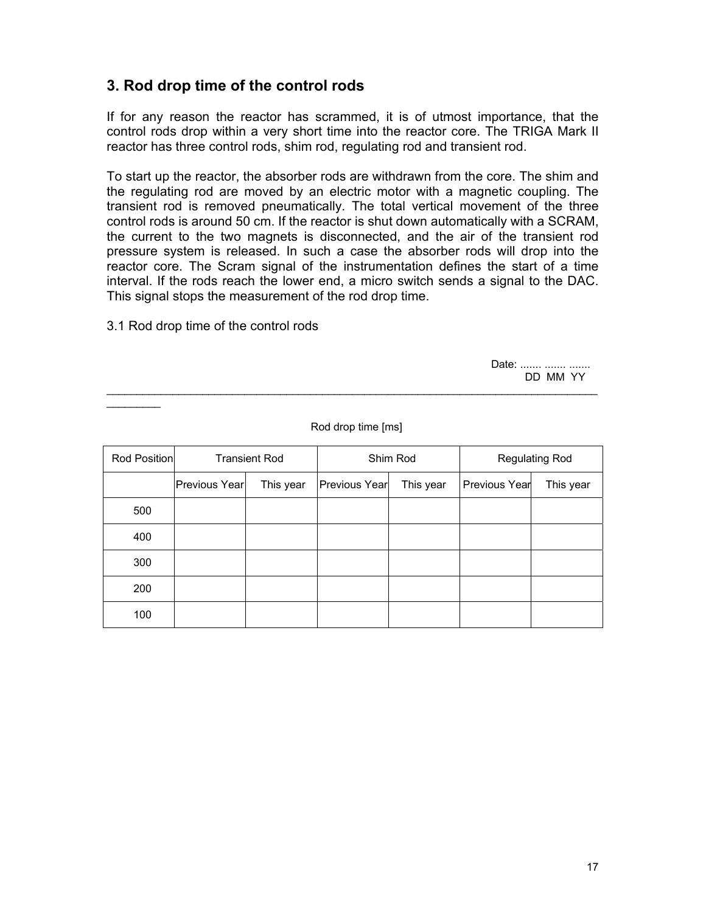# **3. Rod drop time of the control rods**

If for any reason the reactor has scrammed, it is of utmost importance, that the control rods drop within a very short time into the reactor core. The TRIGA Mark II reactor has three control rods, shim rod, regulating rod and transient rod.

To start up the reactor, the absorber rods are withdrawn from the core. The shim and the regulating rod are moved by an electric motor with a magnetic coupling. The transient rod is removed pneumatically. The total vertical movement of the three control rods is around 50 cm. If the reactor is shut down automatically with a SCRAM, the current to the two magnets is disconnected, and the air of the transient rod pressure system is released. In such a case the absorber rods will drop into the reactor core. The Scram signal of the instrumentation defines the start of a time interval. If the rods reach the lower end, a micro switch sends a signal to the DAC. This signal stops the measurement of the rod drop time.

3.1 Rod drop time of the control rods

 $\frac{1}{2}$ 

Date: ....... ....... ....... DD MM YY

| Rod Position | <b>Transient Rod</b> |           | Shim Rod      |           | <b>Regulating Rod</b> |           |
|--------------|----------------------|-----------|---------------|-----------|-----------------------|-----------|
|              | Previous Year        | This year | Previous Year | This year | Previous Year         | This year |
| 500          |                      |           |               |           |                       |           |
| 400          |                      |           |               |           |                       |           |
| 300          |                      |           |               |           |                       |           |
| 200          |                      |           |               |           |                       |           |
| 100          |                      |           |               |           |                       |           |

Rod drop time [ms]

 $\mathcal{L}_\mathcal{L} = \{ \mathcal{L}_\mathcal{L} = \{ \mathcal{L}_\mathcal{L} = \{ \mathcal{L}_\mathcal{L} = \{ \mathcal{L}_\mathcal{L} = \{ \mathcal{L}_\mathcal{L} = \{ \mathcal{L}_\mathcal{L} = \{ \mathcal{L}_\mathcal{L} = \{ \mathcal{L}_\mathcal{L} = \{ \mathcal{L}_\mathcal{L} = \{ \mathcal{L}_\mathcal{L} = \{ \mathcal{L}_\mathcal{L} = \{ \mathcal{L}_\mathcal{L} = \{ \mathcal{L}_\mathcal{L} = \{ \mathcal{L}_\mathcal{$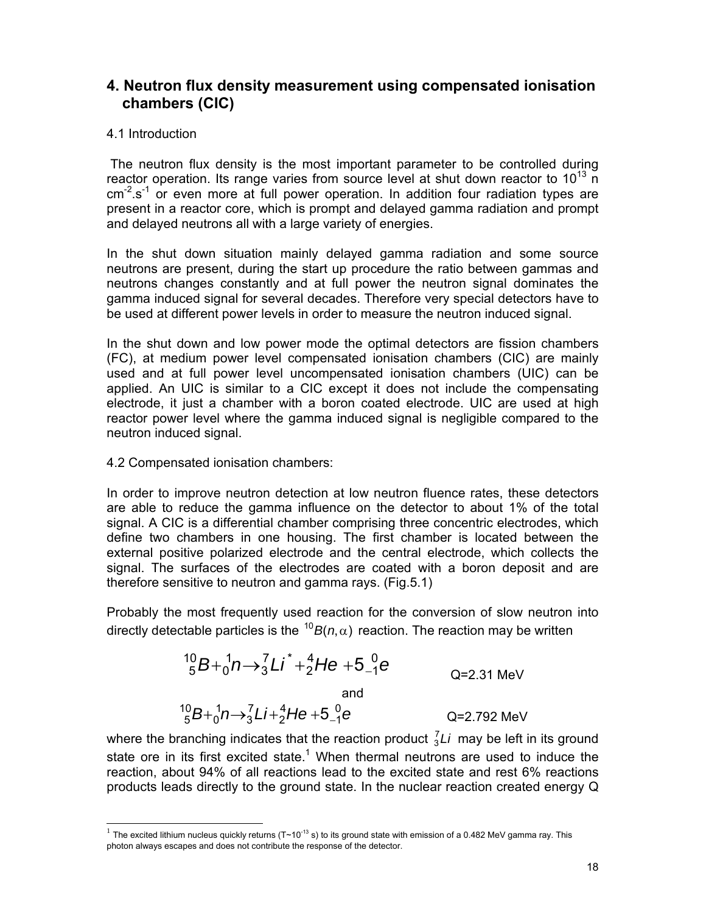# **4. Neutron flux density measurement using compensated ionisation chambers (CIC)**

### 4.1 Introduction

 $\overline{a}$ 

 The neutron flux density is the most important parameter to be controlled during reactor operation. Its range varies from source level at shut down reactor to  $10^{13}$  n  $cm<sup>2</sup>$  s<sup>-1</sup> or even more at full power operation. In addition four radiation types are present in a reactor core, which is prompt and delayed gamma radiation and prompt and delayed neutrons all with a large variety of energies.

In the shut down situation mainly delayed gamma radiation and some source neutrons are present, during the start up procedure the ratio between gammas and neutrons changes constantly and at full power the neutron signal dominates the gamma induced signal for several decades. Therefore very special detectors have to be used at different power levels in order to measure the neutron induced signal.

In the shut down and low power mode the optimal detectors are fission chambers (FC), at medium power level compensated ionisation chambers (CIC) are mainly used and at full power level uncompensated ionisation chambers (UIC) can be applied. An UIC is similar to a CIC except it does not include the compensating electrode, it just a chamber with a boron coated electrode. UIC are used at high reactor power level where the gamma induced signal is negligible compared to the neutron induced signal.

#### 4.2 Compensated ionisation chambers:

In order to improve neutron detection at low neutron fluence rates, these detectors are able to reduce the gamma influence on the detector to about 1% of the total signal. A CIC is a differential chamber comprising three concentric electrodes, which define two chambers in one housing. The first chamber is located between the external positive polarized electrode and the central electrode, which collects the signal. The surfaces of the electrodes are coated with a boron deposit and are therefore sensitive to neutron and gamma rays. (Fig.5.1)

Probably the most frequently used reaction for the conversion of slow neutron into directly detectable particles is the  $^{10}B(n,\alpha)$  reaction. The reaction may be written

$$
{}^{10}_{5}B + {}^{1}_{0}n \rightarrow {}^{7}_{3}Li^* + {}^{4}_{2}He + 5{}^{0}_{-1}e
$$
 Q=2.31 MeV  
and  

$$
{}^{10}_{5}B + {}^{1}_{0}n \rightarrow {}^{7}_{3}Li + {}^{4}_{2}He + 5{}^{0}_{-1}e
$$
 Q=2.792 MeV

where the branching indicates that the reaction product  $\frac{7}{3}Li$  may be left in its ground state ore in its first excited state.<sup>1</sup> When thermal neutrons are used to induce the reaction, about 94% of all reactions lead to the excited state and rest 6% reactions products leads directly to the ground state. In the nuclear reaction created energy Q

The excited lithium nucleus quickly returns ( $T~10^{-13}$  s) to its ground state with emission of a 0.482 MeV gamma ray. This photon always escapes and does not contribute the response of the detector.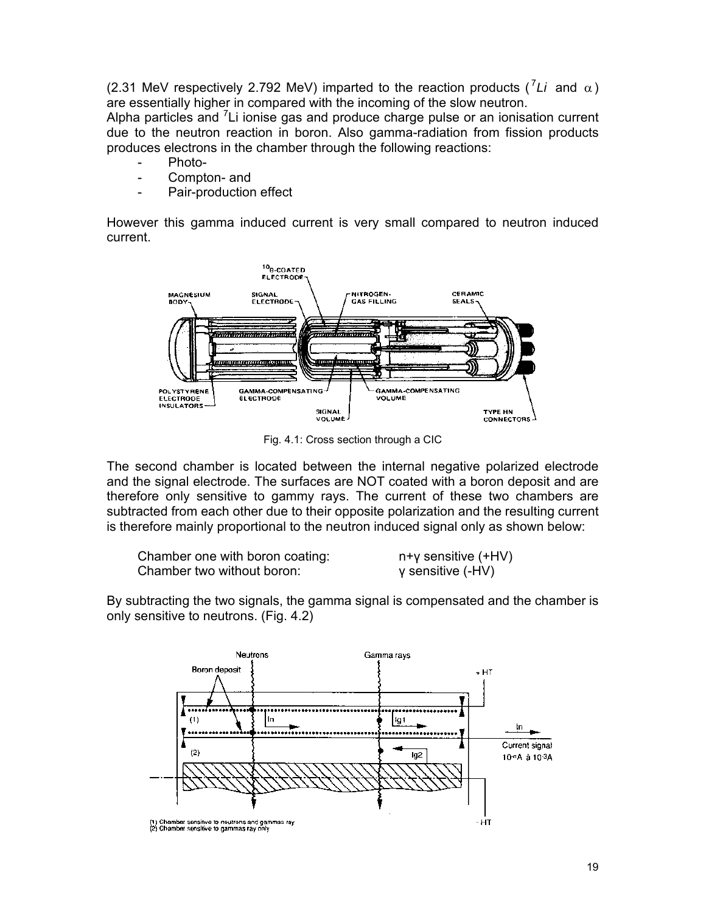(2.31 MeV respectively 2.792 MeV) imparted to the reaction products ( $^7Li$  and  $\alpha$ ) are essentially higher in compared with the incoming of the slow neutron.

Alpha particles and  $7$ Li ionise gas and produce charge pulse or an ionisation current due to the neutron reaction in boron. Also gamma-radiation from fission products produces electrons in the chamber through the following reactions:

- Photo-
- Compton- and
- Pair-production effect

However this gamma induced current is very small compared to neutron induced current.



Fig. 4.1: Cross section through a CIC

The second chamber is located between the internal negative polarized electrode and the signal electrode. The surfaces are NOT coated with a boron deposit and are therefore only sensitive to gammy rays. The current of these two chambers are subtracted from each other due to their opposite polarization and the resulting current is therefore mainly proportional to the neutron induced signal only as shown below:

| Chamber one with boron coating: | $n+y$ sensitive $(+HV)$ |
|---------------------------------|-------------------------|
| Chamber two without boron:      | γ sensitive (-HV)       |

By subtracting the two signals, the gamma signal is compensated and the chamber is only sensitive to neutrons. (Fig. 4.2)

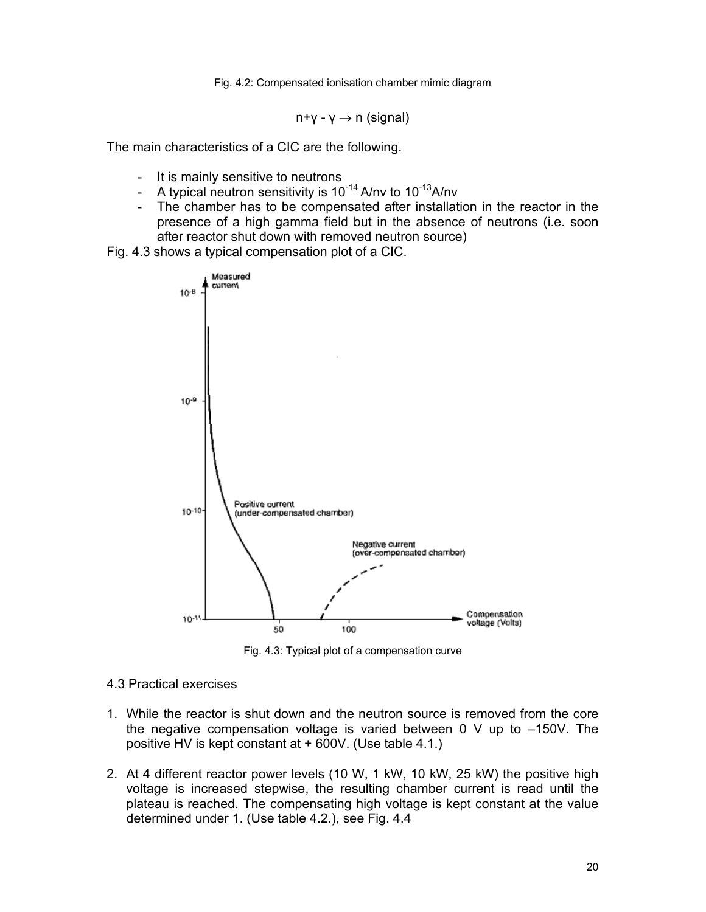Fig. 4.2: Compensated ionisation chamber mimic diagram

 $n+y - y \rightarrow n$  (signal)

The main characteristics of a CIC are the following.

- It is mainly sensitive to neutrons
- A typical neutron sensitivity is  $10^{-14}$  A/nv to  $10^{-13}$ A/nv
- The chamber has to be compensated after installation in the reactor in the presence of a high gamma field but in the absence of neutrons (i.e. soon after reactor shut down with removed neutron source)

Fig. 4.3 shows a typical compensation plot of a CIC.



Fig. 4.3: Typical plot of a compensation curve

- 4.3 Practical exercises
- 1. While the reactor is shut down and the neutron source is removed from the core the negative compensation voltage is varied between 0 V up to –150V. The positive HV is kept constant at + 600V. (Use table 4.1.)
- 2. At 4 different reactor power levels (10 W, 1 kW, 10 kW, 25 kW) the positive high voltage is increased stepwise, the resulting chamber current is read until the plateau is reached. The compensating high voltage is kept constant at the value determined under 1. (Use table 4.2.), see Fig. 4.4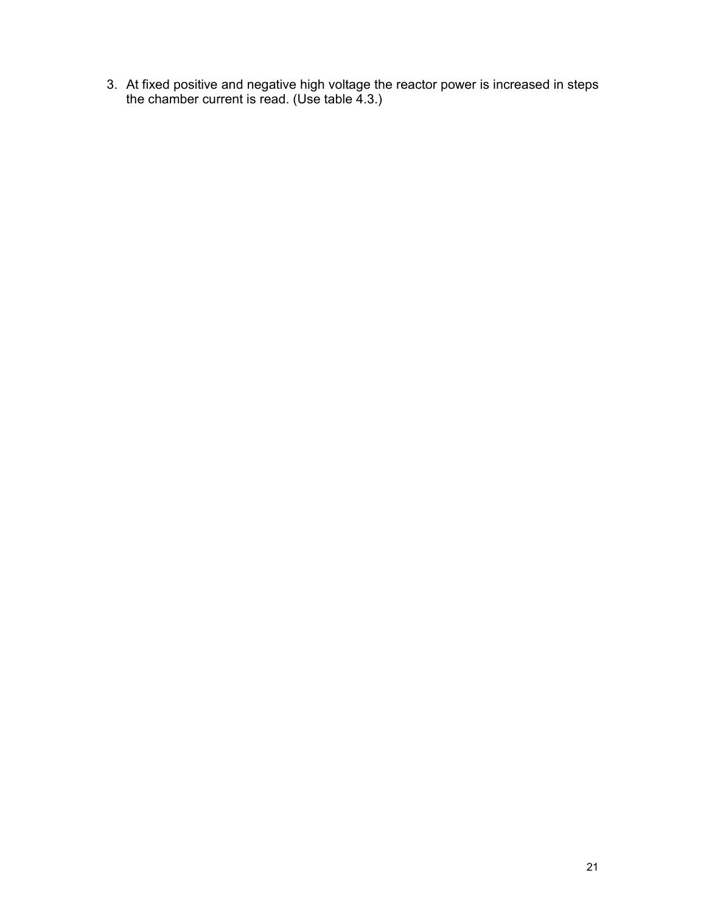3. At fixed positive and negative high voltage the reactor power is increased in steps the chamber current is read. (Use table 4.3.)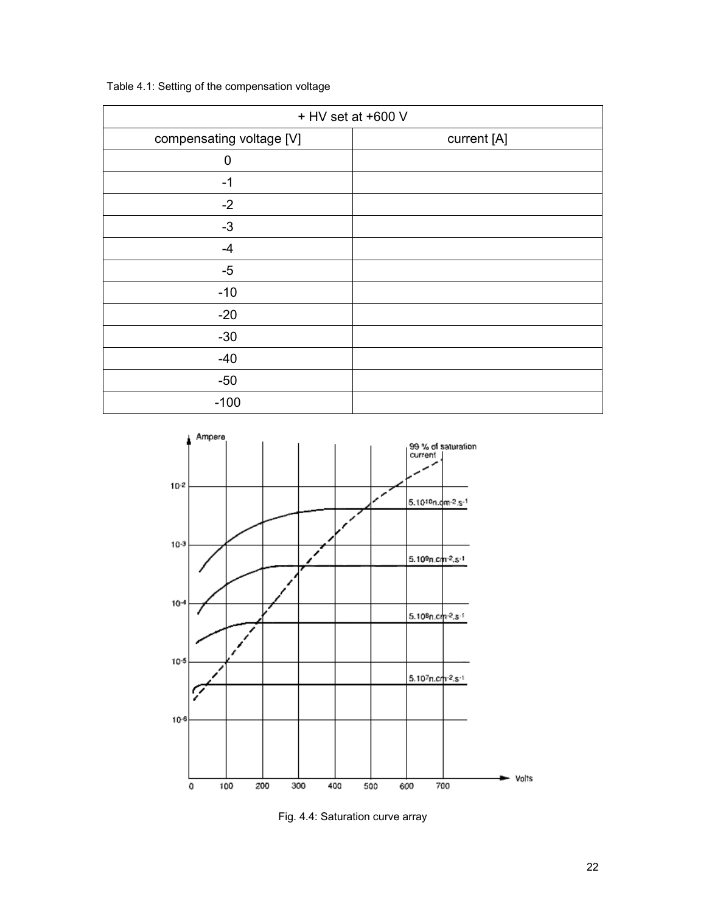| + HV set at +600 V       |             |  |  |  |
|--------------------------|-------------|--|--|--|
| compensating voltage [V] | current [A] |  |  |  |
| $\mathbf 0$              |             |  |  |  |
| $-1$                     |             |  |  |  |
| $-2$                     |             |  |  |  |
| $-3$                     |             |  |  |  |
| $-4$                     |             |  |  |  |
| $-5$                     |             |  |  |  |
| $-10$                    |             |  |  |  |
| $-20$                    |             |  |  |  |
| $-30$                    |             |  |  |  |
| $-40$                    |             |  |  |  |
| $-50$                    |             |  |  |  |
| $-100$                   |             |  |  |  |

Table 4.1: Setting of the compensation voltage



Fig. 4.4: Saturation curve array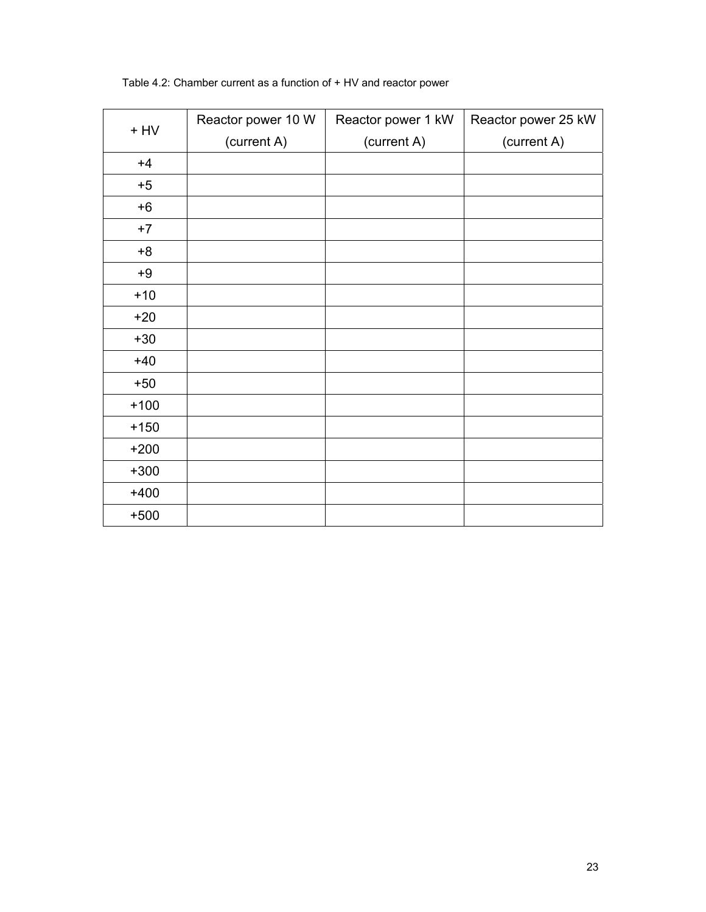| $+$ HV | Reactor power 10 W | Reactor power 1 kW | Reactor power 25 kW |
|--------|--------------------|--------------------|---------------------|
|        | (current A)        | (current A)        | (current A)         |
| $+4$   |                    |                    |                     |
| $+5$   |                    |                    |                     |
| $+6$   |                    |                    |                     |
| $+7$   |                    |                    |                     |
| $+8$   |                    |                    |                     |
| $+9$   |                    |                    |                     |
| $+10$  |                    |                    |                     |
| $+20$  |                    |                    |                     |
| $+30$  |                    |                    |                     |
| $+40$  |                    |                    |                     |
| $+50$  |                    |                    |                     |
| $+100$ |                    |                    |                     |
| $+150$ |                    |                    |                     |
| $+200$ |                    |                    |                     |
| $+300$ |                    |                    |                     |
| $+400$ |                    |                    |                     |
| $+500$ |                    |                    |                     |

#### Table 4.2: Chamber current as a function of + HV and reactor power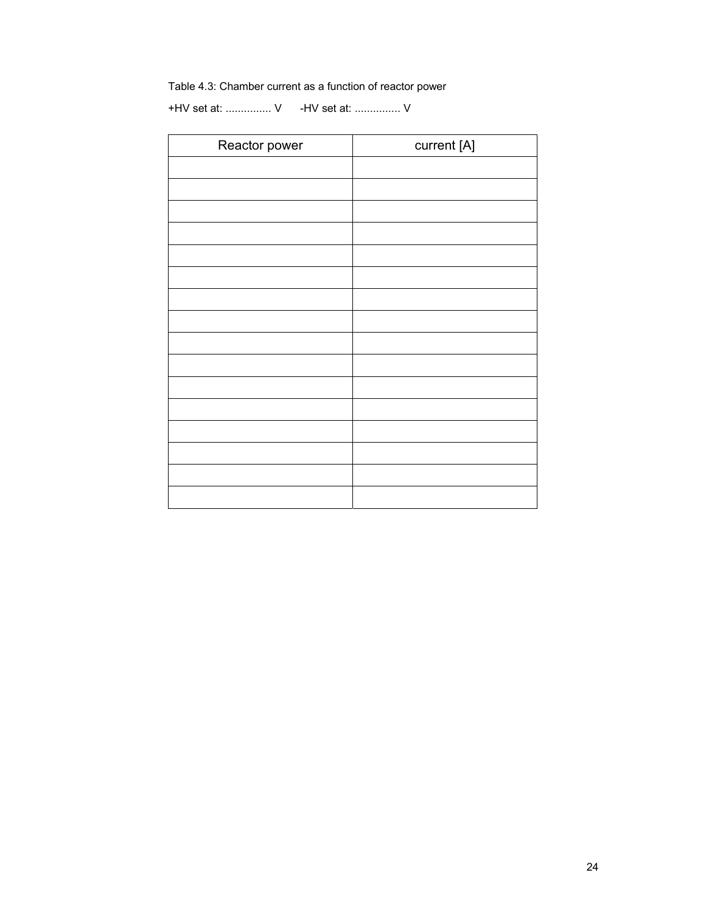### Table 4.3: Chamber current as a function of reactor power

+HV set at: ............... V -HV set at: ............... V

| Reactor power | current [A] |
|---------------|-------------|
|               |             |
|               |             |
|               |             |
|               |             |
|               |             |
|               |             |
|               |             |
|               |             |
|               |             |
|               |             |
|               |             |
|               |             |
|               |             |
|               |             |
|               |             |
|               |             |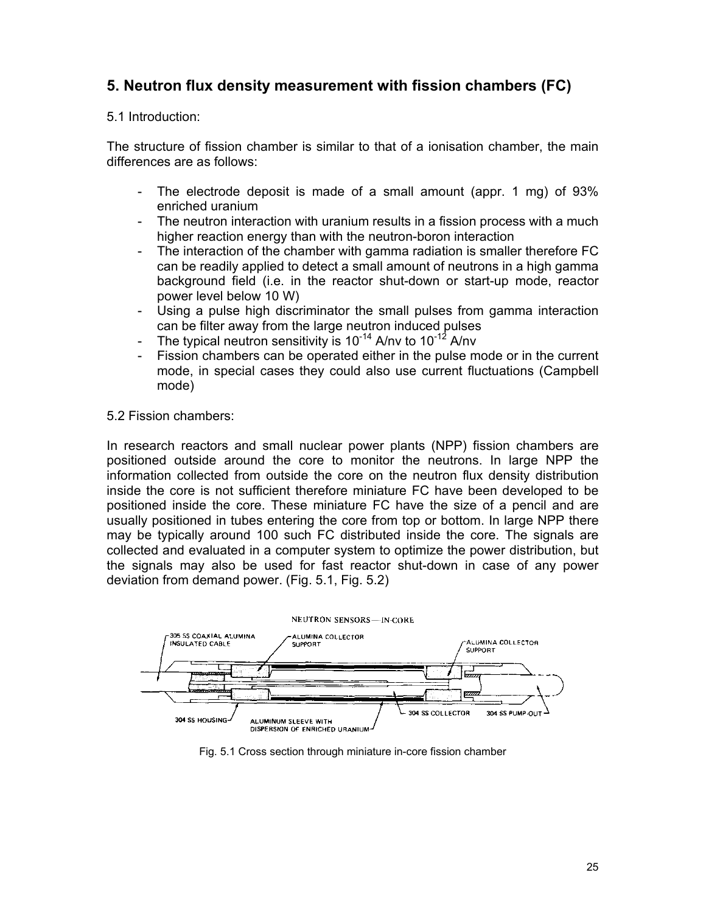# **5. Neutron flux density measurement with fission chambers (FC)**

### 5.1 Introduction:

The structure of fission chamber is similar to that of a ionisation chamber, the main differences are as follows:

- The electrode deposit is made of a small amount (appr. 1 mg) of 93% enriched uranium
- The neutron interaction with uranium results in a fission process with a much higher reaction energy than with the neutron-boron interaction
- The interaction of the chamber with gamma radiation is smaller therefore FC can be readily applied to detect a small amount of neutrons in a high gamma background field (i.e. in the reactor shut-down or start-up mode, reactor power level below 10 W)
- Using a pulse high discriminator the small pulses from gamma interaction can be filter away from the large neutron induced pulses
- The typical neutron sensitivity is  $10^{-14}$  A/nv to  $10^{-12}$  A/nv
- Fission chambers can be operated either in the pulse mode or in the current mode, in special cases they could also use current fluctuations (Campbell mode)

#### 5.2 Fission chambers:

In research reactors and small nuclear power plants (NPP) fission chambers are positioned outside around the core to monitor the neutrons. In large NPP the information collected from outside the core on the neutron flux density distribution inside the core is not sufficient therefore miniature FC have been developed to be positioned inside the core. These miniature FC have the size of a pencil and are usually positioned in tubes entering the core from top or bottom. In large NPP there may be typically around 100 such FC distributed inside the core. The signals are collected and evaluated in a computer system to optimize the power distribution, but the signals may also be used for fast reactor shut-down in case of any power deviation from demand power. (Fig. 5.1, Fig. 5.2)



Fig. 5.1 Cross section through miniature in-core fission chamber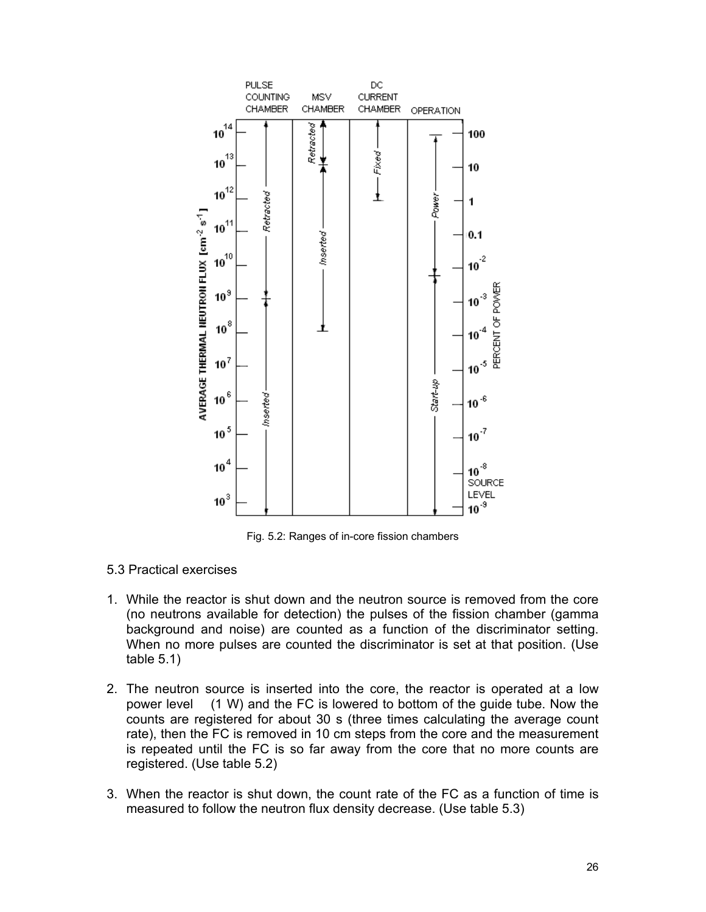

Fig. 5.2: Ranges of in-core fission chambers

- 5.3 Practical exercises
- 1. While the reactor is shut down and the neutron source is removed from the core (no neutrons available for detection) the pulses of the fission chamber (gamma background and noise) are counted as a function of the discriminator setting. When no more pulses are counted the discriminator is set at that position. (Use table 5.1)
- 2. The neutron source is inserted into the core, the reactor is operated at a low power level (1 W) and the FC is lowered to bottom of the guide tube. Now the counts are registered for about 30 s (three times calculating the average count rate), then the FC is removed in 10 cm steps from the core and the measurement is repeated until the FC is so far away from the core that no more counts are registered. (Use table 5.2)
- 3. When the reactor is shut down, the count rate of the FC as a function of time is measured to follow the neutron flux density decrease. (Use table 5.3)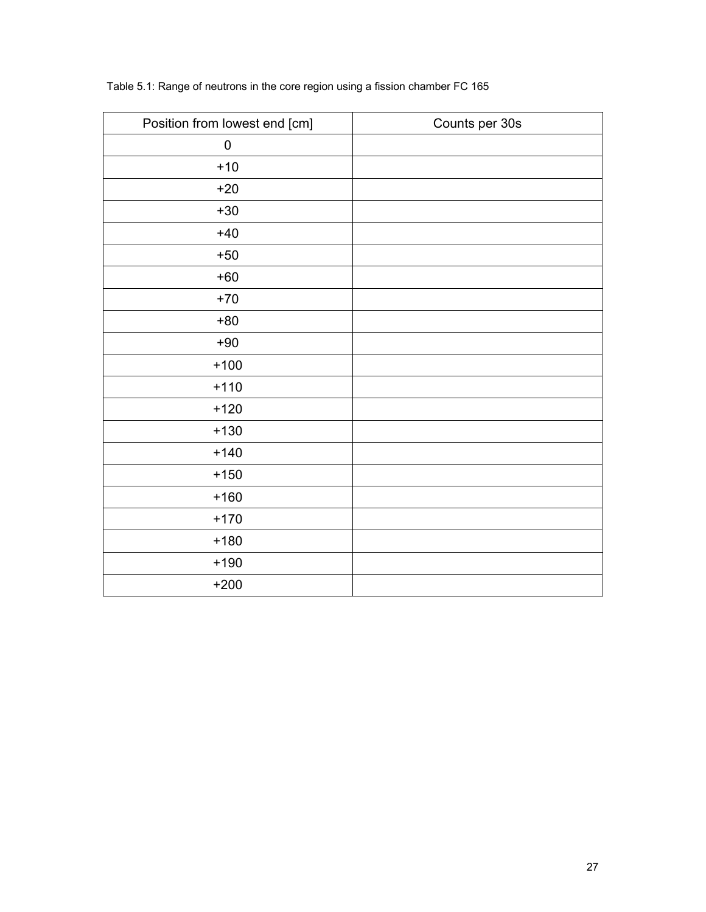| Position from lowest end [cm] | Counts per 30s |
|-------------------------------|----------------|
| $\pmb{0}$                     |                |
| $+10$                         |                |
| $+20$                         |                |
| $+30$                         |                |
| $+40$                         |                |
| $+50$                         |                |
| $+60$                         |                |
| $+70$                         |                |
| $+80$                         |                |
| $+90$                         |                |
| $+100$                        |                |
| $+110$                        |                |
| $+120$                        |                |
| $+130$                        |                |
| $+140$                        |                |
| $+150$                        |                |
| $+160$                        |                |
| $+170$                        |                |
| $+180$                        |                |
| $+190$                        |                |
| $+200$                        |                |

Table 5.1: Range of neutrons in the core region using a fission chamber FC 165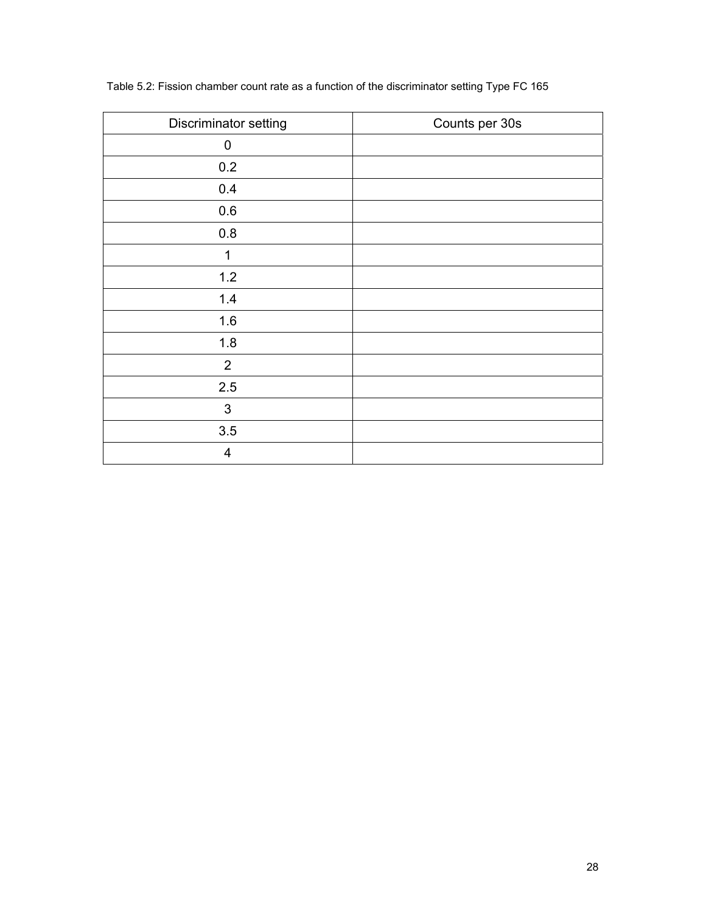| Discriminator setting | Counts per 30s |
|-----------------------|----------------|
| $\mathbf 0$           |                |
| 0.2                   |                |
| 0.4                   |                |
| $0.6\,$               |                |
| $0.8\,$               |                |
| 1                     |                |
| $1.2$                 |                |
| 1.4                   |                |
| 1.6                   |                |
| 1.8                   |                |
| $\overline{2}$        |                |
| 2.5                   |                |
| 3                     |                |
| 3.5                   |                |
| 4                     |                |

## Table 5.2: Fission chamber count rate as a function of the discriminator setting Type FC 165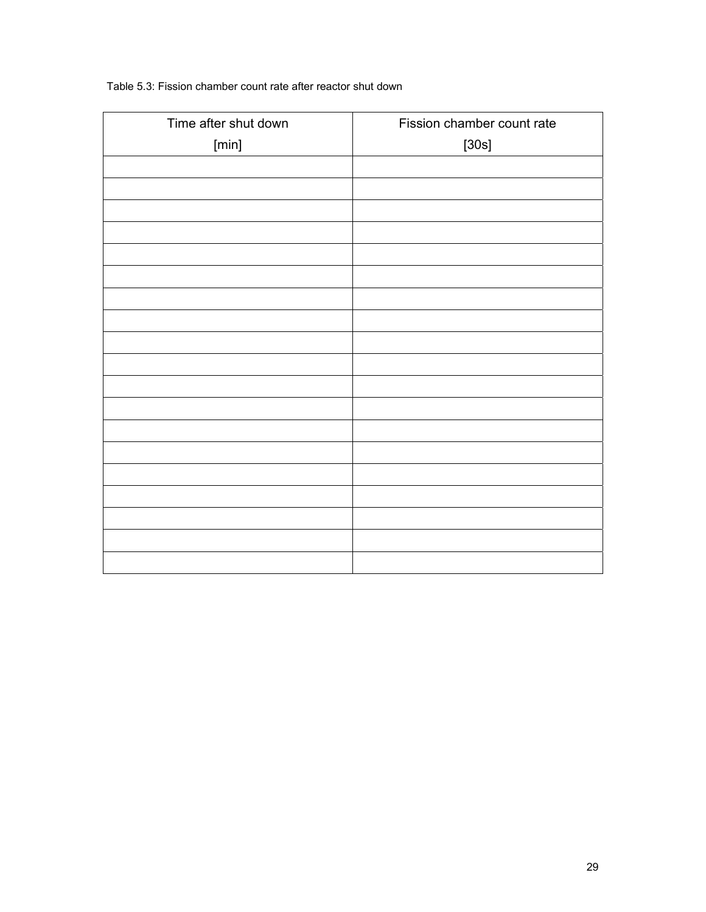#### Table 5.3: Fission chamber count rate after reactor shut down

| Time after shut down | Fission chamber count rate |
|----------------------|----------------------------|
| [min]                | $[30s]$                    |
|                      |                            |
|                      |                            |
|                      |                            |
|                      |                            |
|                      |                            |
|                      |                            |
|                      |                            |
|                      |                            |
|                      |                            |
|                      |                            |
|                      |                            |
|                      |                            |
|                      |                            |
|                      |                            |
|                      |                            |
|                      |                            |
|                      |                            |
|                      |                            |
|                      |                            |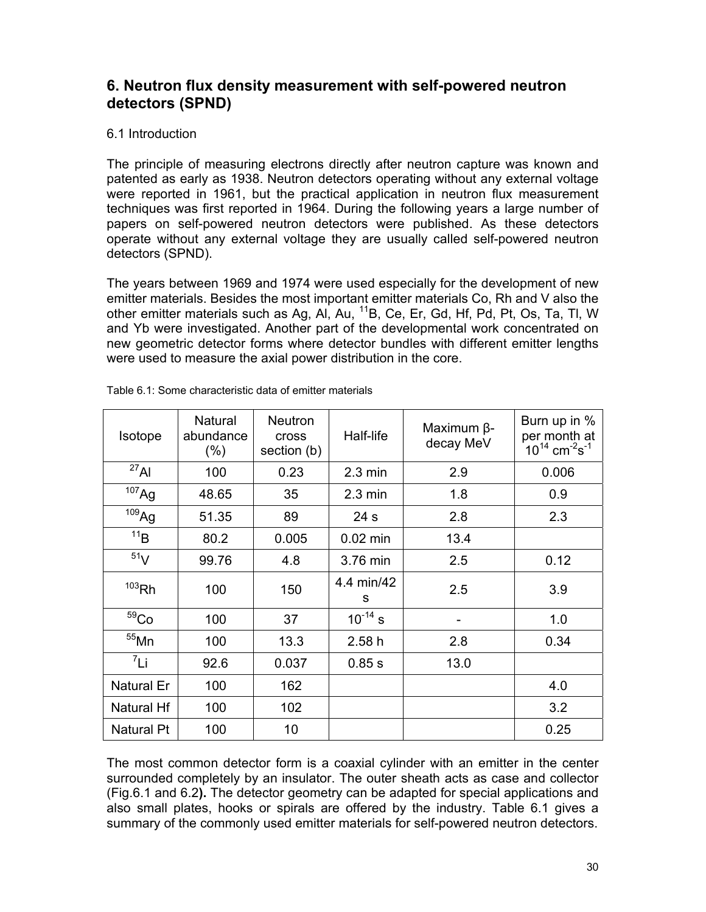# **6. Neutron flux density measurement with self-powered neutron detectors (SPND)**

### 6.1 Introduction

The principle of measuring electrons directly after neutron capture was known and patented as early as 1938. Neutron detectors operating without any external voltage were reported in 1961, but the practical application in neutron flux measurement techniques was first reported in 1964. During the following years a large number of papers on self-powered neutron detectors were published. As these detectors operate without any external voltage they are usually called self-powered neutron detectors (SPND).

The years between 1969 and 1974 were used especially for the development of new emitter materials. Besides the most important emitter materials Co, Rh and V also the other emitter materials such as Ag, Al, Au, 11B, Ce, Er, Gd, Hf, Pd, Pt, Os, Ta, Tl, W and Yb were investigated. Another part of the developmental work concentrated on new geometric detector forms where detector bundles with different emitter lengths were used to measure the axial power distribution in the core.

| <b>Isotope</b>    | Natural<br>abundance<br>$(\%)$ | <b>Neutron</b><br><b>Cross</b><br>section (b) | Half-life         | Maximum $\beta$ -<br>decay MeV | Burn up in %<br>per month at<br>$10^{14}$ cm <sup>-2</sup> s <sup>-1</sup> |
|-------------------|--------------------------------|-----------------------------------------------|-------------------|--------------------------------|----------------------------------------------------------------------------|
| $^{27}$ Al        | 100                            | 0.23                                          | $2.3 \text{ min}$ | 2.9                            | 0.006                                                                      |
| 107 <sub>Ag</sub> | 48.65                          | 35                                            | $2.3 \text{ min}$ | 1.8                            | 0.9                                                                        |
| 109 <sub>Ag</sub> | 51.35                          | 89                                            | 24 <sub>s</sub>   | 2.8                            | 2.3                                                                        |
| 11B               | 80.2                           | 0.005                                         | $0.02$ min        | 13.4                           |                                                                            |
| 51 <sub>V</sub>   | 99.76                          | 4.8                                           | 3.76 min          | 2.5                            | 0.12                                                                       |
| $103$ Rh          | 100                            | 150                                           | 4.4 min/42<br>S   | 2.5                            | 3.9                                                                        |
| 59 <sub>Co</sub>  | 100                            | 37                                            | $10^{-14}$ s      |                                | 1.0                                                                        |
| $55$ Mn           | 100                            | 13.3                                          | 2.58h             | 2.8                            | 0.34                                                                       |
| $^7$ Li           | 92.6                           | 0.037                                         | 0.85 s            | 13.0                           |                                                                            |
| <b>Natural Er</b> | 100                            | 162                                           |                   |                                | 4.0                                                                        |
| <b>Natural Hf</b> | 100                            | 102                                           |                   |                                | 3.2                                                                        |
| <b>Natural Pt</b> | 100                            | 10                                            |                   |                                | 0.25                                                                       |

Table 6.1: Some characteristic data of emitter materials

The most common detector form is a coaxial cylinder with an emitter in the center surrounded completely by an insulator. The outer sheath acts as case and collector (Fig.6.1 and 6.2**).** The detector geometry can be adapted for special applications and also small plates, hooks or spirals are offered by the industry. Table 6.1 gives a summary of the commonly used emitter materials for self-powered neutron detectors.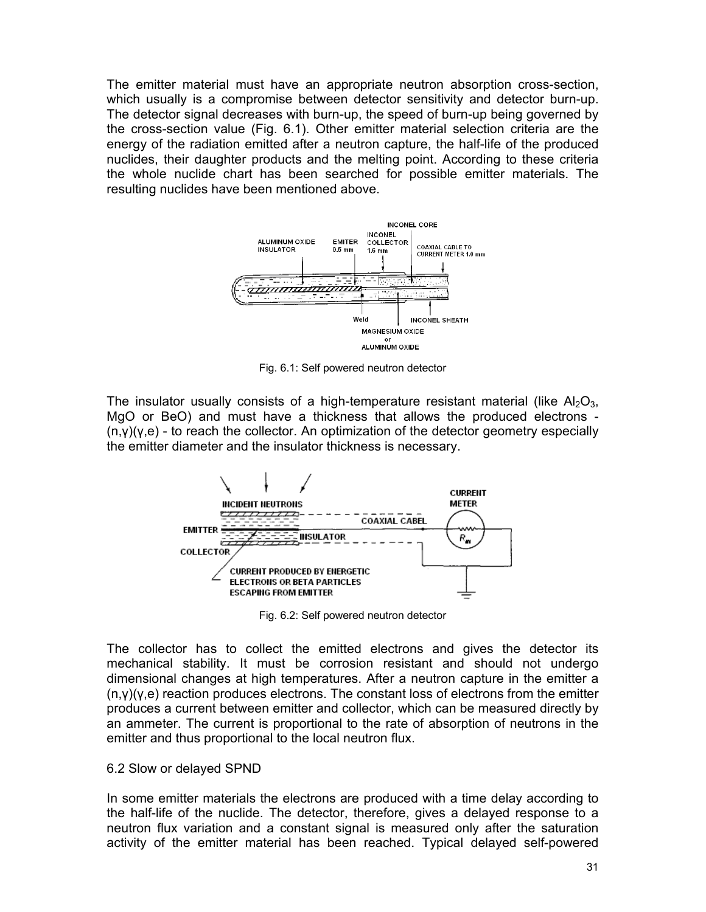The emitter material must have an appropriate neutron absorption cross-section, which usually is a compromise between detector sensitivity and detector burn-up. The detector signal decreases with burn-up, the speed of burn-up being governed by the cross-section value (Fig. 6.1). Other emitter material selection criteria are the energy of the radiation emitted after a neutron capture, the half-life of the produced nuclides, their daughter products and the melting point. According to these criteria the whole nuclide chart has been searched for possible emitter materials. The resulting nuclides have been mentioned above.



Fig. 6.1: Self powered neutron detector

The insulator usually consists of a high-temperature resistant material (like  $A_2O_{3}$ , MgO or BeO) and must have a thickness that allows the produced electrons -  $(n, \gamma)(\gamma, e)$  - to reach the collector. An optimization of the detector geometry especially the emitter diameter and the insulator thickness is necessary.



Fig. 6.2: Self powered neutron detector

The collector has to collect the emitted electrons and gives the detector its mechanical stability. It must be corrosion resistant and should not undergo dimensional changes at high temperatures. After a neutron capture in the emitter a  $(n,y)(y,e)$  reaction produces electrons. The constant loss of electrons from the emitter produces a current between emitter and collector, which can be measured directly by an ammeter. The current is proportional to the rate of absorption of neutrons in the emitter and thus proportional to the local neutron flux.

#### 6.2 Slow or delayed SPND

In some emitter materials the electrons are produced with a time delay according to the half-life of the nuclide. The detector, therefore, gives a delayed response to a neutron flux variation and a constant signal is measured only after the saturation activity of the emitter material has been reached. Typical delayed self-powered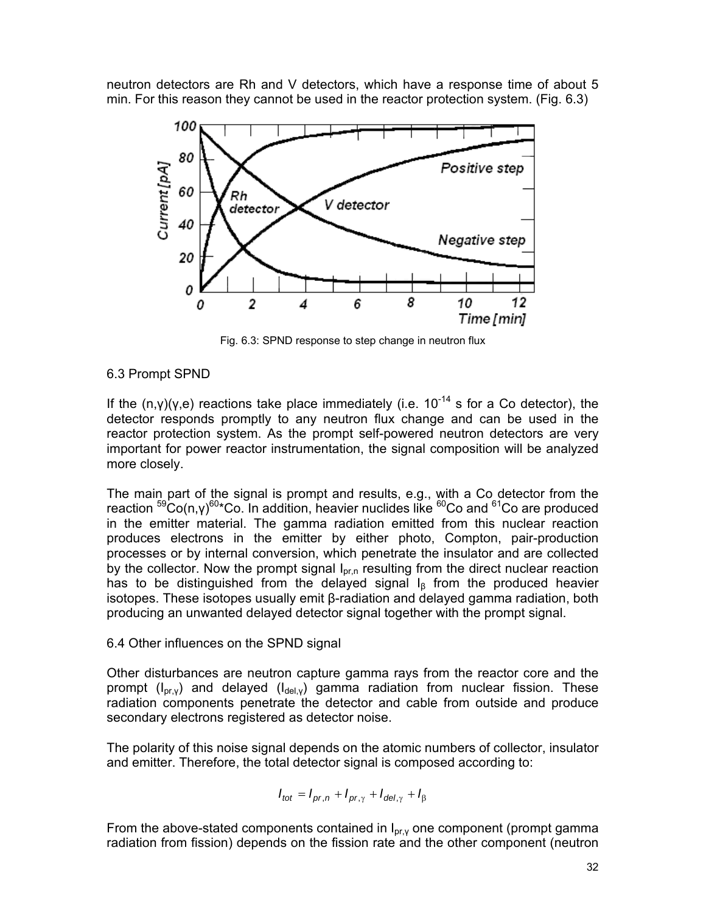neutron detectors are Rh and V detectors, which have a response time of about 5 min. For this reason they cannot be used in the reactor protection system. (Fig. 6.3)



Fig. 6.3: SPND response to step change in neutron flux

### 6.3 Prompt SPND

If the  $(n,y)(y,e)$  reactions take place immediately (i.e. 10<sup>-14</sup> s for a Co detector), the detector responds promptly to any neutron flux change and can be used in the reactor protection system. As the prompt self-powered neutron detectors are very important for power reactor instrumentation, the signal composition will be analyzed more closely.

The main part of the signal is prompt and results, e.g., with a Co detector from the reaction <sup>59</sup>Co(n,γ)<sup>60</sup>\*Co. In addition, heavier nuclides like <sup>60</sup>Co and <sup>61</sup>Co are produced in the emitter material. The gamma radiation emitted from this nuclear reaction produces electrons in the emitter by either photo, Compton, pair-production processes or by internal conversion, which penetrate the insulator and are collected by the collector. Now the prompt signal  $I_{pr,n}$  resulting from the direct nuclear reaction has to be distinguished from the delayed signal  $I_8$  from the produced heavier isotopes. These isotopes usually emit β-radiation and delayed gamma radiation, both producing an unwanted delayed detector signal together with the prompt signal.

#### 6.4 Other influences on the SPND signal

Other disturbances are neutron capture gamma rays from the reactor core and the prompt ( $I_{pr,y}$ ) and delayed ( $I_{del,y}$ ) gamma radiation from nuclear fission. These radiation components penetrate the detector and cable from outside and produce secondary electrons registered as detector noise.

The polarity of this noise signal depends on the atomic numbers of collector, insulator and emitter. Therefore, the total detector signal is composed according to:

$$
I_{tot} = I_{pr,n} + I_{pr,\gamma} + I_{del,\gamma} + I_{\beta}
$$

From the above-stated components contained in  $I_{pr,y}$  one component (prompt gamma radiation from fission) depends on the fission rate and the other component (neutron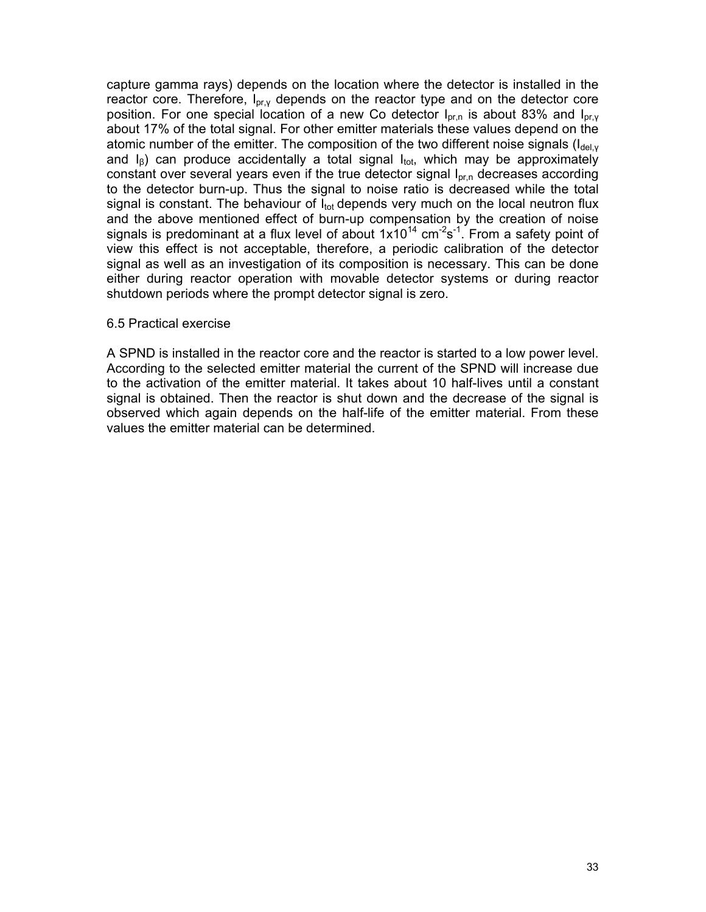capture gamma rays) depends on the location where the detector is installed in the reactor core. Therefore,  $I_{\text{pr},\gamma}$  depends on the reactor type and on the detector core position. For one special location of a new Co detector  $I_{\text{pr},n}$  is about 83% and  $I_{\text{pr},y}$ about 17% of the total signal. For other emitter materials these values depend on the atomic number of the emitter. The composition of the two different noise signals ( $I_{del,v}$ ) and  $I_6$ ) can produce accidentally a total signal  $I_{\text{tot}}$ , which may be approximately constant over several years even if the true detector signal Ιpr,n decreases according to the detector burn-up. Thus the signal to noise ratio is decreased while the total signal is constant. The behaviour of  $I_{tot}$  depends very much on the local neutron flux and the above mentioned effect of burn-up compensation by the creation of noise signals is predominant at a flux level of about  $1x10^{14}$  cm<sup>-2</sup>s<sup>-1</sup>. From a safety point of view this effect is not acceptable, therefore, a periodic calibration of the detector signal as well as an investigation of its composition is necessary. This can be done either during reactor operation with movable detector systems or during reactor shutdown periods where the prompt detector signal is zero.

#### 6.5 Practical exercise

A SPND is installed in the reactor core and the reactor is started to a low power level. According to the selected emitter material the current of the SPND will increase due to the activation of the emitter material. It takes about 10 half-lives until a constant signal is obtained. Then the reactor is shut down and the decrease of the signal is observed which again depends on the half-life of the emitter material. From these values the emitter material can be determined.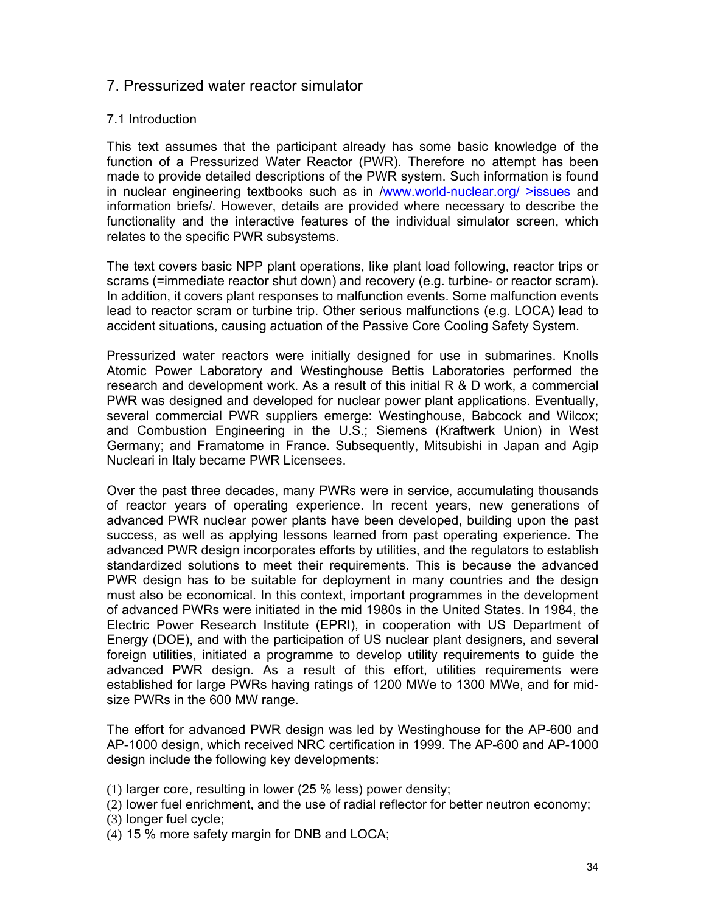# 7. Pressurized water reactor simulator

### 7.1 Introduction

This text assumes that the participant already has some basic knowledge of the function of a Pressurized Water Reactor (PWR). Therefore no attempt has been made to provide detailed descriptions of the PWR system. Such information is found in nuclear engineering textbooks such as in /www.world-nuclear.org/ >issues and information briefs/. However, details are provided where necessary to describe the functionality and the interactive features of the individual simulator screen, which relates to the specific PWR subsystems.

The text covers basic NPP plant operations, like plant load following, reactor trips or scrams (=immediate reactor shut down) and recovery (e.g. turbine- or reactor scram). In addition, it covers plant responses to malfunction events. Some malfunction events lead to reactor scram or turbine trip. Other serious malfunctions (e.g. LOCA) lead to accident situations, causing actuation of the Passive Core Cooling Safety System.

Pressurized water reactors were initially designed for use in submarines. Knolls Atomic Power Laboratory and Westinghouse Bettis Laboratories performed the research and development work. As a result of this initial R & D work, a commercial PWR was designed and developed for nuclear power plant applications. Eventually, several commercial PWR suppliers emerge: Westinghouse, Babcock and Wilcox; and Combustion Engineering in the U.S.; Siemens (Kraftwerk Union) in West Germany; and Framatome in France. Subsequently, Mitsubishi in Japan and Agip Nucleari in Italy became PWR Licensees.

Over the past three decades, many PWRs were in service, accumulating thousands of reactor years of operating experience. In recent years, new generations of advanced PWR nuclear power plants have been developed, building upon the past success, as well as applying lessons learned from past operating experience. The advanced PWR design incorporates efforts by utilities, and the regulators to establish standardized solutions to meet their requirements. This is because the advanced PWR design has to be suitable for deployment in many countries and the design must also be economical. In this context, important programmes in the development of advanced PWRs were initiated in the mid 1980s in the United States. In 1984, the Electric Power Research Institute (EPRI), in cooperation with US Department of Energy (DOE), and with the participation of US nuclear plant designers, and several foreign utilities, initiated a programme to develop utility requirements to guide the advanced PWR design. As a result of this effort, utilities requirements were established for large PWRs having ratings of 1200 MWe to 1300 MWe, and for midsize PWRs in the 600 MW range.

The effort for advanced PWR design was led by Westinghouse for the AP-600 and AP-1000 design, which received NRC certification in 1999. The AP-600 and AP-1000 design include the following key developments:

- (1) larger core, resulting in lower (25 % less) power density;
- (2) lower fuel enrichment, and the use of radial reflector for better neutron economy;
- (3) longer fuel cycle;
- (4) 15 % more safety margin for DNB and LOCA;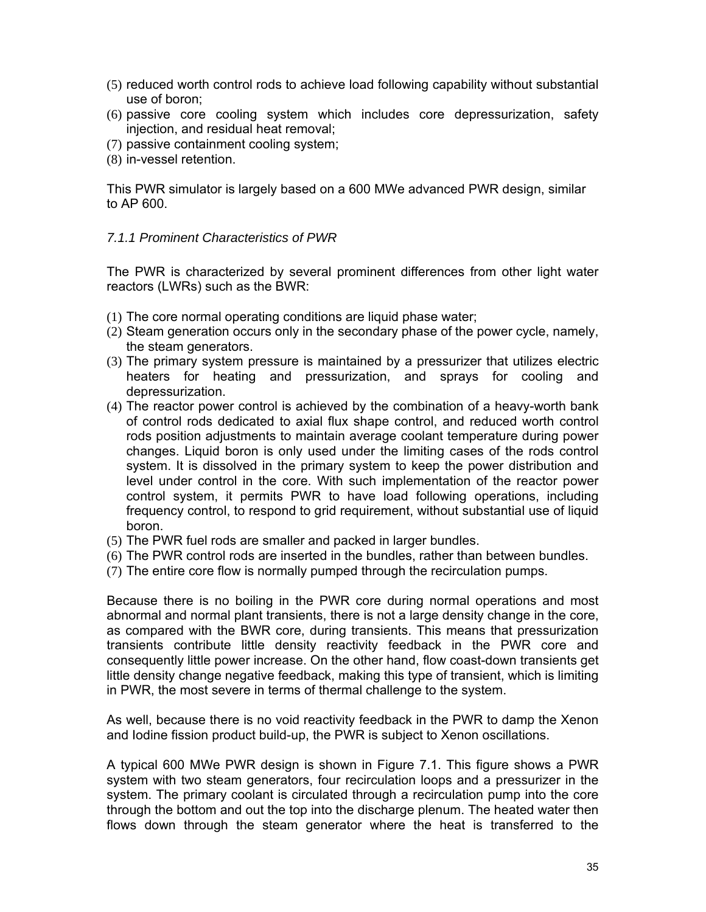- (5) reduced worth control rods to achieve load following capability without substantial use of boron;
- (6) passive core cooling system which includes core depressurization, safety injection, and residual heat removal;
- (7) passive containment cooling system;
- (8) in-vessel retention.

This PWR simulator is largely based on a 600 MWe advanced PWR design, similar to AP 600.

#### *7.1.1 Prominent Characteristics of PWR*

The PWR is characterized by several prominent differences from other light water reactors (LWRs) such as the BWR:

- (1) The core normal operating conditions are liquid phase water;
- (2) Steam generation occurs only in the secondary phase of the power cycle, namely, the steam generators.
- (3) The primary system pressure is maintained by a pressurizer that utilizes electric heaters for heating and pressurization, and sprays for cooling and depressurization.
- (4) The reactor power control is achieved by the combination of a heavy-worth bank of control rods dedicated to axial flux shape control, and reduced worth control rods position adjustments to maintain average coolant temperature during power changes. Liquid boron is only used under the limiting cases of the rods control system. It is dissolved in the primary system to keep the power distribution and level under control in the core. With such implementation of the reactor power control system, it permits PWR to have load following operations, including frequency control, to respond to grid requirement, without substantial use of liquid boron.
- (5) The PWR fuel rods are smaller and packed in larger bundles.
- (6) The PWR control rods are inserted in the bundles, rather than between bundles.
- (7) The entire core flow is normally pumped through the recirculation pumps.

Because there is no boiling in the PWR core during normal operations and most abnormal and normal plant transients, there is not a large density change in the core, as compared with the BWR core, during transients. This means that pressurization transients contribute little density reactivity feedback in the PWR core and consequently little power increase. On the other hand, flow coast-down transients get little density change negative feedback, making this type of transient, which is limiting in PWR, the most severe in terms of thermal challenge to the system.

As well, because there is no void reactivity feedback in the PWR to damp the Xenon and Iodine fission product build-up, the PWR is subject to Xenon oscillations.

A typical 600 MWe PWR design is shown in Figure 7.1. This figure shows a PWR system with two steam generators, four recirculation loops and a pressurizer in the system. The primary coolant is circulated through a recirculation pump into the core through the bottom and out the top into the discharge plenum. The heated water then flows down through the steam generator where the heat is transferred to the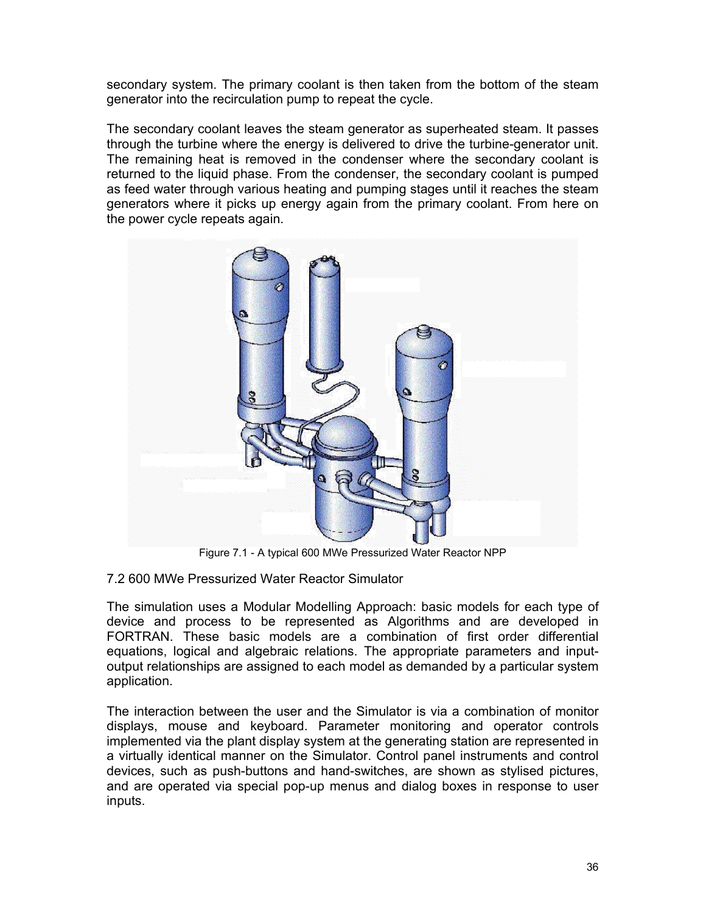secondary system. The primary coolant is then taken from the bottom of the steam generator into the recirculation pump to repeat the cycle.

The secondary coolant leaves the steam generator as superheated steam. It passes through the turbine where the energy is delivered to drive the turbine-generator unit. The remaining heat is removed in the condenser where the secondary coolant is returned to the liquid phase. From the condenser, the secondary coolant is pumped as feed water through various heating and pumping stages until it reaches the steam generators where it picks up energy again from the primary coolant. From here on the power cycle repeats again.



Figure 7.1 - A typical 600 MWe Pressurized Water Reactor NPP

7.2 600 MWe Pressurized Water Reactor Simulator

The simulation uses a Modular Modelling Approach: basic models for each type of device and process to be represented as Algorithms and are developed in FORTRAN. These basic models are a combination of first order differential equations, logical and algebraic relations. The appropriate parameters and inputoutput relationships are assigned to each model as demanded by a particular system application.

The interaction between the user and the Simulator is via a combination of monitor displays, mouse and keyboard. Parameter monitoring and operator controls implemented via the plant display system at the generating station are represented in a virtually identical manner on the Simulator. Control panel instruments and control devices, such as push-buttons and hand-switches, are shown as stylised pictures, and are operated via special pop-up menus and dialog boxes in response to user inputs.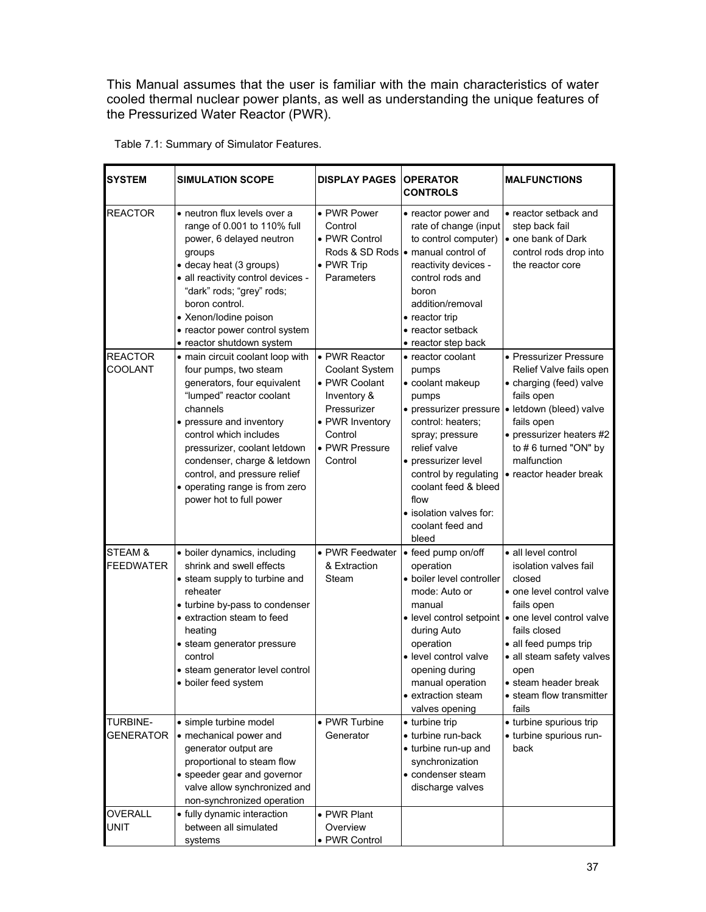This Manual assumes that the user is familiar with the main characteristics of water cooled thermal nuclear power plants, as well as understanding the unique features of the Pressurized Water Reactor (PWR).

| <b>SYSTEM</b>                       | <b>SIMULATION SCOPE</b>                                                                                                                                                                                                                                                                                                                            | <b>DISPLAY PAGES</b>                                                                                                                      | <b>OPERATOR</b><br><b>CONTROLS</b>                                                                                                                                                                                                                      | <b>MALFUNCTIONS</b>                                                                                                                                                                                                                                                                                  |
|-------------------------------------|----------------------------------------------------------------------------------------------------------------------------------------------------------------------------------------------------------------------------------------------------------------------------------------------------------------------------------------------------|-------------------------------------------------------------------------------------------------------------------------------------------|---------------------------------------------------------------------------------------------------------------------------------------------------------------------------------------------------------------------------------------------------------|------------------------------------------------------------------------------------------------------------------------------------------------------------------------------------------------------------------------------------------------------------------------------------------------------|
| <b>REACTOR</b>                      | • neutron flux levels over a<br>range of 0.001 to 110% full<br>power, 6 delayed neutron<br>groups<br>• decay heat (3 groups)<br>· all reactivity control devices -<br>"dark" rods; "grey" rods;<br>boron control.<br>• Xenon/lodine poison<br>• reactor power control system<br>• reactor shutdown system                                          | • PWR Power<br>Control<br>• PWR Control<br>• PWR Trip<br>Parameters                                                                       | • reactor power and<br>rate of change (input<br>to control computer)<br>Rods & SD Rods • manual control of<br>reactivity devices -<br>control rods and<br>horon<br>addition/removal<br>• reactor trip<br>• reactor setback<br>• reactor step back       | • reactor setback and<br>step back fail<br>one bank of Dark<br>control rods drop into<br>the reactor core                                                                                                                                                                                            |
| <b>REACTOR</b><br>COOLANT           | • main circuit coolant loop with<br>four pumps, two steam<br>generators, four equivalent<br>"lumped" reactor coolant<br>channels<br>• pressure and inventory<br>control which includes<br>pressurizer, coolant letdown<br>condenser, charge & letdown<br>control, and pressure relief<br>• operating range is from zero<br>power hot to full power | • PWR Reactor<br>Coolant System<br>• PWR Coolant<br>Inventory &<br>Pressurizer<br>• PWR Inventory<br>Control<br>• PWR Pressure<br>Control | • reactor coolant<br>pumps<br>· coolant makeup<br>pumps<br>control: heaters;<br>spray; pressure<br>relief valve<br>• pressurizer level<br>control by regulating<br>coolant feed & bleed<br>flow<br>• isolation valves for:<br>coolant feed and<br>bleed | • Pressurizer Pressure<br>Relief Valve fails open<br>• charging (feed) valve<br>fails open<br>• pressurizer pressure • letdown (bleed) valve<br>fails open<br>• pressurizer heaters #2<br>to #6 turned "ON" by<br>malfunction<br>• reactor header break                                              |
| STEAM &<br><b>FEEDWATER</b>         | · boiler dynamics, including<br>shrink and swell effects<br>• steam supply to turbine and<br>reheater<br>• turbine by-pass to condenser<br>• extraction steam to feed<br>heating<br>• steam generator pressure<br>control<br>• steam generator level control<br>• boiler feed system                                                               | • PWR Feedwater<br>& Extraction<br>Steam                                                                                                  | • feed pump on/off<br>operation<br>· boiler level controller<br>mode: Auto or<br>manual<br>during Auto<br>operation<br>· level control valve<br>opening during<br>manual operation<br>• extraction steam<br>valves opening                              | · all level control<br>isolation valves fail<br>closed<br>• one level control valve<br>fails open<br>• level control setpoint   • one level control valve<br>fails closed<br>• all feed pumps trip<br>• all steam safety valves<br>open<br>• steam header break<br>• steam flow transmitter<br>fails |
| <b>TURBINE-</b><br><b>GENERATOR</b> | · simple turbine model<br>• mechanical power and<br>generator output are<br>proportional to steam flow<br>• speeder gear and governor<br>valve allow synchronized and<br>non-synchronized operation                                                                                                                                                | • PWR Turbine<br>Generator                                                                                                                | • turbine trip<br>• turbine run-back<br>• turbine run-up and<br>synchronization<br>• condenser steam<br>discharge valves                                                                                                                                | • turbine spurious trip<br>• turbine spurious run-<br>back                                                                                                                                                                                                                                           |
| OVERALL<br><b>UNIT</b>              | • fully dynamic interaction<br>between all simulated                                                                                                                                                                                                                                                                                               | • PWR Plant<br>Overview                                                                                                                   |                                                                                                                                                                                                                                                         |                                                                                                                                                                                                                                                                                                      |

• PWR Control

Table 7.1: Summary of Simulator Features.

systems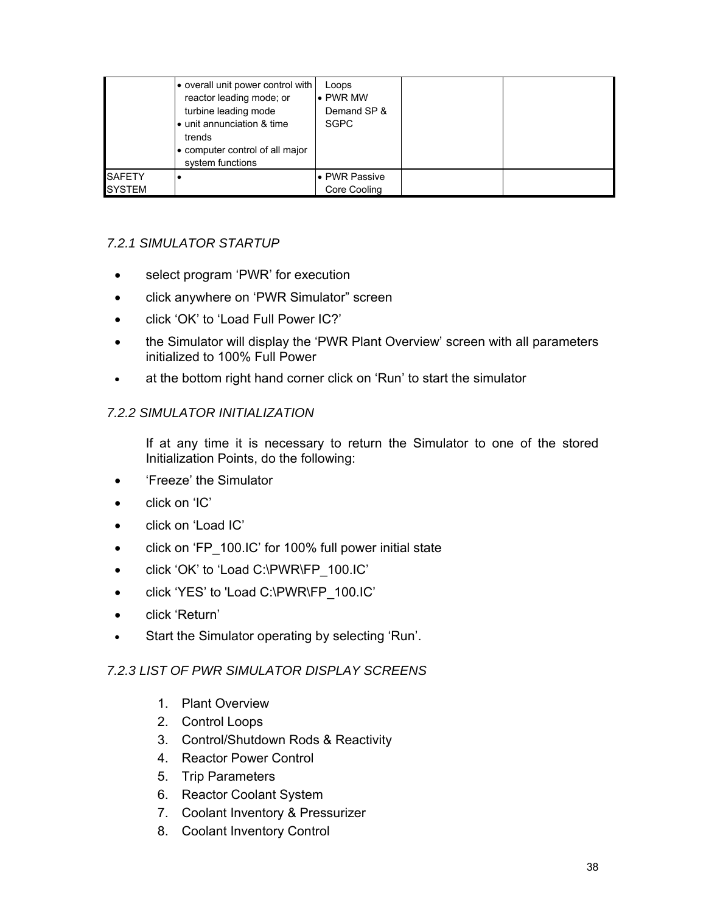|               | overall unit power control with<br>reactor leading mode; or<br>turbine leading mode<br>• unit annunciation & time<br>trends<br>• computer control of all major<br>system functions | Loops<br>$\bullet$ PWR MW<br>Demand SP &<br><b>SGPC</b> |  |
|---------------|------------------------------------------------------------------------------------------------------------------------------------------------------------------------------------|---------------------------------------------------------|--|
| <b>SAFETY</b> |                                                                                                                                                                                    | • PWR Passive                                           |  |
| <b>SYSTEM</b> |                                                                                                                                                                                    | Core Cooling                                            |  |

## *7.2.1 SIMULATOR STARTUP*

- select program 'PWR' for execution
- click anywhere on 'PWR Simulator" screen
- click 'OK' to 'Load Full Power IC?'
- the Simulator will display the 'PWR Plant Overview' screen with all parameters initialized to 100% Full Power
- at the bottom right hand corner click on 'Run' to start the simulator

### *7.2.2 SIMULATOR INITIALIZATION*

If at any time it is necessary to return the Simulator to one of the stored Initialization Points, do the following:

- 'Freeze' the Simulator
- click on 'IC'
- click on 'Load IC'
- click on 'FP\_100.IC' for 100% full power initial state
- click 'OK' to 'Load C:\PWR\FP\_100.IC'
- click 'YES' to 'Load C:\PWR\FP\_100.IC'
- click 'Return'
- Start the Simulator operating by selecting 'Run'.

#### *7.2.3 LIST OF PWR SIMULATOR DISPLAY SCREENS*

- 1. Plant Overview
- 2. Control Loops
- 3. Control/Shutdown Rods & Reactivity
- 4. Reactor Power Control
- 5. Trip Parameters
- 6. Reactor Coolant System
- 7. Coolant Inventory & Pressurizer
- 8. Coolant Inventory Control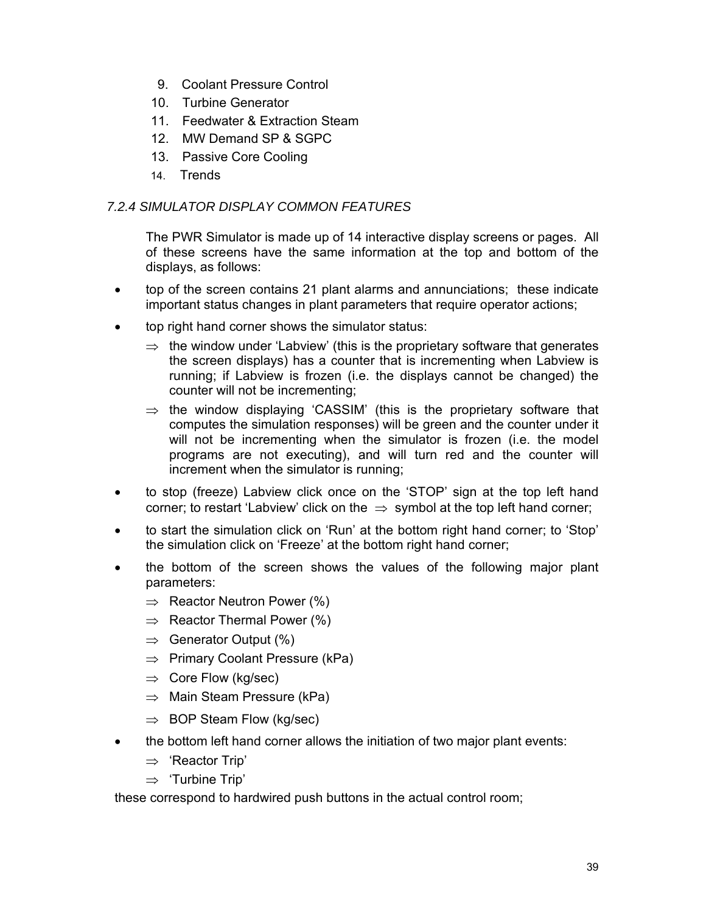- 9. Coolant Pressure Control
- 10. Turbine Generator
- 11. Feedwater & Extraction Steam
- 12. MW Demand SP & SGPC
- 13. Passive Core Cooling
- 14. Trends

## *7.2.4 SIMULATOR DISPLAY COMMON FEATURES*

The PWR Simulator is made up of 14 interactive display screens or pages. All of these screens have the same information at the top and bottom of the displays, as follows:

- top of the screen contains 21 plant alarms and annunciations; these indicate important status changes in plant parameters that require operator actions;
- top right hand corner shows the simulator status:
	- $\Rightarrow$  the window under 'Labview' (this is the proprietary software that generates the screen displays) has a counter that is incrementing when Labview is running; if Labview is frozen (i.e. the displays cannot be changed) the counter will not be incrementing;
	- $\Rightarrow$  the window displaying 'CASSIM' (this is the proprietary software that computes the simulation responses) will be green and the counter under it will not be incrementing when the simulator is frozen (i.e. the model programs are not executing), and will turn red and the counter will increment when the simulator is running;
- to stop (freeze) Labview click once on the 'STOP' sign at the top left hand corner; to restart 'Labview' click on the  $\Rightarrow$  symbol at the top left hand corner;
- to start the simulation click on 'Run' at the bottom right hand corner; to 'Stop' the simulation click on 'Freeze' at the bottom right hand corner;
- the bottom of the screen shows the values of the following major plant parameters:
	- $\Rightarrow$  Reactor Neutron Power (%)
	- $\Rightarrow$  Reactor Thermal Power (%)
	- $\Rightarrow$  Generator Output (%)
	- ⇒ Primary Coolant Pressure (kPa)
	- $\Rightarrow$  Core Flow (kg/sec)
	- $\Rightarrow$  Main Steam Pressure (kPa)
	- $\Rightarrow$  BOP Steam Flow (kg/sec)
- the bottom left hand corner allows the initiation of two major plant events:
	- ⇒ 'Reactor Trip'
	- ⇒ 'Turbine Trip'

these correspond to hardwired push buttons in the actual control room;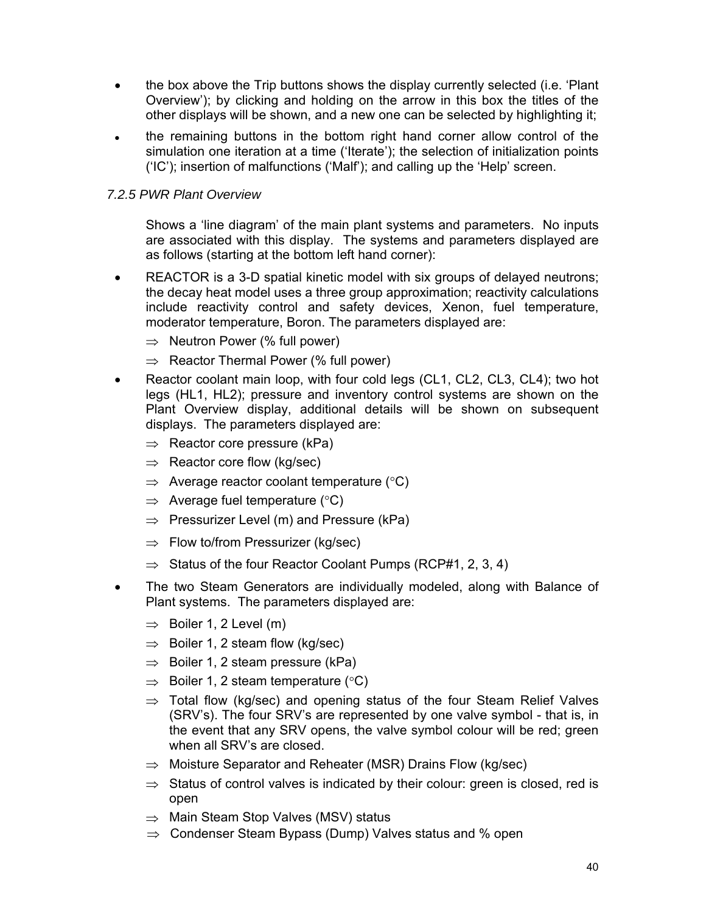- the box above the Trip buttons shows the display currently selected (i.e. 'Plant Overview'); by clicking and holding on the arrow in this box the titles of the other displays will be shown, and a new one can be selected by highlighting it;
- the remaining buttons in the bottom right hand corner allow control of the simulation one iteration at a time ('Iterate'); the selection of initialization points ('IC'); insertion of malfunctions ('Malf'); and calling up the 'Help' screen.

### *7.2.5 PWR Plant Overview*

Shows a 'line diagram' of the main plant systems and parameters. No inputs are associated with this display. The systems and parameters displayed are as follows (starting at the bottom left hand corner):

- REACTOR is a 3-D spatial kinetic model with six groups of delayed neutrons; the decay heat model uses a three group approximation; reactivity calculations include reactivity control and safety devices, Xenon, fuel temperature, moderator temperature, Boron. The parameters displayed are:
	- $\Rightarrow$  Neutron Power (% full power)
	- ⇒ Reactor Thermal Power (% full power)
- Reactor coolant main loop, with four cold legs (CL1, CL2, CL3, CL4); two hot legs (HL1, HL2); pressure and inventory control systems are shown on the Plant Overview display, additional details will be shown on subsequent displays. The parameters displayed are:
	- $\Rightarrow$  Reactor core pressure (kPa)
	- $\Rightarrow$  Reactor core flow (kg/sec)
	- $\Rightarrow$  Average reactor coolant temperature ( $\degree$ C)
	- $\Rightarrow$  Average fuel temperature (°C)
	- $\Rightarrow$  Pressurizer Level (m) and Pressure (kPa)
	- $\Rightarrow$  Flow to/from Pressurizer (kg/sec)
	- $\Rightarrow$  Status of the four Reactor Coolant Pumps (RCP#1, 2, 3, 4)
- The two Steam Generators are individually modeled, along with Balance of Plant systems. The parameters displayed are:
	- $\Rightarrow$  Boiler 1, 2 Level (m)
	- $\Rightarrow$  Boiler 1, 2 steam flow (kg/sec)
	- $\Rightarrow$  Boiler 1, 2 steam pressure (kPa)
	- $\Rightarrow$  Boiler 1, 2 steam temperature (°C)
	- $\Rightarrow$  Total flow (kg/sec) and opening status of the four Steam Relief Valves (SRV's). The four SRV's are represented by one valve symbol - that is, in the event that any SRV opens, the valve symbol colour will be red; green when all SRV's are closed.
	- $\Rightarrow$  Moisture Separator and Reheater (MSR) Drains Flow (kg/sec)
	- $\Rightarrow$  Status of control valves is indicated by their colour: green is closed, red is open
	- ⇒ Main Steam Stop Valves (MSV) status
	- ⇒ Condenser Steam Bypass (Dump) Valves status and % open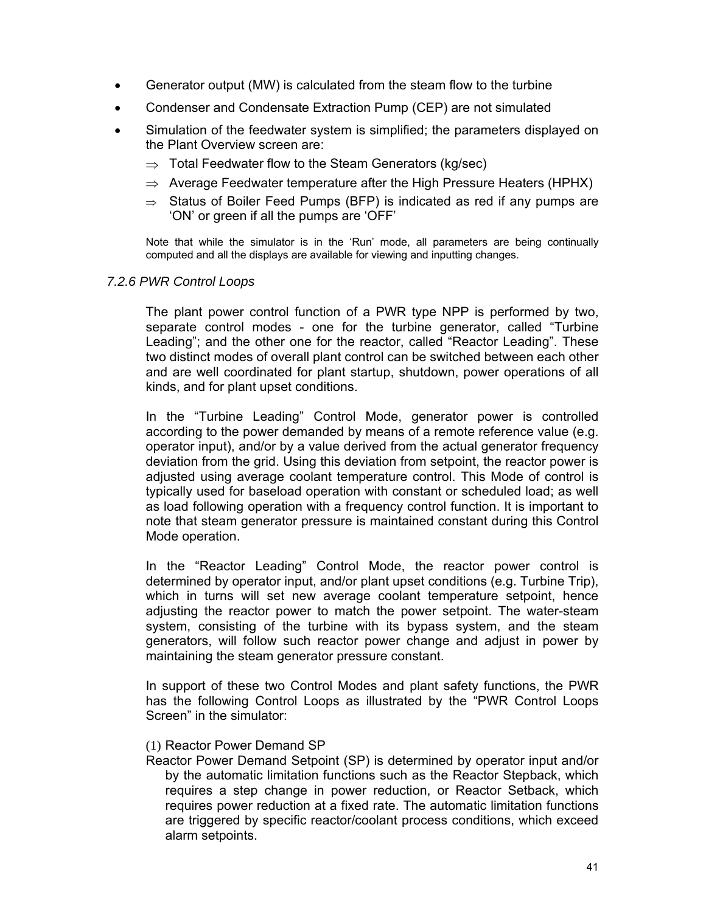- Generator output (MW) is calculated from the steam flow to the turbine
- Condenser and Condensate Extraction Pump (CEP) are not simulated
- Simulation of the feedwater system is simplified; the parameters displayed on the Plant Overview screen are:
	- $\Rightarrow$  Total Feedwater flow to the Steam Generators (kg/sec)
	- $\Rightarrow$  Average Feedwater temperature after the High Pressure Heaters (HPHX)
	- $\Rightarrow$  Status of Boiler Feed Pumps (BFP) is indicated as red if any pumps are 'ON' or green if all the pumps are 'OFF'

Note that while the simulator is in the 'Run' mode, all parameters are being continually computed and all the displays are available for viewing and inputting changes.

#### *7.2.6 PWR Control Loops*

The plant power control function of a PWR type NPP is performed by two, separate control modes - one for the turbine generator, called "Turbine Leading"; and the other one for the reactor, called "Reactor Leading". These two distinct modes of overall plant control can be switched between each other and are well coordinated for plant startup, shutdown, power operations of all kinds, and for plant upset conditions.

In the "Turbine Leading" Control Mode, generator power is controlled according to the power demanded by means of a remote reference value (e.g. operator input), and/or by a value derived from the actual generator frequency deviation from the grid. Using this deviation from setpoint, the reactor power is adjusted using average coolant temperature control. This Mode of control is typically used for baseload operation with constant or scheduled load; as well as load following operation with a frequency control function. It is important to note that steam generator pressure is maintained constant during this Control Mode operation.

In the "Reactor Leading" Control Mode, the reactor power control is determined by operator input, and/or plant upset conditions (e.g. Turbine Trip), which in turns will set new average coolant temperature setpoint, hence adjusting the reactor power to match the power setpoint. The water-steam system, consisting of the turbine with its bypass system, and the steam generators, will follow such reactor power change and adjust in power by maintaining the steam generator pressure constant.

In support of these two Control Modes and plant safety functions, the PWR has the following Control Loops as illustrated by the "PWR Control Loops Screen" in the simulator:

#### (1) Reactor Power Demand SP

Reactor Power Demand Setpoint (SP) is determined by operator input and/or by the automatic limitation functions such as the Reactor Stepback, which requires a step change in power reduction, or Reactor Setback, which requires power reduction at a fixed rate. The automatic limitation functions are triggered by specific reactor/coolant process conditions, which exceed alarm setpoints.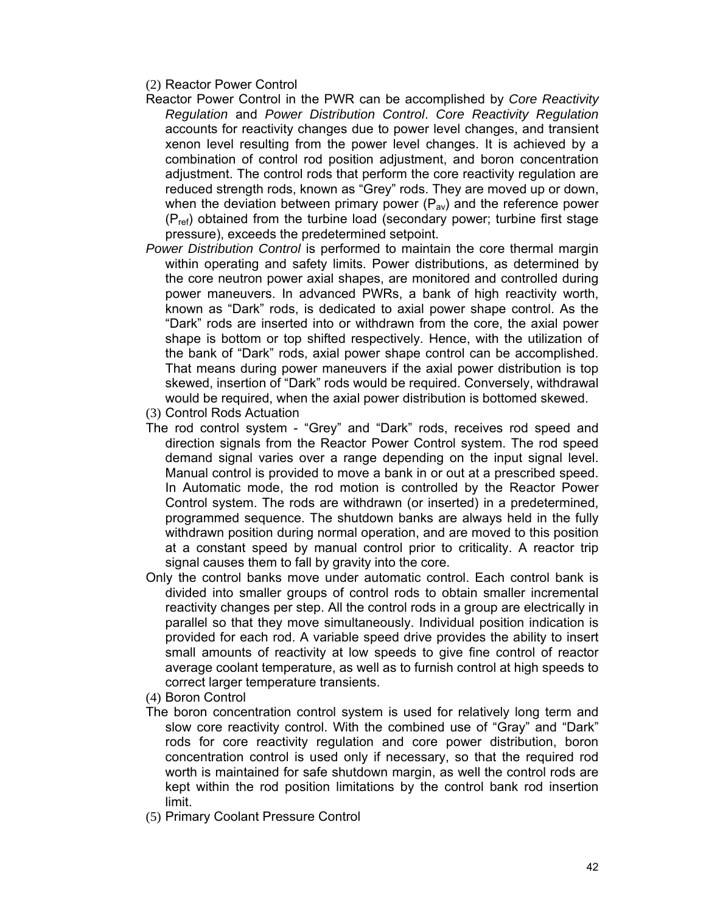(2) Reactor Power Control

- Reactor Power Control in the PWR can be accomplished by *Core Reactivity Regulation* and *Power Distribution Control*. *Core Reactivity Regulation* accounts for reactivity changes due to power level changes, and transient xenon level resulting from the power level changes. It is achieved by a combination of control rod position adjustment, and boron concentration adjustment. The control rods that perform the core reactivity regulation are reduced strength rods, known as "Grey" rods. They are moved up or down, when the deviation between primary power  $(P_{av})$  and the reference power  $(P_{ref})$  obtained from the turbine load (secondary power; turbine first stage pressure), exceeds the predetermined setpoint.
- *Power Distribution Control* is performed to maintain the core thermal margin within operating and safety limits. Power distributions, as determined by the core neutron power axial shapes, are monitored and controlled during power maneuvers. In advanced PWRs, a bank of high reactivity worth, known as "Dark" rods, is dedicated to axial power shape control. As the "Dark" rods are inserted into or withdrawn from the core, the axial power shape is bottom or top shifted respectively. Hence, with the utilization of the bank of "Dark" rods, axial power shape control can be accomplished. That means during power maneuvers if the axial power distribution is top skewed, insertion of "Dark" rods would be required. Conversely, withdrawal would be required, when the axial power distribution is bottomed skewed.
- (3) Control Rods Actuation
- The rod control system "Grey" and "Dark" rods, receives rod speed and direction signals from the Reactor Power Control system. The rod speed demand signal varies over a range depending on the input signal level. Manual control is provided to move a bank in or out at a prescribed speed. In Automatic mode, the rod motion is controlled by the Reactor Power Control system. The rods are withdrawn (or inserted) in a predetermined, programmed sequence. The shutdown banks are always held in the fully withdrawn position during normal operation, and are moved to this position at a constant speed by manual control prior to criticality. A reactor trip signal causes them to fall by gravity into the core.
- Only the control banks move under automatic control. Each control bank is divided into smaller groups of control rods to obtain smaller incremental reactivity changes per step. All the control rods in a group are electrically in parallel so that they move simultaneously. Individual position indication is provided for each rod. A variable speed drive provides the ability to insert small amounts of reactivity at low speeds to give fine control of reactor average coolant temperature, as well as to furnish control at high speeds to correct larger temperature transients.
- (4) Boron Control
- The boron concentration control system is used for relatively long term and slow core reactivity control. With the combined use of "Gray" and "Dark" rods for core reactivity regulation and core power distribution, boron concentration control is used only if necessary, so that the required rod worth is maintained for safe shutdown margin, as well the control rods are kept within the rod position limitations by the control bank rod insertion limit.
- (5) Primary Coolant Pressure Control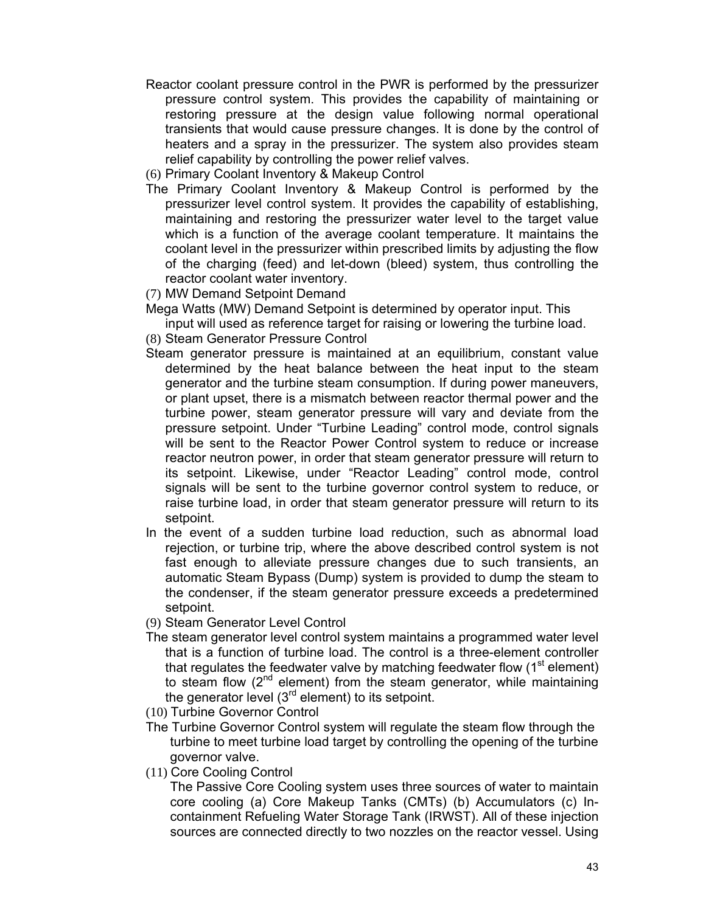- Reactor coolant pressure control in the PWR is performed by the pressurizer pressure control system. This provides the capability of maintaining or restoring pressure at the design value following normal operational transients that would cause pressure changes. It is done by the control of heaters and a spray in the pressurizer. The system also provides steam relief capability by controlling the power relief valves.
- (6) Primary Coolant Inventory & Makeup Control
- The Primary Coolant Inventory & Makeup Control is performed by the pressurizer level control system. It provides the capability of establishing, maintaining and restoring the pressurizer water level to the target value which is a function of the average coolant temperature. It maintains the coolant level in the pressurizer within prescribed limits by adjusting the flow of the charging (feed) and let-down (bleed) system, thus controlling the reactor coolant water inventory.
- (7) MW Demand Setpoint Demand

Mega Watts (MW) Demand Setpoint is determined by operator input. This

input will used as reference target for raising or lowering the turbine load.

(8) Steam Generator Pressure Control

- Steam generator pressure is maintained at an equilibrium, constant value determined by the heat balance between the heat input to the steam generator and the turbine steam consumption. If during power maneuvers, or plant upset, there is a mismatch between reactor thermal power and the turbine power, steam generator pressure will vary and deviate from the pressure setpoint. Under "Turbine Leading" control mode, control signals will be sent to the Reactor Power Control system to reduce or increase reactor neutron power, in order that steam generator pressure will return to its setpoint. Likewise, under "Reactor Leading" control mode, control signals will be sent to the turbine governor control system to reduce, or raise turbine load, in order that steam generator pressure will return to its setpoint.
- In the event of a sudden turbine load reduction, such as abnormal load rejection, or turbine trip, where the above described control system is not fast enough to alleviate pressure changes due to such transients, an automatic Steam Bypass (Dump) system is provided to dump the steam to the condenser, if the steam generator pressure exceeds a predetermined setpoint.
- (9) Steam Generator Level Control
- The steam generator level control system maintains a programmed water level that is a function of turbine load. The control is a three-element controller that regulates the feedwater valve by matching feedwater flow  $(1<sup>st</sup>$  element) to steam flow  $(2^{nd}$  element) from the steam generator, while maintaining the generator level  $(3<sup>rd</sup>$  element) to its setpoint.
- (10) Turbine Governor Control
- The Turbine Governor Control system will regulate the steam flow through the turbine to meet turbine load target by controlling the opening of the turbine governor valve.
- (11) Core Cooling Control

The Passive Core Cooling system uses three sources of water to maintain core cooling (a) Core Makeup Tanks (CMTs) (b) Accumulators (c) Incontainment Refueling Water Storage Tank (IRWST). All of these injection sources are connected directly to two nozzles on the reactor vessel. Using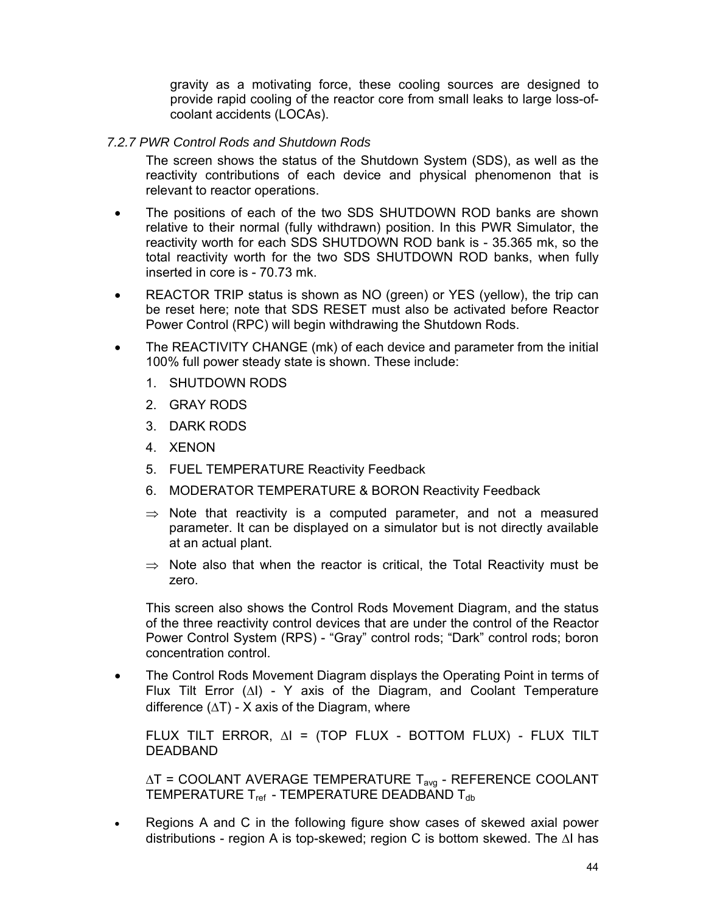gravity as a motivating force, these cooling sources are designed to provide rapid cooling of the reactor core from small leaks to large loss-ofcoolant accidents (LOCAs).

#### *7.2.7 PWR Control Rods and Shutdown Rods*

The screen shows the status of the Shutdown System (SDS), as well as the reactivity contributions of each device and physical phenomenon that is relevant to reactor operations.

- The positions of each of the two SDS SHUTDOWN ROD banks are shown relative to their normal (fully withdrawn) position. In this PWR Simulator, the reactivity worth for each SDS SHUTDOWN ROD bank is - 35.365 mk, so the total reactivity worth for the two SDS SHUTDOWN ROD banks, when fully inserted in core is - 70.73 mk.
- REACTOR TRIP status is shown as NO (green) or YES (yellow), the trip can be reset here; note that SDS RESET must also be activated before Reactor Power Control (RPC) will begin withdrawing the Shutdown Rods.
- The REACTIVITY CHANGE (mk) of each device and parameter from the initial 100% full power steady state is shown. These include:
	- 1. SHUTDOWN RODS
	- 2. GRAY RODS
	- 3. DARK RODS
	- 4. XENON
	- 5. FUEL TEMPERATURE Reactivity Feedback
	- 6. MODERATOR TEMPERATURE & BORON Reactivity Feedback
	- $\Rightarrow$  Note that reactivity is a computed parameter, and not a measured parameter. It can be displayed on a simulator but is not directly available at an actual plant.
	- $\Rightarrow$  Note also that when the reactor is critical, the Total Reactivity must be zero.

This screen also shows the Control Rods Movement Diagram, and the status of the three reactivity control devices that are under the control of the Reactor Power Control System (RPS) - "Gray" control rods; "Dark" control rods; boron concentration control.

• The Control Rods Movement Diagram displays the Operating Point in terms of Flux Tilt Error (∆I) - Y axis of the Diagram, and Coolant Temperature difference  $(∆T) - X$  axis of the Diagram, where

FLUX TILT ERROR, ∆I = (TOP FLUX - BOTTOM FLUX) - FLUX TILT DEADBAND

∆T = COOLANT AVERAGE TEMPERATURE Tavg - REFERENCE COOLANT TEMPERATURE  $T_{ref}$  - TEMPERATURE DEADBAND  $T_{db}$ 

• Regions A and C in the following figure show cases of skewed axial power distributions - region A is top-skewed; region C is bottom skewed. The ∆I has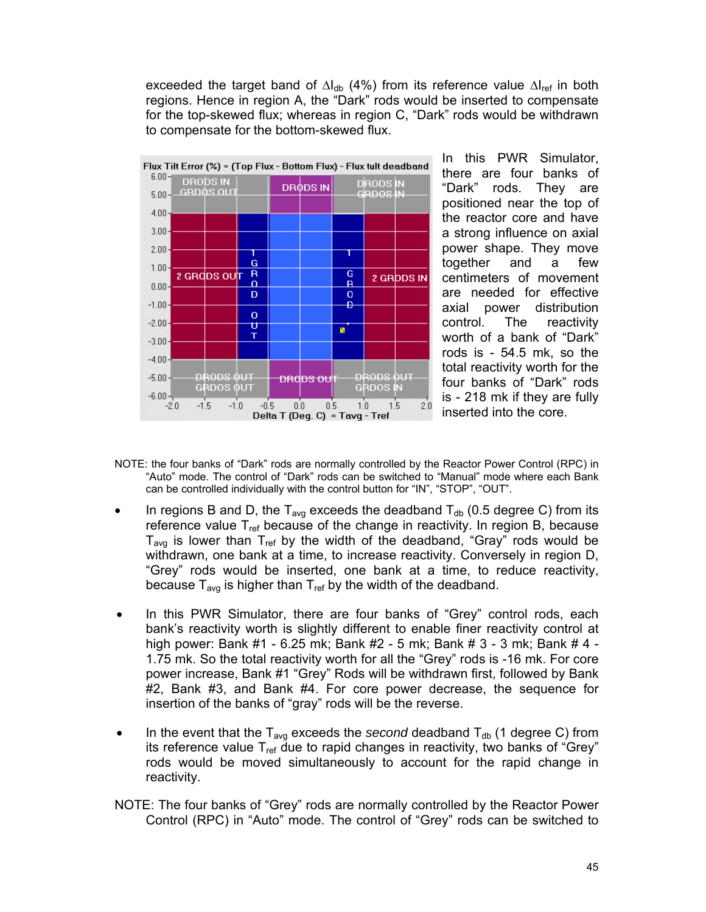exceeded the target band of  $\Delta I_{db}$  (4%) from its reference value  $\Delta I_{ref}$  in both regions. Hence in region A, the "Dark" rods would be inserted to compensate for the top-skewed flux; whereas in region C, "Dark" rods would be withdrawn to compensate for the bottom-skewed flux.



In this PWR Simulator, there are four banks of "Dark" rods. They are positioned near the top of the reactor core and have a strong influence on axial power shape. They move together and a few centimeters of movement are needed for effective axial power distribution control. The reactivity worth of a bank of "Dark" rods is - 54.5 mk, so the total reactivity worth for the four banks of "Dark" rods is - 218 mk if they are fully inserted into the core.

- NOTE: the four banks of "Dark" rods are normally controlled by the Reactor Power Control (RPC) in "Auto" mode. The control of "Dark" rods can be switched to "Manual" mode where each Bank can be controlled individually with the control button for "IN", "STOP", "OUT".
- In regions B and D, the  $T_{avg}$  exceeds the deadband  $T_{db}$  (0.5 degree C) from its reference value  $T_{ref}$  because of the change in reactivity. In region B, because  $T_{\text{avg}}$  is lower than  $T_{\text{ref}}$  by the width of the deadband, "Gray" rods would be withdrawn, one bank at a time, to increase reactivity. Conversely in region D, "Grey" rods would be inserted, one bank at a time, to reduce reactivity, because  $T_{\text{avg}}$  is higher than  $T_{\text{ref}}$  by the width of the deadband.
- In this PWR Simulator, there are four banks of "Grey" control rods, each bank's reactivity worth is slightly different to enable finer reactivity control at high power: Bank #1 - 6.25 mk; Bank #2 - 5 mk; Bank # 3 - 3 mk; Bank # 4 - 1.75 mk. So the total reactivity worth for all the "Grey" rods is -16 mk. For core power increase, Bank #1 "Grey" Rods will be withdrawn first, followed by Bank #2, Bank #3, and Bank #4. For core power decrease, the sequence for insertion of the banks of "gray" rods will be the reverse.
- In the event that the  $T_{\text{avg}}$  exceeds the *second* deadband  $T_{\text{db}}$  (1 degree C) from its reference value  $T_{ref}$  due to rapid changes in reactivity, two banks of "Grey" rods would be moved simultaneously to account for the rapid change in reactivity.
- NOTE: The four banks of "Grey" rods are normally controlled by the Reactor Power Control (RPC) in "Auto" mode. The control of "Grey" rods can be switched to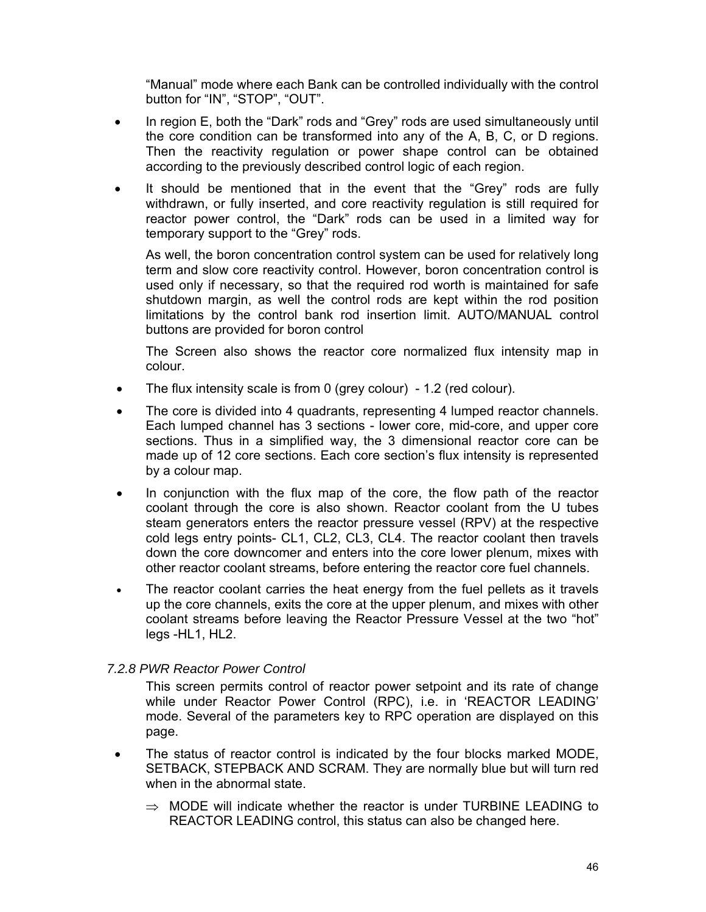"Manual" mode where each Bank can be controlled individually with the control button for "IN", "STOP", "OUT".

- In region E, both the "Dark" rods and "Grey" rods are used simultaneously until the core condition can be transformed into any of the A, B, C, or D regions. Then the reactivity regulation or power shape control can be obtained according to the previously described control logic of each region.
- It should be mentioned that in the event that the "Grey" rods are fully withdrawn, or fully inserted, and core reactivity regulation is still required for reactor power control, the "Dark" rods can be used in a limited way for temporary support to the "Grey" rods.

As well, the boron concentration control system can be used for relatively long term and slow core reactivity control. However, boron concentration control is used only if necessary, so that the required rod worth is maintained for safe shutdown margin, as well the control rods are kept within the rod position limitations by the control bank rod insertion limit. AUTO/MANUAL control buttons are provided for boron control

The Screen also shows the reactor core normalized flux intensity map in colour.

- The flux intensity scale is from 0 (grey colour) 1.2 (red colour).
- The core is divided into 4 quadrants, representing 4 lumped reactor channels. Each lumped channel has 3 sections - lower core, mid-core, and upper core sections. Thus in a simplified way, the 3 dimensional reactor core can be made up of 12 core sections. Each core section's flux intensity is represented by a colour map.
- In conjunction with the flux map of the core, the flow path of the reactor coolant through the core is also shown. Reactor coolant from the U tubes steam generators enters the reactor pressure vessel (RPV) at the respective cold legs entry points- CL1, CL2, CL3, CL4. The reactor coolant then travels down the core downcomer and enters into the core lower plenum, mixes with other reactor coolant streams, before entering the reactor core fuel channels.
- The reactor coolant carries the heat energy from the fuel pellets as it travels up the core channels, exits the core at the upper plenum, and mixes with other coolant streams before leaving the Reactor Pressure Vessel at the two "hot" legs -HL1, HL2.

#### *7.2.8 PWR Reactor Power Control*

This screen permits control of reactor power setpoint and its rate of change while under Reactor Power Control (RPC), i.e. in 'REACTOR LEADING' mode. Several of the parameters key to RPC operation are displayed on this page.

- The status of reactor control is indicated by the four blocks marked MODE, SETBACK, STEPBACK AND SCRAM. They are normally blue but will turn red when in the abnormal state.
	- $\Rightarrow$  MODE will indicate whether the reactor is under TURBINE LEADING to REACTOR LEADING control, this status can also be changed here.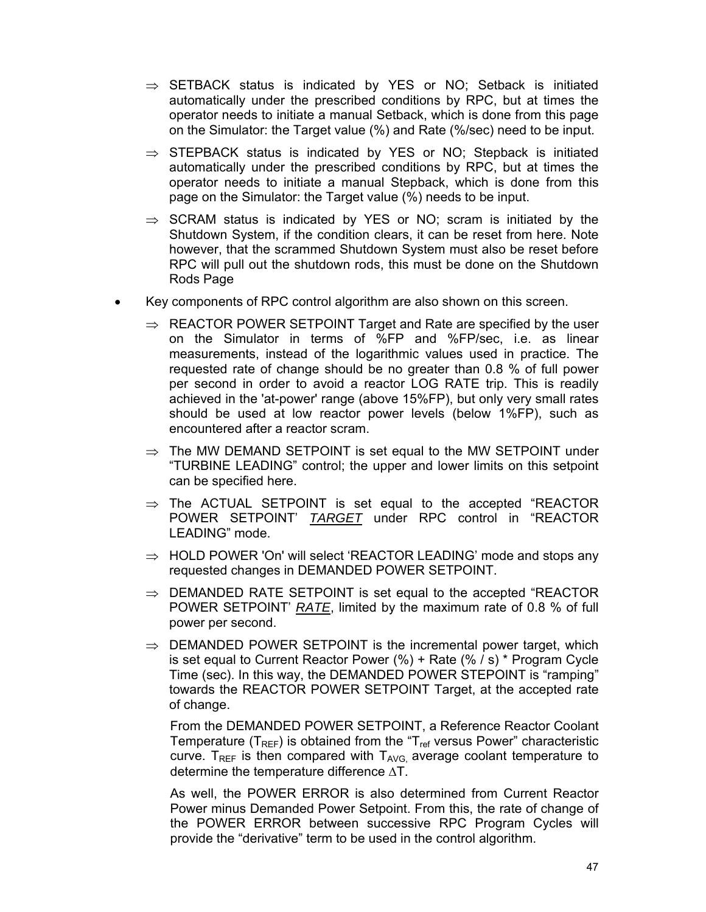- $\Rightarrow$  SETBACK status is indicated by YES or NO; Setback is initiated automatically under the prescribed conditions by RPC, but at times the operator needs to initiate a manual Setback, which is done from this page on the Simulator: the Target value (%) and Rate (%/sec) need to be input.
- $\Rightarrow$  STEPBACK status is indicated by YES or NO; Stepback is initiated automatically under the prescribed conditions by RPC, but at times the operator needs to initiate a manual Stepback, which is done from this page on the Simulator: the Target value (%) needs to be input.
- $\Rightarrow$  SCRAM status is indicated by YES or NO; scram is initiated by the Shutdown System, if the condition clears, it can be reset from here. Note however, that the scrammed Shutdown System must also be reset before RPC will pull out the shutdown rods, this must be done on the Shutdown Rods Page
- Key components of RPC control algorithm are also shown on this screen.
	- $\Rightarrow$  REACTOR POWER SETPOINT Target and Rate are specified by the user on the Simulator in terms of %FP and %FP/sec, i.e. as linear measurements, instead of the logarithmic values used in practice. The requested rate of change should be no greater than 0.8 % of full power per second in order to avoid a reactor LOG RATE trip. This is readily achieved in the 'at-power' range (above 15%FP), but only very small rates should be used at low reactor power levels (below 1%FP), such as encountered after a reactor scram.
	- $\Rightarrow$  The MW DEMAND SETPOINT is set equal to the MW SETPOINT under "TURBINE LEADING" control; the upper and lower limits on this setpoint can be specified here.
	- $\Rightarrow$  The ACTUAL SETPOINT is set equal to the accepted "REACTOR POWER SETPOINT' *TARGET* under RPC control in "REACTOR LEADING" mode.
	- $\Rightarrow$  HOLD POWER 'On' will select 'REACTOR LEADING' mode and stops any requested changes in DEMANDED POWER SETPOINT.
	- $\Rightarrow$  DEMANDED RATE SETPOINT is set equal to the accepted "REACTOR POWER SETPOINT' *RATE*, limited by the maximum rate of 0.8 % of full power per second.
	- $\Rightarrow$  DEMANDED POWER SETPOINT is the incremental power target, which is set equal to Current Reactor Power (%) + Rate (% / s) \* Program Cycle Time (sec). In this way, the DEMANDED POWER STEPOINT is "ramping" towards the REACTOR POWER SETPOINT Target, at the accepted rate of change.

From the DEMANDED POWER SETPOINT, a Reference Reactor Coolant Temperature ( $T_{REF}$ ) is obtained from the " $T_{ref}$  versus Power" characteristic curve. T<sub>REF</sub> is then compared with  $T_{AVG}$  average coolant temperature to determine the temperature difference ∆T.

As well, the POWER ERROR is also determined from Current Reactor Power minus Demanded Power Setpoint. From this, the rate of change of the POWER ERROR between successive RPC Program Cycles will provide the "derivative" term to be used in the control algorithm.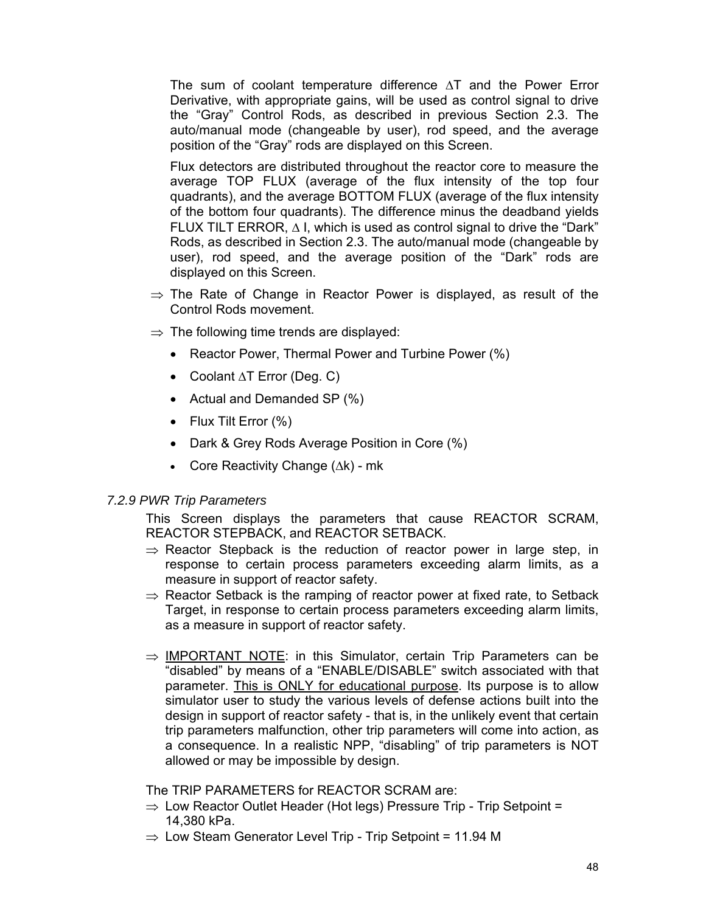The sum of coolant temperature difference ∆T and the Power Error Derivative, with appropriate gains, will be used as control signal to drive the "Gray" Control Rods, as described in previous Section 2.3. The auto/manual mode (changeable by user), rod speed, and the average position of the "Gray" rods are displayed on this Screen.

Flux detectors are distributed throughout the reactor core to measure the average TOP FLUX (average of the flux intensity of the top four quadrants), and the average BOTTOM FLUX (average of the flux intensity of the bottom four quadrants). The difference minus the deadband yields FLUX TILT ERROR, ∆ I, which is used as control signal to drive the "Dark" Rods, as described in Section 2.3. The auto/manual mode (changeable by user), rod speed, and the average position of the "Dark" rods are displayed on this Screen.

- $\Rightarrow$  The Rate of Change in Reactor Power is displayed, as result of the Control Rods movement.
- $\Rightarrow$  The following time trends are displayed:
	- Reactor Power, Thermal Power and Turbine Power (%)
	- Coolant ∆T Error (Deg. C)
	- Actual and Demanded SP (%)
	- Flux Tilt Error (%)
	- Dark & Grey Rods Average Position in Core (%)
	- Core Reactivity Change (∆k) mk

#### *7.2.9 PWR Trip Parameters*

This Screen displays the parameters that cause REACTOR SCRAM, REACTOR STEPBACK, and REACTOR SETBACK.

- $\Rightarrow$  Reactor Stepback is the reduction of reactor power in large step, in response to certain process parameters exceeding alarm limits, as a measure in support of reactor safety.
- $\Rightarrow$  Reactor Setback is the ramping of reactor power at fixed rate, to Setback Target, in response to certain process parameters exceeding alarm limits, as a measure in support of reactor safety.
- $\Rightarrow$  IMPORTANT NOTE: in this Simulator, certain Trip Parameters can be "disabled" by means of a "ENABLE/DISABLE" switch associated with that parameter. This is ONLY for educational purpose. Its purpose is to allow simulator user to study the various levels of defense actions built into the design in support of reactor safety - that is, in the unlikely event that certain trip parameters malfunction, other trip parameters will come into action, as a consequence. In a realistic NPP, "disabling" of trip parameters is NOT allowed or may be impossible by design.

The TRIP PARAMETERS for REACTOR SCRAM are:

- $\Rightarrow$  Low Reactor Outlet Header (Hot legs) Pressure Trip Trip Setpoint = 14,380 kPa.
- $\Rightarrow$  Low Steam Generator Level Trip Trip Setpoint = 11.94 M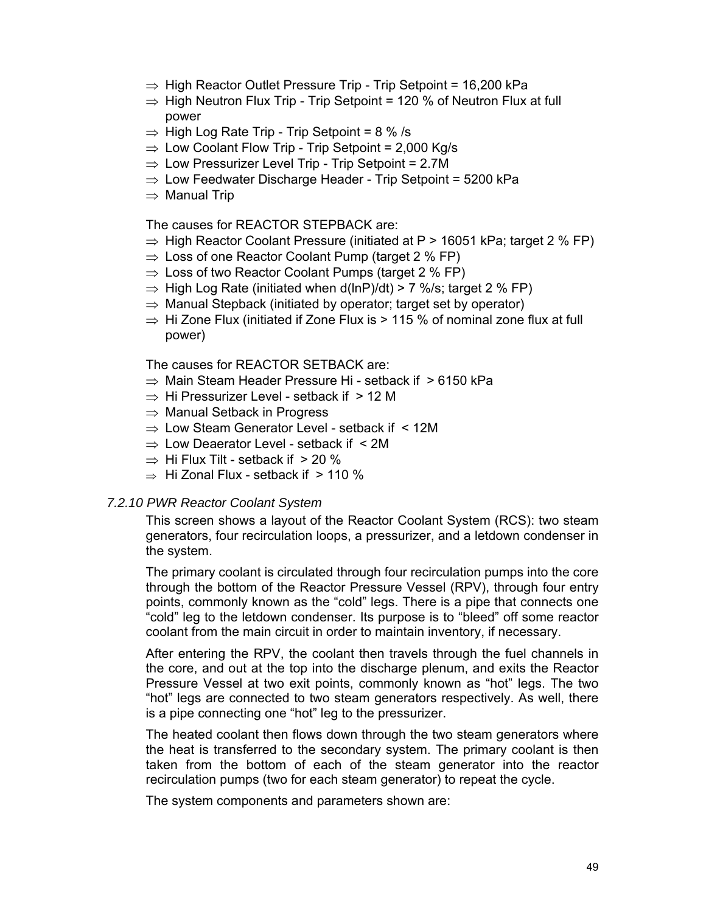- $\Rightarrow$  High Reactor Outlet Pressure Trip Trip Setpoint = 16,200 kPa
- $\Rightarrow$  High Neutron Flux Trip Trip Setpoint = 120 % of Neutron Flux at full power
- $\Rightarrow$  High Log Rate Trip Trip Setpoint = 8 % /s
- $\Rightarrow$  Low Coolant Flow Trip Trip Setpoint = 2,000 Kg/s
- $\Rightarrow$  Low Pressurizer Level Trip Trip Setpoint = 2.7M
- $\Rightarrow$  Low Feedwater Discharge Header Trip Setpoint = 5200 kPa
- ⇒ Manual Trip

The causes for REACTOR STEPBACK are:

- $\Rightarrow$  High Reactor Coolant Pressure (initiated at P > 16051 kPa; target 2 % FP)
- $\Rightarrow$  Loss of one Reactor Coolant Pump (target 2 % FP)
- $\Rightarrow$  Loss of two Reactor Coolant Pumps (target 2 % FP)
- $\Rightarrow$  High Log Rate (initiated when d(lnP)/dt) > 7 %/s; target 2 % FP)
- $\Rightarrow$  Manual Stepback (initiated by operator; target set by operator)
- $\Rightarrow$  Hi Zone Flux (initiated if Zone Flux is > 115 % of nominal zone flux at full power)

The causes for REACTOR SETBACK are:

- $\Rightarrow$  Main Steam Header Pressure Hi setback if  $\geq 6150$  kPa
- $\Rightarrow$  Hi Pressurizer Level setback if  $> 12$  M
- $\Rightarrow$  Manual Setback in Progress
- $\Rightarrow$  Low Steam Generator Level setback if  $\leq$  12M
- $\Rightarrow$  Low Deaerator Level setback if  $\leq 2M$
- $\Rightarrow$  Hi Flux Tilt setback if  $>$  20 %
- $\Rightarrow$  Hi Zonal Flux setback if  $> 110\%$

#### *7.2.10 PWR Reactor Coolant System*

This screen shows a layout of the Reactor Coolant System (RCS): two steam generators, four recirculation loops, a pressurizer, and a letdown condenser in the system.

The primary coolant is circulated through four recirculation pumps into the core through the bottom of the Reactor Pressure Vessel (RPV), through four entry points, commonly known as the "cold" legs. There is a pipe that connects one "cold" leg to the letdown condenser. Its purpose is to "bleed" off some reactor coolant from the main circuit in order to maintain inventory, if necessary.

After entering the RPV, the coolant then travels through the fuel channels in the core, and out at the top into the discharge plenum, and exits the Reactor Pressure Vessel at two exit points, commonly known as "hot" legs. The two "hot" legs are connected to two steam generators respectively. As well, there is a pipe connecting one "hot" leg to the pressurizer.

The heated coolant then flows down through the two steam generators where the heat is transferred to the secondary system. The primary coolant is then taken from the bottom of each of the steam generator into the reactor recirculation pumps (two for each steam generator) to repeat the cycle.

The system components and parameters shown are: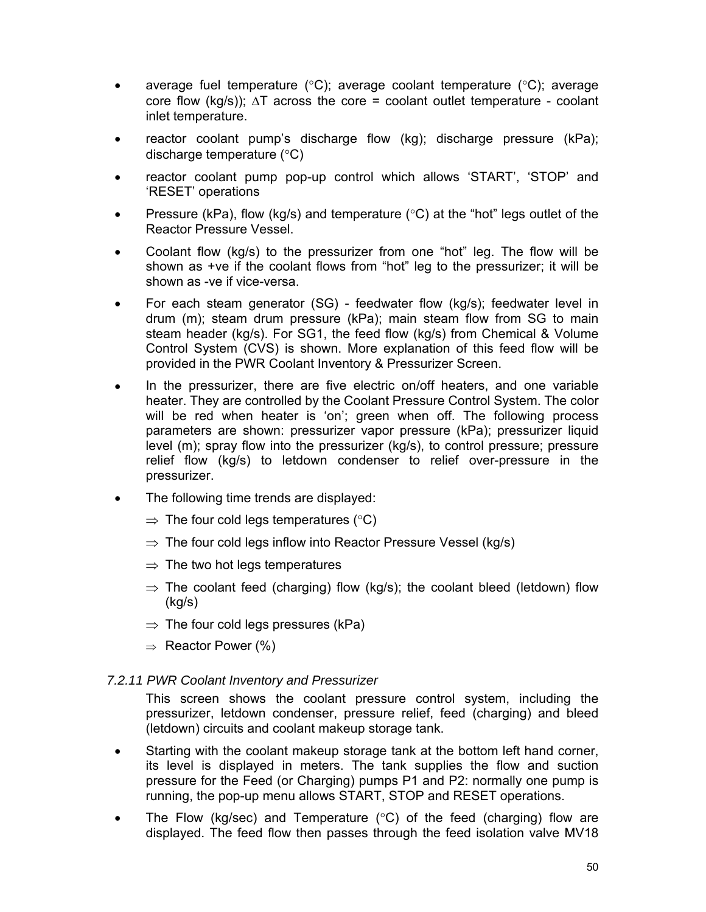- average fuel temperature ( ${}^{\circ}$ C); average coolant temperature ( ${}^{\circ}$ C); average core flow (kg/s));  $\Delta T$  across the core = coolant outlet temperature - coolant inlet temperature.
- reactor coolant pump's discharge flow (kg); discharge pressure (kPa); discharge temperature (°C)
- reactor coolant pump pop-up control which allows 'START', 'STOP' and 'RESET' operations
- Pressure (kPa), flow (kg/s) and temperature ( $\degree$ C) at the "hot" legs outlet of the Reactor Pressure Vessel.
- Coolant flow (kg/s) to the pressurizer from one "hot" leg. The flow will be shown as +ve if the coolant flows from "hot" leg to the pressurizer; it will be shown as -ve if vice-versa.
- For each steam generator (SG) feedwater flow (kg/s); feedwater level in drum (m); steam drum pressure (kPa); main steam flow from SG to main steam header (kg/s). For SG1, the feed flow (kg/s) from Chemical & Volume Control System (CVS) is shown. More explanation of this feed flow will be provided in the PWR Coolant Inventory & Pressurizer Screen.
- In the pressurizer, there are five electric on/off heaters, and one variable heater. They are controlled by the Coolant Pressure Control System. The color will be red when heater is 'on'; green when off. The following process parameters are shown: pressurizer vapor pressure (kPa); pressurizer liquid level (m); spray flow into the pressurizer (kg/s), to control pressure; pressure relief flow (kg/s) to letdown condenser to relief over-pressure in the pressurizer.
- The following time trends are displayed:
	- $\Rightarrow$  The four cold legs temperatures (°C)
	- $\Rightarrow$  The four cold legs inflow into Reactor Pressure Vessel (kg/s)
	- $\Rightarrow$  The two hot legs temperatures
	- $\Rightarrow$  The coolant feed (charging) flow (kg/s); the coolant bleed (letdown) flow (kg/s)
	- $\Rightarrow$  The four cold legs pressures (kPa)
	- $\Rightarrow$  Reactor Power (%)

#### *7.2.11 PWR Coolant Inventory and Pressurizer*

This screen shows the coolant pressure control system, including the pressurizer, letdown condenser, pressure relief, feed (charging) and bleed (letdown) circuits and coolant makeup storage tank.

- Starting with the coolant makeup storage tank at the bottom left hand corner, its level is displayed in meters. The tank supplies the flow and suction pressure for the Feed (or Charging) pumps P1 and P2: normally one pump is running, the pop-up menu allows START, STOP and RESET operations.
- The Flow (kg/sec) and Temperature ( $\degree$ C) of the feed (charging) flow are displayed. The feed flow then passes through the feed isolation valve MV18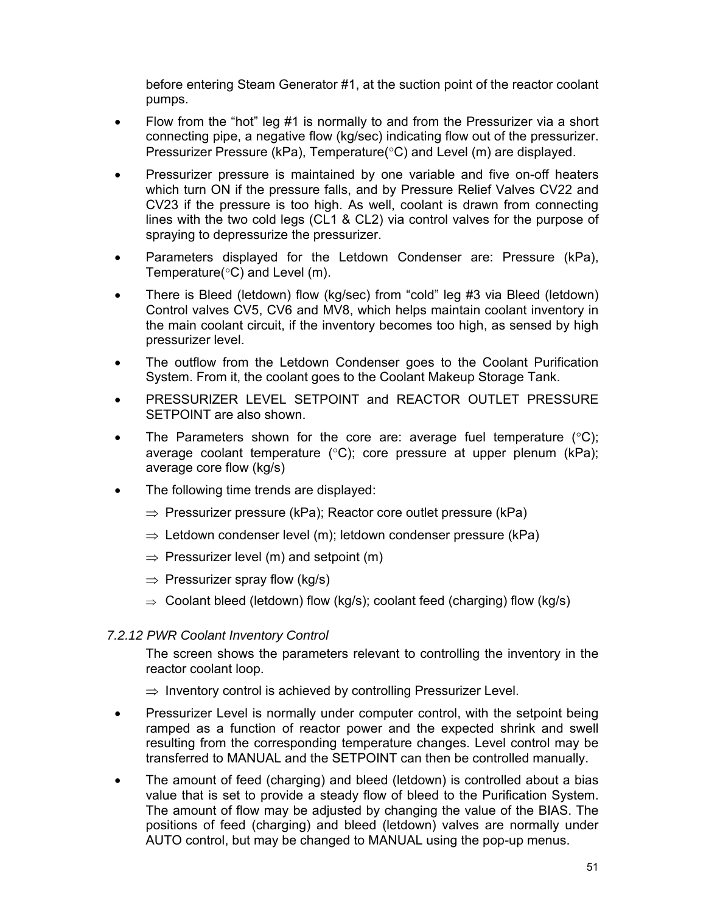before entering Steam Generator #1, at the suction point of the reactor coolant pumps.

- Flow from the "hot" leg #1 is normally to and from the Pressurizer via a short connecting pipe, a negative flow (kg/sec) indicating flow out of the pressurizer. Pressurizer Pressure (kPa), Temperature(°C) and Level (m) are displayed.
- Pressurizer pressure is maintained by one variable and five on-off heaters which turn ON if the pressure falls, and by Pressure Relief Valves CV22 and CV23 if the pressure is too high. As well, coolant is drawn from connecting lines with the two cold legs (CL1 & CL2) via control valves for the purpose of spraying to depressurize the pressurizer.
- Parameters displayed for the Letdown Condenser are: Pressure (kPa), Temperature(°C) and Level (m).
- There is Bleed (letdown) flow (kg/sec) from "cold" leg #3 via Bleed (letdown) Control valves CV5, CV6 and MV8, which helps maintain coolant inventory in the main coolant circuit, if the inventory becomes too high, as sensed by high pressurizer level.
- The outflow from the Letdown Condenser goes to the Coolant Purification System. From it, the coolant goes to the Coolant Makeup Storage Tank.
- PRESSURIZER LEVEL SETPOINT and REACTOR OUTLET PRESSURE SETPOINT are also shown.
- The Parameters shown for the core are: average fuel temperature  $(^{\circ}C)$ ; average coolant temperature (°C); core pressure at upper plenum (kPa); average core flow (kg/s)
- The following time trends are displayed:
	- $\Rightarrow$  Pressurizer pressure (kPa); Reactor core outlet pressure (kPa)
	- $\Rightarrow$  Letdown condenser level (m); letdown condenser pressure (kPa)
	- $\Rightarrow$  Pressurizer level (m) and setpoint (m)
	- $\Rightarrow$  Pressurizer spray flow (kg/s)
	- $\Rightarrow$  Coolant bleed (letdown) flow (kg/s); coolant feed (charging) flow (kg/s)

#### *7.2.12 PWR Coolant Inventory Control*

The screen shows the parameters relevant to controlling the inventory in the reactor coolant loop.

 $\Rightarrow$  Inventory control is achieved by controlling Pressurizer Level.

- Pressurizer Level is normally under computer control, with the setpoint being ramped as a function of reactor power and the expected shrink and swell resulting from the corresponding temperature changes. Level control may be transferred to MANUAL and the SETPOINT can then be controlled manually.
- The amount of feed (charging) and bleed (letdown) is controlled about a bias value that is set to provide a steady flow of bleed to the Purification System. The amount of flow may be adjusted by changing the value of the BIAS. The positions of feed (charging) and bleed (letdown) valves are normally under AUTO control, but may be changed to MANUAL using the pop-up menus.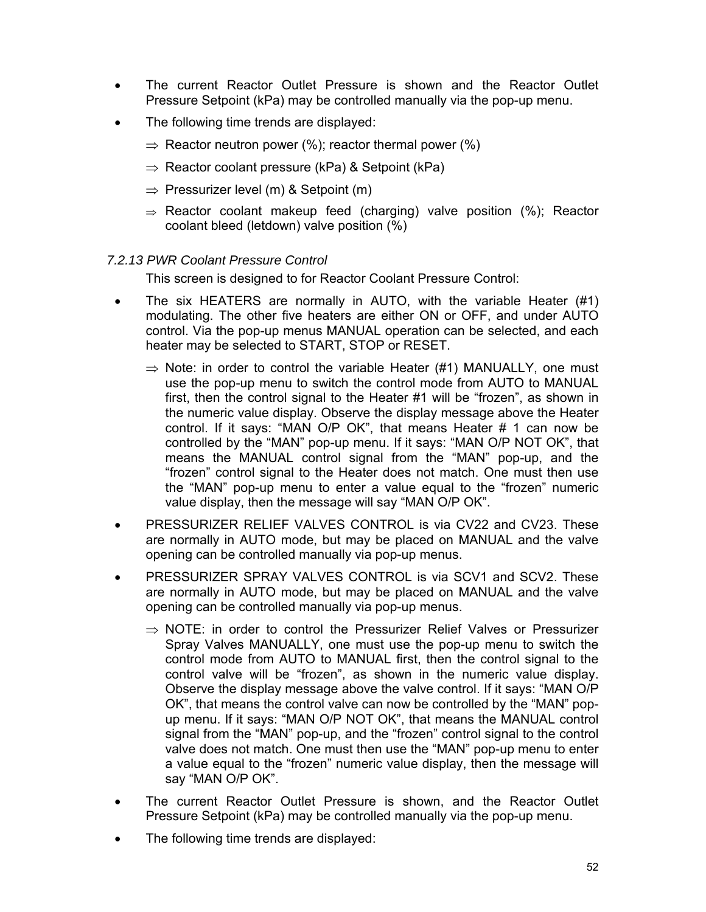- The current Reactor Outlet Pressure is shown and the Reactor Outlet Pressure Setpoint (kPa) may be controlled manually via the pop-up menu.
- The following time trends are displayed:
	- $\Rightarrow$  Reactor neutron power (%); reactor thermal power (%)
	- $\Rightarrow$  Reactor coolant pressure (kPa) & Setpoint (kPa)
	- $\Rightarrow$  Pressurizer level (m) & Setpoint (m)
	- $\Rightarrow$  Reactor coolant makeup feed (charging) valve position (%); Reactor coolant bleed (letdown) valve position (%)

#### *7.2.13 PWR Coolant Pressure Control*

This screen is designed to for Reactor Coolant Pressure Control:

- The six HEATERS are normally in AUTO, with the variable Heater (#1) modulating. The other five heaters are either ON or OFF, and under AUTO control. Via the pop-up menus MANUAL operation can be selected, and each heater may be selected to START, STOP or RESET.
	- $\Rightarrow$  Note: in order to control the variable Heater (#1) MANUALLY, one must use the pop-up menu to switch the control mode from AUTO to MANUAL first, then the control signal to the Heater #1 will be "frozen", as shown in the numeric value display. Observe the display message above the Heater control. If it says: "MAN O/P OK", that means Heater # 1 can now be controlled by the "MAN" pop-up menu. If it says: "MAN O/P NOT OK", that means the MANUAL control signal from the "MAN" pop-up, and the "frozen" control signal to the Heater does not match. One must then use the "MAN" pop-up menu to enter a value equal to the "frozen" numeric value display, then the message will say "MAN O/P OK".
- PRESSURIZER RELIEF VALVES CONTROL is via CV22 and CV23. These are normally in AUTO mode, but may be placed on MANUAL and the valve opening can be controlled manually via pop-up menus.
- PRESSURIZER SPRAY VALVES CONTROL is via SCV1 and SCV2. These are normally in AUTO mode, but may be placed on MANUAL and the valve opening can be controlled manually via pop-up menus.
	- $\Rightarrow$  NOTE: in order to control the Pressurizer Relief Valves or Pressurizer Spray Valves MANUALLY, one must use the pop-up menu to switch the control mode from AUTO to MANUAL first, then the control signal to the control valve will be "frozen", as shown in the numeric value display. Observe the display message above the valve control. If it says: "MAN O/P OK", that means the control valve can now be controlled by the "MAN" popup menu. If it says: "MAN O/P NOT OK", that means the MANUAL control signal from the "MAN" pop-up, and the "frozen" control signal to the control valve does not match. One must then use the "MAN" pop-up menu to enter a value equal to the "frozen" numeric value display, then the message will say "MAN O/P OK".
- The current Reactor Outlet Pressure is shown, and the Reactor Outlet Pressure Setpoint (kPa) may be controlled manually via the pop-up menu.
- The following time trends are displayed: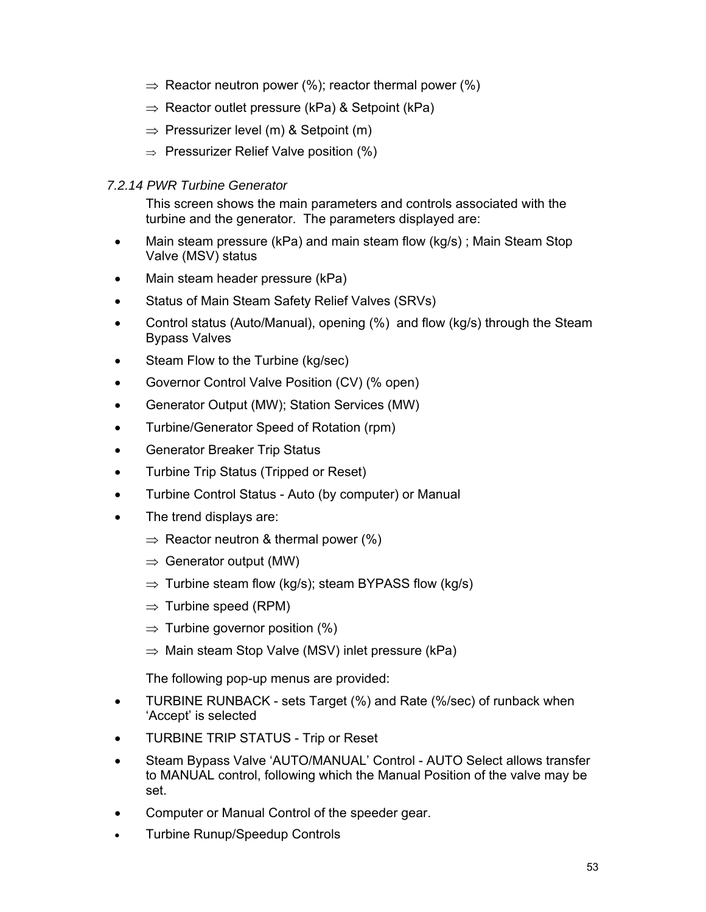- $\Rightarrow$  Reactor neutron power (%); reactor thermal power (%)
- $\Rightarrow$  Reactor outlet pressure (kPa) & Setpoint (kPa)
- $\Rightarrow$  Pressurizer level (m) & Setpoint (m)
- $\Rightarrow$  Pressurizer Relief Valve position (%)

### *7.2.14 PWR Turbine Generator*

This screen shows the main parameters and controls associated with the turbine and the generator. The parameters displayed are:

- Main steam pressure (kPa) and main steam flow (kg/s); Main Steam Stop Valve (MSV) status
- Main steam header pressure (kPa)
- Status of Main Steam Safety Relief Valves (SRVs)
- Control status (Auto/Manual), opening (%) and flow (kg/s) through the Steam Bypass Valves
- Steam Flow to the Turbine (kg/sec)
- Governor Control Valve Position (CV) (% open)
- Generator Output (MW); Station Services (MW)
- Turbine/Generator Speed of Rotation (rpm)
- Generator Breaker Trip Status
- Turbine Trip Status (Tripped or Reset)
- Turbine Control Status Auto (by computer) or Manual
- The trend displays are:
	- $\Rightarrow$  Reactor neutron & thermal power (%)
	- $\Rightarrow$  Generator output (MW)
	- $\Rightarrow$  Turbine steam flow (kg/s); steam BYPASS flow (kg/s)
	- $\Rightarrow$  Turbine speed (RPM)
	- $\Rightarrow$  Turbine governor position (%)
	- $\Rightarrow$  Main steam Stop Valve (MSV) inlet pressure (kPa)

The following pop-up menus are provided:

- TURBINE RUNBACK sets Target (%) and Rate (%/sec) of runback when 'Accept' is selected
- TURBINE TRIP STATUS Trip or Reset
- Steam Bypass Valve 'AUTO/MANUAL' Control AUTO Select allows transfer to MANUAL control, following which the Manual Position of the valve may be set.
- Computer or Manual Control of the speeder gear.
- Turbine Runup/Speedup Controls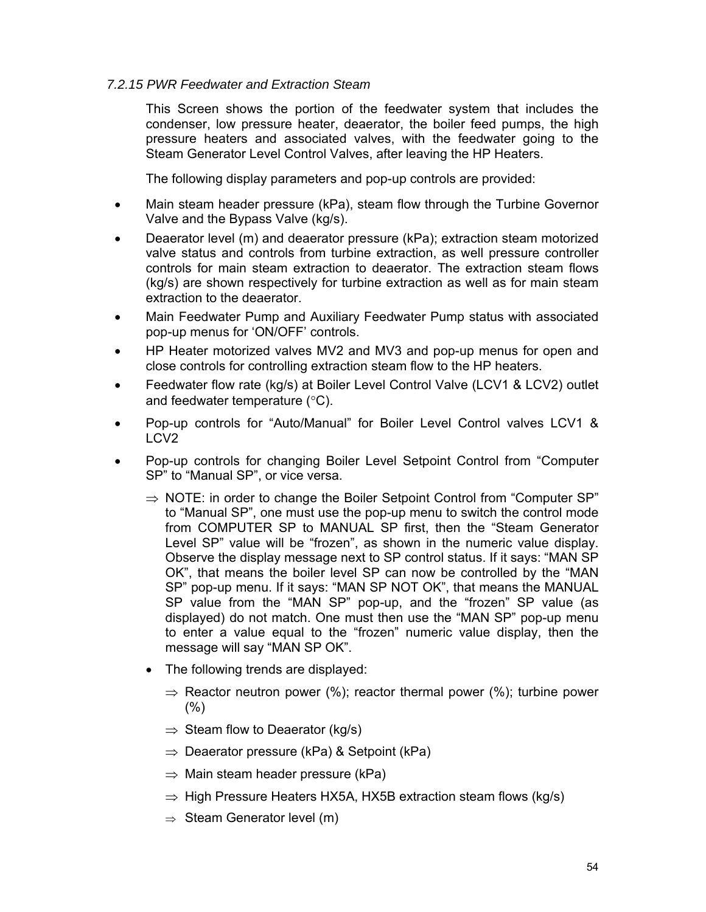### *7.2.15 PWR Feedwater and Extraction Steam*

This Screen shows the portion of the feedwater system that includes the condenser, low pressure heater, deaerator, the boiler feed pumps, the high pressure heaters and associated valves, with the feedwater going to the Steam Generator Level Control Valves, after leaving the HP Heaters.

The following display parameters and pop-up controls are provided:

- Main steam header pressure (kPa), steam flow through the Turbine Governor Valve and the Bypass Valve (kg/s).
- Deaerator level (m) and deaerator pressure (kPa); extraction steam motorized valve status and controls from turbine extraction, as well pressure controller controls for main steam extraction to deaerator. The extraction steam flows (kg/s) are shown respectively for turbine extraction as well as for main steam extraction to the deaerator.
- Main Feedwater Pump and Auxiliary Feedwater Pump status with associated pop-up menus for 'ON/OFF' controls.
- HP Heater motorized valves MV2 and MV3 and pop-up menus for open and close controls for controlling extraction steam flow to the HP heaters.
- Feedwater flow rate (kg/s) at Boiler Level Control Valve (LCV1 & LCV2) outlet and feedwater temperature (°C).
- Pop-up controls for "Auto/Manual" for Boiler Level Control valves LCV1 & LCV2
- Pop-up controls for changing Boiler Level Setpoint Control from "Computer SP" to "Manual SP", or vice versa.
	- $\Rightarrow$  NOTE: in order to change the Boiler Setpoint Control from "Computer SP" to "Manual SP", one must use the pop-up menu to switch the control mode from COMPUTER SP to MANUAL SP first, then the "Steam Generator Level SP" value will be "frozen", as shown in the numeric value display. Observe the display message next to SP control status. If it says: "MAN SP OK", that means the boiler level SP can now be controlled by the "MAN SP" pop-up menu. If it says: "MAN SP NOT OK", that means the MANUAL SP value from the "MAN SP" pop-up, and the "frozen" SP value (as displayed) do not match. One must then use the "MAN SP" pop-up menu to enter a value equal to the "frozen" numeric value display, then the message will say "MAN SP OK".
	- The following trends are displayed:
		- $\Rightarrow$  Reactor neutron power (%); reactor thermal power (%); turbine power  $(%)$
		- $\Rightarrow$  Steam flow to Deaerator (kg/s)
		- $\Rightarrow$  Deaerator pressure (kPa) & Setpoint (kPa)
		- $\Rightarrow$  Main steam header pressure (kPa)
		- $\Rightarrow$  High Pressure Heaters HX5A, HX5B extraction steam flows (kg/s)
		- $\Rightarrow$  Steam Generator level (m)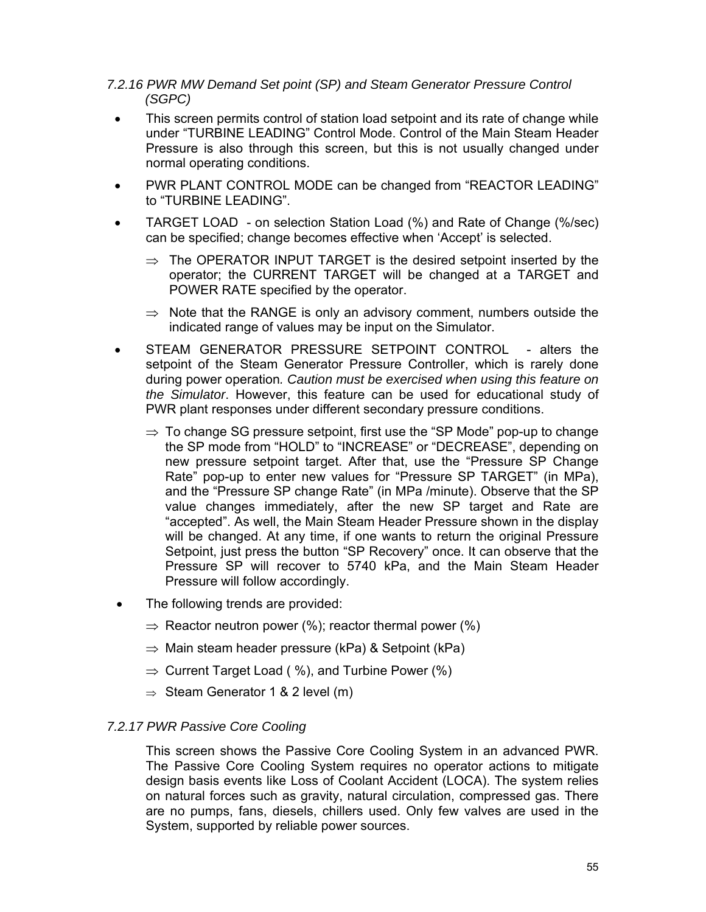### *7.2.16 PWR MW Demand Set point (SP) and Steam Generator Pressure Control (SGPC)*

- This screen permits control of station load setpoint and its rate of change while under "TURBINE LEADING" Control Mode. Control of the Main Steam Header Pressure is also through this screen, but this is not usually changed under normal operating conditions.
- PWR PLANT CONTROL MODE can be changed from "REACTOR LEADING" to "TURBINE LEADING".
- TARGET LOAD on selection Station Load (%) and Rate of Change (%/sec) can be specified; change becomes effective when 'Accept' is selected.
	- $\Rightarrow$  The OPERATOR INPUT TARGET is the desired setpoint inserted by the operator; the CURRENT TARGET will be changed at a TARGET and POWER RATE specified by the operator.
	- $\Rightarrow$  Note that the RANGE is only an advisory comment, numbers outside the indicated range of values may be input on the Simulator.
- STEAM GENERATOR PRESSURE SETPOINT CONTROL alters the setpoint of the Steam Generator Pressure Controller, which is rarely done during power operation*. Caution must be exercised when using this feature on the Simulator*. However, this feature can be used for educational study of PWR plant responses under different secondary pressure conditions.
	- $\Rightarrow$  To change SG pressure setpoint, first use the "SP Mode" pop-up to change the SP mode from "HOLD" to "INCREASE" or "DECREASE", depending on new pressure setpoint target. After that, use the "Pressure SP Change Rate" pop-up to enter new values for "Pressure SP TARGET" (in MPa), and the "Pressure SP change Rate" (in MPa /minute). Observe that the SP value changes immediately, after the new SP target and Rate are "accepted". As well, the Main Steam Header Pressure shown in the display will be changed. At any time, if one wants to return the original Pressure Setpoint, just press the button "SP Recovery" once. It can observe that the Pressure SP will recover to 5740 kPa, and the Main Steam Header Pressure will follow accordingly.
- The following trends are provided:
	- $\Rightarrow$  Reactor neutron power (%); reactor thermal power (%)
	- $\Rightarrow$  Main steam header pressure (kPa) & Setpoint (kPa)
	- $\Rightarrow$  Current Target Load ( %), and Turbine Power (%)
	- $\Rightarrow$  Steam Generator 1 & 2 level (m)

#### *7.2.17 PWR Passive Core Cooling*

This screen shows the Passive Core Cooling System in an advanced PWR. The Passive Core Cooling System requires no operator actions to mitigate design basis events like Loss of Coolant Accident (LOCA). The system relies on natural forces such as gravity, natural circulation, compressed gas. There are no pumps, fans, diesels, chillers used. Only few valves are used in the System, supported by reliable power sources.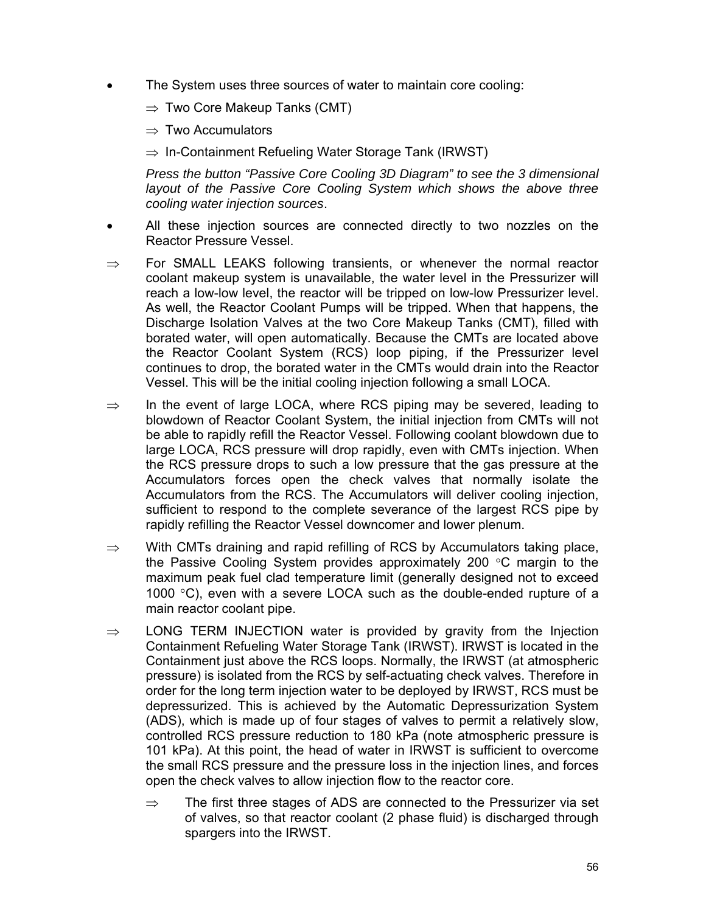- The System uses three sources of water to maintain core cooling:
	- $\Rightarrow$  Two Core Makeup Tanks (CMT)
	- $\Rightarrow$  Two Accumulators
	- $\Rightarrow$  In-Containment Refueling Water Storage Tank (IRWST)

*Press the button "Passive Core Cooling 3D Diagram" to see the 3 dimensional layout of the Passive Core Cooling System which shows the above three cooling water injection sources*.

- All these injection sources are connected directly to two nozzles on the Reactor Pressure Vessel.
- $\Rightarrow$  For SMALL LEAKS following transients, or whenever the normal reactor coolant makeup system is unavailable, the water level in the Pressurizer will reach a low-low level, the reactor will be tripped on low-low Pressurizer level. As well, the Reactor Coolant Pumps will be tripped. When that happens, the Discharge Isolation Valves at the two Core Makeup Tanks (CMT), filled with borated water, will open automatically. Because the CMTs are located above the Reactor Coolant System (RCS) loop piping, if the Pressurizer level continues to drop, the borated water in the CMTs would drain into the Reactor Vessel. This will be the initial cooling injection following a small LOCA.
- ⇒ In the event of large LOCA, where RCS piping may be severed, leading to blowdown of Reactor Coolant System, the initial injection from CMTs will not be able to rapidly refill the Reactor Vessel. Following coolant blowdown due to large LOCA, RCS pressure will drop rapidly, even with CMTs injection. When the RCS pressure drops to such a low pressure that the gas pressure at the Accumulators forces open the check valves that normally isolate the Accumulators from the RCS. The Accumulators will deliver cooling injection, sufficient to respond to the complete severance of the largest RCS pipe by rapidly refilling the Reactor Vessel downcomer and lower plenum.
- $\Rightarrow$  With CMTs draining and rapid refilling of RCS by Accumulators taking place, the Passive Cooling System provides approximately 200 °C margin to the maximum peak fuel clad temperature limit (generally designed not to exceed 1000 °C), even with a severe LOCA such as the double-ended rupture of a main reactor coolant pipe.
- $\Rightarrow$  LONG TERM INJECTION water is provided by gravity from the Injection Containment Refueling Water Storage Tank (IRWST). IRWST is located in the Containment just above the RCS loops. Normally, the IRWST (at atmospheric pressure) is isolated from the RCS by self-actuating check valves. Therefore in order for the long term injection water to be deployed by IRWST, RCS must be depressurized. This is achieved by the Automatic Depressurization System (ADS), which is made up of four stages of valves to permit a relatively slow, controlled RCS pressure reduction to 180 kPa (note atmospheric pressure is 101 kPa). At this point, the head of water in IRWST is sufficient to overcome the small RCS pressure and the pressure loss in the injection lines, and forces open the check valves to allow injection flow to the reactor core.
	- $\Rightarrow$  The first three stages of ADS are connected to the Pressurizer via set of valves, so that reactor coolant (2 phase fluid) is discharged through spargers into the IRWST.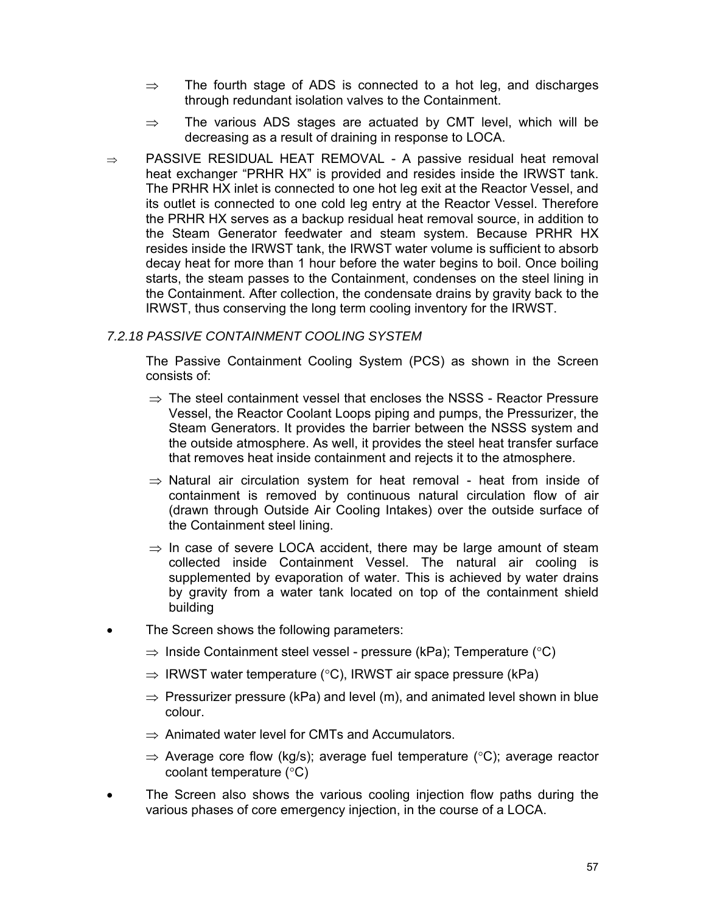- $\Rightarrow$  The fourth stage of ADS is connected to a hot leg, and discharges through redundant isolation valves to the Containment.
- $\Rightarrow$  The various ADS stages are actuated by CMT level, which will be decreasing as a result of draining in response to LOCA.
- ⇒ PASSIVE RESIDUAL HEAT REMOVAL A passive residual heat removal heat exchanger "PRHR HX" is provided and resides inside the IRWST tank. The PRHR HX inlet is connected to one hot leg exit at the Reactor Vessel, and its outlet is connected to one cold leg entry at the Reactor Vessel. Therefore the PRHR HX serves as a backup residual heat removal source, in addition to the Steam Generator feedwater and steam system. Because PRHR HX resides inside the IRWST tank, the IRWST water volume is sufficient to absorb decay heat for more than 1 hour before the water begins to boil. Once boiling starts, the steam passes to the Containment, condenses on the steel lining in the Containment. After collection, the condensate drains by gravity back to the IRWST, thus conserving the long term cooling inventory for the IRWST.

#### *7.2.18 PASSIVE CONTAINMENT COOLING SYSTEM*

The Passive Containment Cooling System (PCS) as shown in the Screen consists of:

- $\Rightarrow$  The steel containment vessel that encloses the NSSS Reactor Pressure Vessel, the Reactor Coolant Loops piping and pumps, the Pressurizer, the Steam Generators. It provides the barrier between the NSSS system and the outside atmosphere. As well, it provides the steel heat transfer surface that removes heat inside containment and rejects it to the atmosphere.
- $\Rightarrow$  Natural air circulation system for heat removal heat from inside of containment is removed by continuous natural circulation flow of air (drawn through Outside Air Cooling Intakes) over the outside surface of the Containment steel lining.
- $\Rightarrow$  In case of severe LOCA accident, there may be large amount of steam collected inside Containment Vessel. The natural air cooling is supplemented by evaporation of water. This is achieved by water drains by gravity from a water tank located on top of the containment shield building
- The Screen shows the following parameters:
	- $\Rightarrow$  Inside Containment steel vessel pressure (kPa); Temperature (°C)
	- $\Rightarrow$  IRWST water temperature (°C), IRWST air space pressure (kPa)
	- $\Rightarrow$  Pressurizer pressure (kPa) and level (m), and animated level shown in blue colour.
	- $\Rightarrow$  Animated water level for CMTs and Accumulators.
	- $\Rightarrow$  Average core flow (kg/s); average fuel temperature (°C); average reactor coolant temperature (°C)
- The Screen also shows the various cooling injection flow paths during the various phases of core emergency injection, in the course of a LOCA.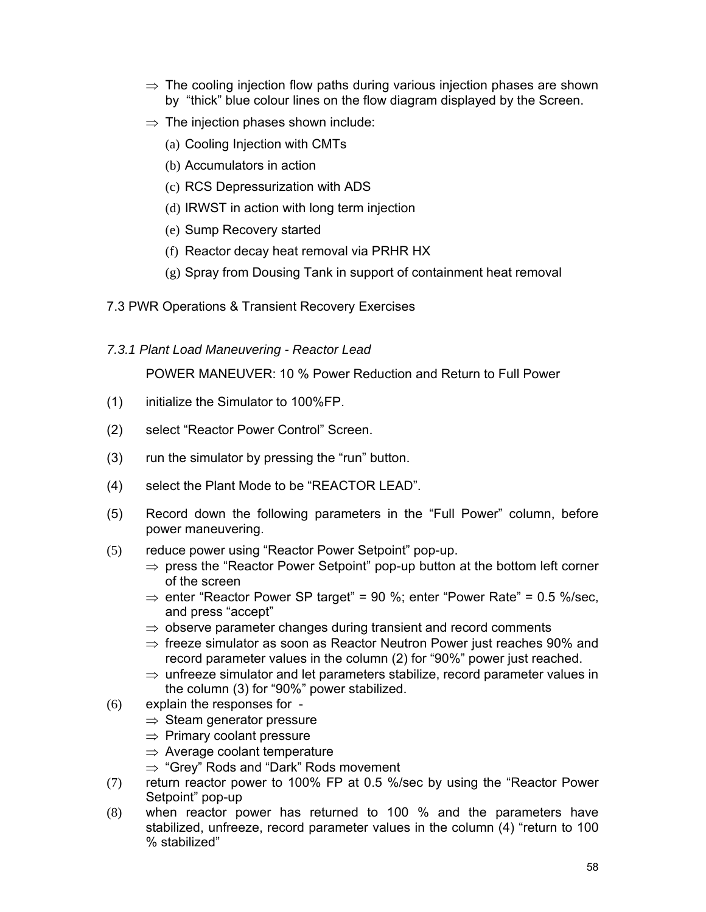- $\Rightarrow$  The cooling injection flow paths during various injection phases are shown by "thick" blue colour lines on the flow diagram displayed by the Screen.
- $\Rightarrow$  The injection phases shown include:
	- (a) Cooling Injection with CMTs
	- (b) Accumulators in action
	- (c) RCS Depressurization with ADS
	- (d) IRWST in action with long term injection
	- (e) Sump Recovery started
	- (f) Reactor decay heat removal via PRHR HX
	- (g) Spray from Dousing Tank in support of containment heat removal
- 7.3 PWR Operations & Transient Recovery Exercises
- *7.3.1 Plant Load Maneuvering Reactor Lead*

POWER MANEUVER: 10 % Power Reduction and Return to Full Power

- (1) initialize the Simulator to 100%FP.
- (2) select "Reactor Power Control" Screen.
- (3) run the simulator by pressing the "run" button.
- (4) select the Plant Mode to be "REACTOR LEAD".
- (5) Record down the following parameters in the "Full Power" column, before power maneuvering.
- (5) reduce power using "Reactor Power Setpoint" pop-up.
	- $\Rightarrow$  press the "Reactor Power Setpoint" pop-up button at the bottom left corner of the screen
	- $\Rightarrow$  enter "Reactor Power SP target" = 90 %; enter "Power Rate" = 0.5 %/sec, and press "accept"
	- $\Rightarrow$  observe parameter changes during transient and record comments
	- $\Rightarrow$  freeze simulator as soon as Reactor Neutron Power just reaches 90% and record parameter values in the column (2) for "90%" power just reached.
	- $\Rightarrow$  unfreeze simulator and let parameters stabilize, record parameter values in the column (3) for "90%" power stabilized.
- (6) explain the responses for
	- $\Rightarrow$  Steam generator pressure
	- $\Rightarrow$  Primary coolant pressure
	- $\Rightarrow$  Average coolant temperature
	- ⇒ "Grey" Rods and "Dark" Rods movement
- (7) return reactor power to 100% FP at 0.5 %/sec by using the "Reactor Power Setpoint" pop-up
- (8) when reactor power has returned to 100 % and the parameters have stabilized, unfreeze, record parameter values in the column (4) "return to 100 % stabilized"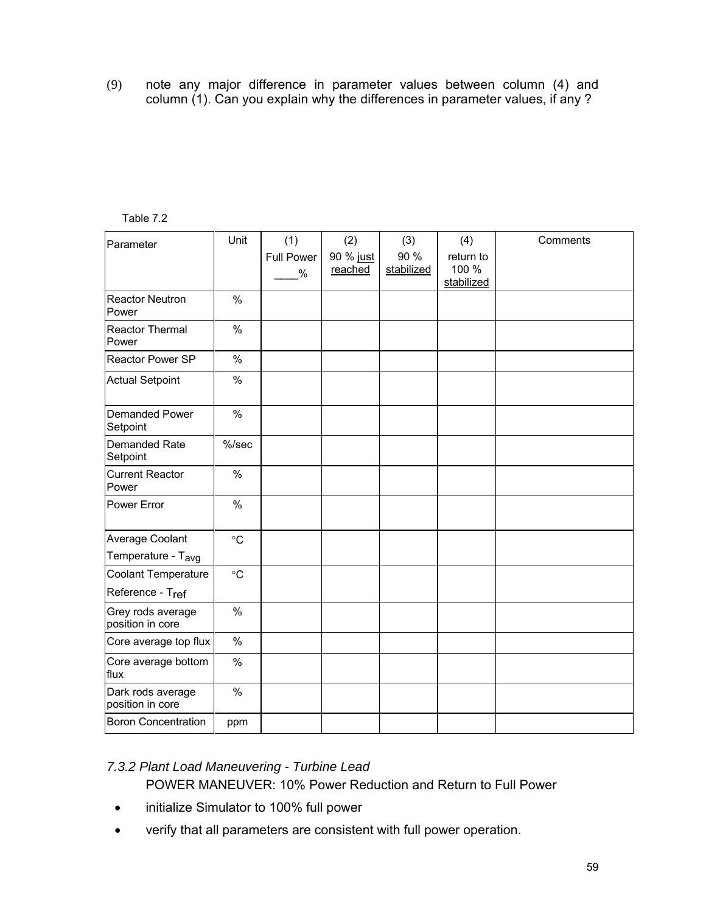(9) note any major difference in parameter values between column (4) and column (1). Can you explain why the differences in parameter values, if any ?

| Table 7.2 |
|-----------|
|-----------|

| Parameter                             | Unit              | (1)               | (2)       | (3)        | (4)        | Comments |
|---------------------------------------|-------------------|-------------------|-----------|------------|------------|----------|
|                                       |                   | <b>Full Power</b> | 90 % just | 90 %       | return to  |          |
|                                       |                   | $\%$              | reached   | stabilized | 100 %      |          |
|                                       |                   |                   |           |            | stabilized |          |
| <b>Reactor Neutron</b><br>Power       | $\%$              |                   |           |            |            |          |
| Reactor Thermal<br>Power              | $\%$              |                   |           |            |            |          |
| Reactor Power SP                      | $\%$              |                   |           |            |            |          |
| <b>Actual Setpoint</b>                | $\%$              |                   |           |            |            |          |
| <b>Demanded Power</b><br>Setpoint     | $\frac{0}{0}$     |                   |           |            |            |          |
| Demanded Rate<br>Setpoint             | $%$ /sec          |                   |           |            |            |          |
| <b>Current Reactor</b><br>Power       | $\%$              |                   |           |            |            |          |
| Power Error                           | $\frac{0}{0}$     |                   |           |            |            |          |
| Average Coolant                       | $^{\circ}{\rm C}$ |                   |           |            |            |          |
| Temperature - T <sub>avg</sub>        |                   |                   |           |            |            |          |
| <b>Coolant Temperature</b>            | $\circ$ C         |                   |           |            |            |          |
| Reference - Tref                      |                   |                   |           |            |            |          |
| Grey rods average<br>position in core | $\%$              |                   |           |            |            |          |
| Core average top flux                 | $\%$              |                   |           |            |            |          |
| Core average bottom<br>flux           | $\%$              |                   |           |            |            |          |
| Dark rods average<br>position in core | $\%$              |                   |           |            |            |          |
| <b>Boron Concentration</b>            | ppm               |                   |           |            |            |          |

### *7.3.2 Plant Load Maneuvering - Turbine Lead*

POWER MANEUVER: 10% Power Reduction and Return to Full Power

- initialize Simulator to 100% full power
- verify that all parameters are consistent with full power operation.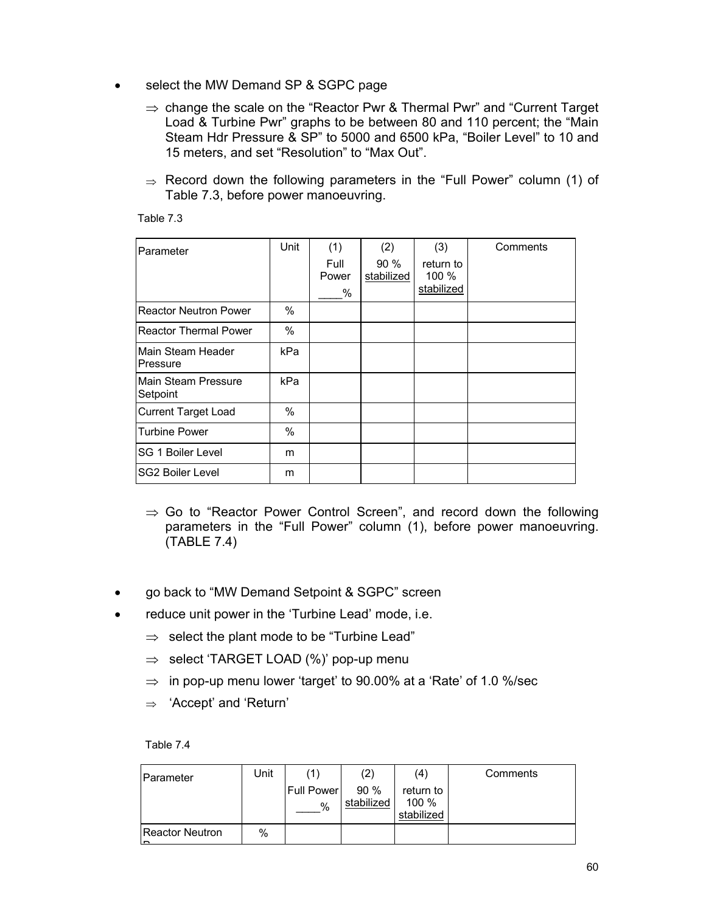- select the MW Demand SP & SGPC page
	- $\Rightarrow$  change the scale on the "Reactor Pwr & Thermal Pwr" and "Current Target Load & Turbine Pwr" graphs to be between 80 and 110 percent; the "Main Steam Hdr Pressure & SP" to 5000 and 6500 kPa, "Boiler Level" to 10 and 15 meters, and set "Resolution" to "Max Out".
	- $\Rightarrow$  Record down the following parameters in the "Full Power" column (1) of Table 7.3, before power manoeuvring.

| Table |  |
|-------|--|
|       |  |

| Parameter                       | Unit | (1)<br>Full<br>Power<br>% | (2)<br>$90\%$<br>stabilized | (3)<br>return to<br>100 %<br>stabilized | Comments |
|---------------------------------|------|---------------------------|-----------------------------|-----------------------------------------|----------|
| <b>Reactor Neutron Power</b>    | $\%$ |                           |                             |                                         |          |
| <b>Reactor Thermal Power</b>    | %    |                           |                             |                                         |          |
| Main Steam Header<br>Pressure   | kPa  |                           |                             |                                         |          |
| Main Steam Pressure<br>Setpoint | kPa  |                           |                             |                                         |          |
| <b>Current Target Load</b>      | %    |                           |                             |                                         |          |
| <b>Turbine Power</b>            | $\%$ |                           |                             |                                         |          |
| SG 1 Boiler Level               | m    |                           |                             |                                         |          |
| <b>SG2 Boiler Level</b>         | m    |                           |                             |                                         |          |

- $\Rightarrow$  Go to "Reactor Power Control Screen", and record down the following parameters in the "Full Power" column (1), before power manoeuvring. (TABLE 7.4)
- go back to "MW Demand Setpoint & SGPC" screen
- reduce unit power in the 'Turbine Lead' mode, i.e.
	- $\Rightarrow$  select the plant mode to be "Turbine Lead"
	- $\Rightarrow$  select 'TARGET LOAD (%)' pop-up menu
	- $\Rightarrow$  in pop-up menu lower 'target' to 90.00% at a 'Rate' of 1.0 %/sec
	- ⇒ 'Accept' and 'Return'

Table 7.4

| Parameter                    | Unit |                 | $\left( 2\right)$  | (4)                              | Comments |
|------------------------------|------|-----------------|--------------------|----------------------------------|----------|
|                              |      | Full Power<br>% | 90 %<br>stabilized | return to<br>100 %<br>stabilized |          |
| <b>Reactor Neutron</b><br>lm | %    |                 |                    |                                  |          |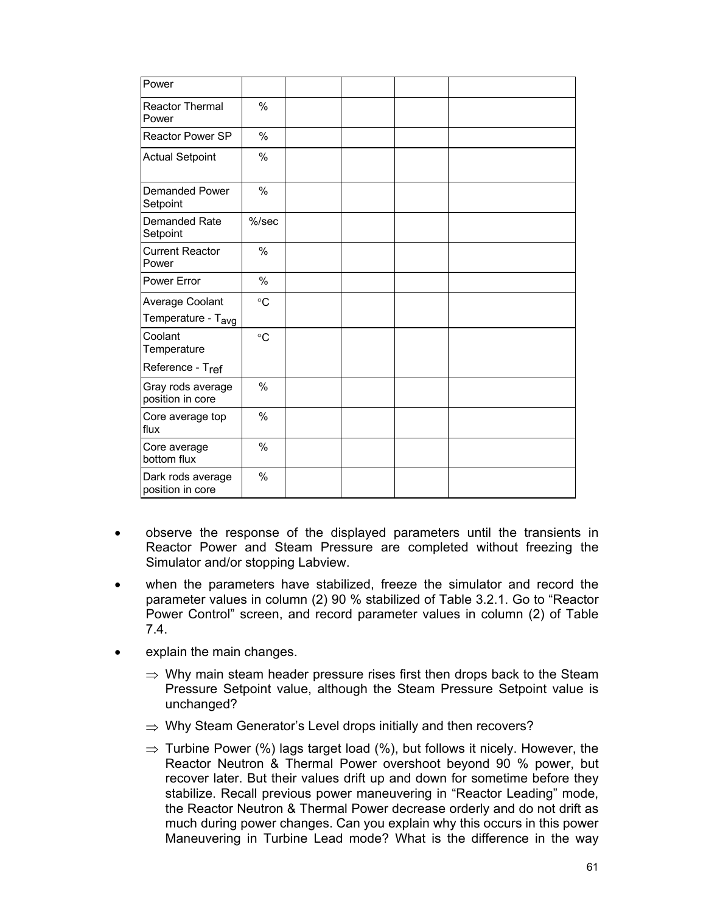| Power                                             |                 |  |  |
|---------------------------------------------------|-----------------|--|--|
| <b>Reactor Thermal</b><br>Power                   | $\%$            |  |  |
| <b>Reactor Power SP</b>                           | $\%$            |  |  |
| <b>Actual Setpoint</b>                            | $\%$            |  |  |
| Demanded Power<br>Setpoint                        | $\%$            |  |  |
| Demanded Rate<br>Setpoint                         | $%$ /sec        |  |  |
| <b>Current Reactor</b><br>Power                   | $\frac{0}{0}$   |  |  |
| Power Error                                       | $\%$            |  |  |
| Average Coolant<br>Temperature - T <sub>avg</sub> | $^{\circ}C$     |  |  |
| Coolant<br>Temperature                            | $\rm ^{\circ}C$ |  |  |
| Reference - Tref                                  |                 |  |  |
| Gray rods average<br>position in core             | $\frac{0}{0}$   |  |  |
| Core average top<br>flux                          | $\%$            |  |  |
| Core average<br>bottom flux                       | $\%$            |  |  |
| Dark rods average<br>position in core             | $\frac{0}{0}$   |  |  |

- observe the response of the displayed parameters until the transients in Reactor Power and Steam Pressure are completed without freezing the Simulator and/or stopping Labview.
- when the parameters have stabilized, freeze the simulator and record the parameter values in column (2) 90 % stabilized of Table 3.2.1. Go to "Reactor Power Control" screen, and record parameter values in column (2) of Table 7.4.
- explain the main changes.
	- $\Rightarrow$  Why main steam header pressure rises first then drops back to the Steam Pressure Setpoint value, although the Steam Pressure Setpoint value is unchanged?
	- $\Rightarrow$  Why Steam Generator's Level drops initially and then recovers?
	- $\Rightarrow$  Turbine Power (%) lags target load (%), but follows it nicely. However, the Reactor Neutron & Thermal Power overshoot beyond 90 % power, but recover later. But their values drift up and down for sometime before they stabilize. Recall previous power maneuvering in "Reactor Leading" mode, the Reactor Neutron & Thermal Power decrease orderly and do not drift as much during power changes. Can you explain why this occurs in this power Maneuvering in Turbine Lead mode? What is the difference in the way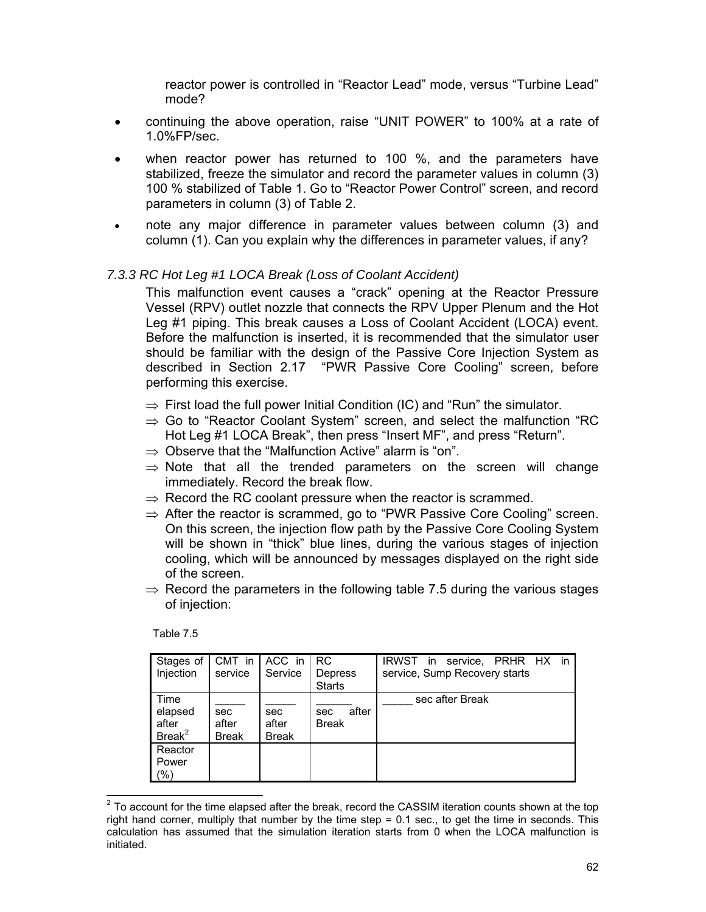reactor power is controlled in "Reactor Lead" mode, versus "Turbine Lead" mode?

- continuing the above operation, raise "UNIT POWER" to 100% at a rate of 1.0%FP/sec.
- when reactor power has returned to 100 %, and the parameters have stabilized, freeze the simulator and record the parameter values in column (3) 100 % stabilized of Table 1. Go to "Reactor Power Control" screen, and record parameters in column (3) of Table 2.
- note any major difference in parameter values between column (3) and column (1). Can you explain why the differences in parameter values, if any?

#### *7.3.3 RC Hot Leg #1 LOCA Break (Loss of Coolant Accident)*

This malfunction event causes a "crack" opening at the Reactor Pressure Vessel (RPV) outlet nozzle that connects the RPV Upper Plenum and the Hot Leg #1 piping. This break causes a Loss of Coolant Accident (LOCA) event. Before the malfunction is inserted, it is recommended that the simulator user should be familiar with the design of the Passive Core Injection System as described in Section 2.17 "PWR Passive Core Cooling" screen, before performing this exercise.

- $\Rightarrow$  First load the full power Initial Condition (IC) and "Run" the simulator.
- $\Rightarrow$  Go to "Reactor Coolant System" screen, and select the malfunction "RC Hot Leg #1 LOCA Break", then press "Insert MF", and press "Return".
- $\Rightarrow$  Observe that the "Malfunction Active" alarm is "on".
- $\Rightarrow$  Note that all the trended parameters on the screen will change immediately. Record the break flow.
- $\Rightarrow$  Record the RC coolant pressure when the reactor is scrammed.
- $\Rightarrow$  After the reactor is scrammed, go to "PWR Passive Core Cooling" screen. On this screen, the injection flow path by the Passive Core Cooling System will be shown in "thick" blue lines, during the various stages of injection cooling, which will be announced by messages displayed on the right side of the screen.
- $\Rightarrow$  Record the parameters in the following table 7.5 during the various stages of injection:

Table 7.5

| Stages of<br>Injection                    | CMT in<br>service            | ACC in<br>Service            | <b>RC</b><br>Depress<br><b>Starts</b> | IRWST in service, PRHR HX in<br>service, Sump Recovery starts |
|-------------------------------------------|------------------------------|------------------------------|---------------------------------------|---------------------------------------------------------------|
| Time<br>elapsed<br>after<br>$B$ reak $^2$ | sec<br>after<br><b>Break</b> | sec<br>after<br><b>Break</b> | after<br>sec<br><b>Break</b>          | sec after Break                                               |
| Reactor<br>Power<br>(% )                  |                              |                              |                                       |                                                               |

<sup>&</sup>lt;sup>2</sup> To account for the time elapsed after the break, record the CASSIM iteration counts shown at the top right hand corner, multiply that number by the time step = 0.1 sec., to get the time in seconds. This calculation has assumed that the simulation iteration starts from 0 when the LOCA malfunction is initiated.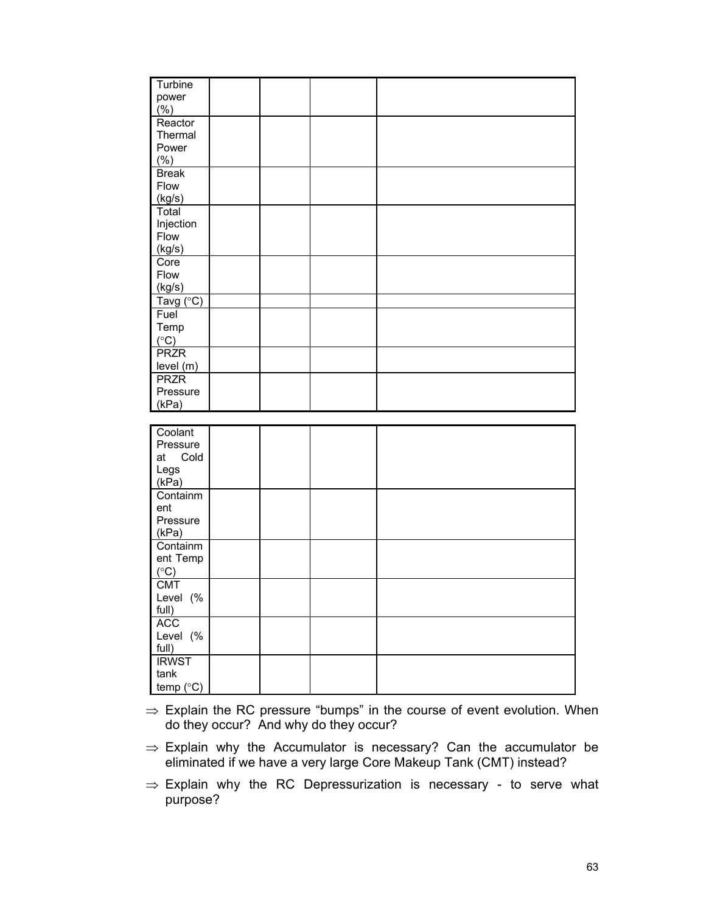| Turbine           |  |  |
|-------------------|--|--|
| power             |  |  |
| (% )              |  |  |
| Reactor           |  |  |
| Thermal           |  |  |
| Power             |  |  |
| (% )              |  |  |
| <b>Break</b>      |  |  |
| Flow              |  |  |
| (kg/s)            |  |  |
| Total             |  |  |
|                   |  |  |
| Injection<br>Flow |  |  |
|                   |  |  |
| (kg/s)            |  |  |
| Core              |  |  |
| Flow              |  |  |
| (kg/s)            |  |  |
| Tavg (°C)         |  |  |
| Fuel              |  |  |
| Temp              |  |  |
| $(^{\circ}C)$     |  |  |
| <b>PRZR</b>       |  |  |
| level (m)         |  |  |
| <b>PRZR</b>       |  |  |
| Pressure          |  |  |
| (kPa)             |  |  |
|                   |  |  |
| Coolant           |  |  |
| Pressure          |  |  |
| Cold<br>at        |  |  |
| Legs              |  |  |
| (kPa)             |  |  |
| Containm          |  |  |
| ent               |  |  |
| Pressure          |  |  |
| (kPa)             |  |  |
| Containm          |  |  |
|                   |  |  |

 $\Rightarrow$  Explain the RC pressure "bumps" in the course of event evolution. When do they occur? And why do they occur?

ent Temp  $(^\circ C)$ CMT Level (% full) ACC Level (% full) **IRWST** tank temp  $(^{\circ}C)$ 

- ⇒ Explain why the Accumulator is necessary? Can the accumulator be eliminated if we have a very large Core Makeup Tank (CMT) instead?
- $\Rightarrow$  Explain why the RC Depressurization is necessary to serve what purpose?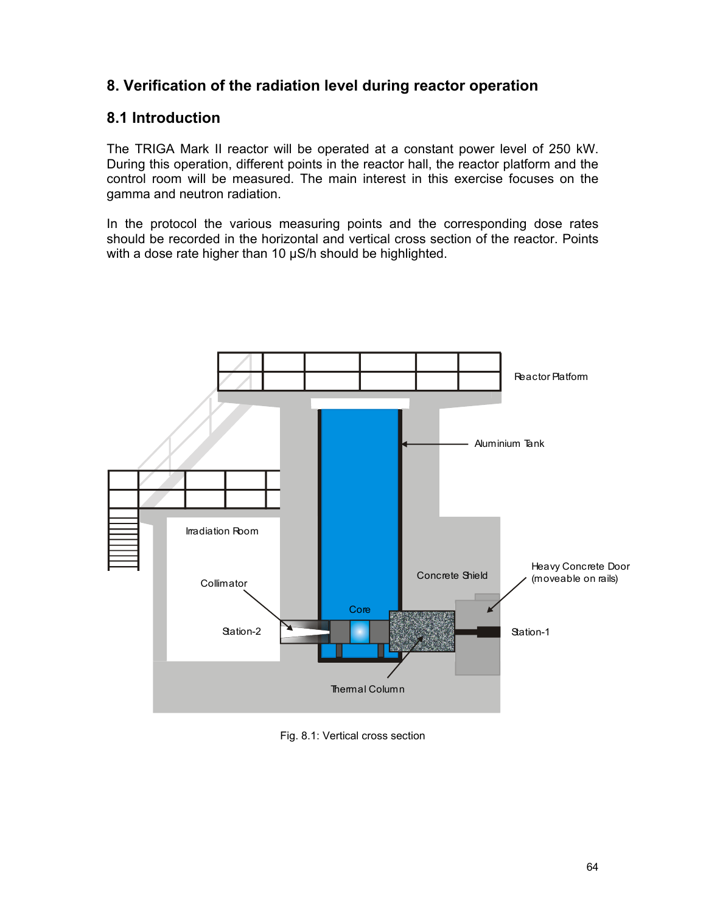# **8. Verification of the radiation level during reactor operation**

# **8.1 Introduction**

The TRIGA Mark II reactor will be operated at a constant power level of 250 kW. During this operation, different points in the reactor hall, the reactor platform and the control room will be measured. The main interest in this exercise focuses on the gamma and neutron radiation.

In the protocol the various measuring points and the corresponding dose rates should be recorded in the horizontal and vertical cross section of the reactor. Points with a dose rate higher than 10  $\mu$ S/h should be highlighted.



Fig. 8.1: Vertical cross section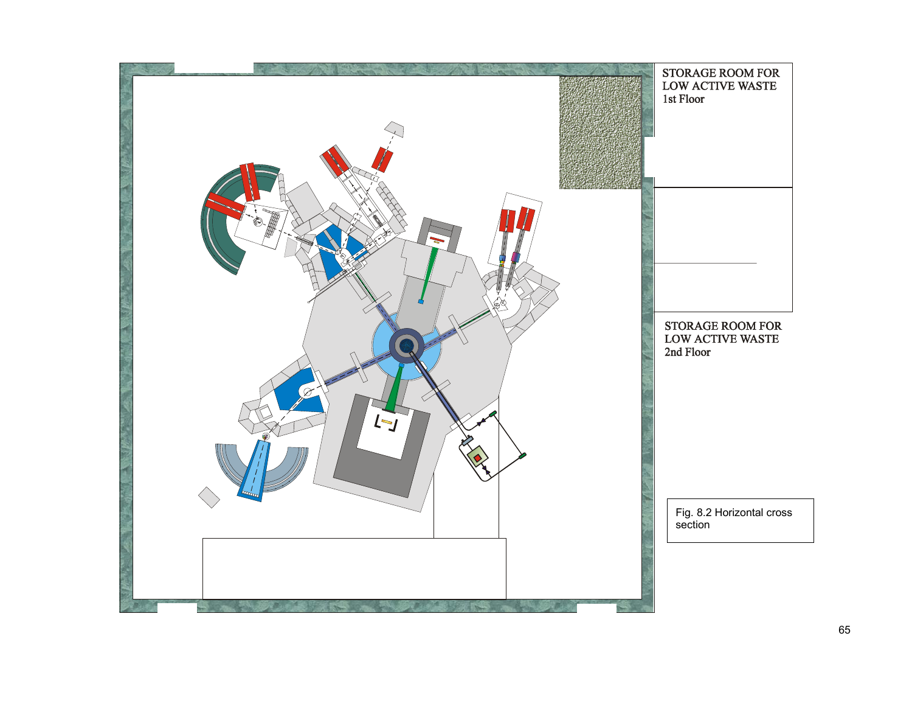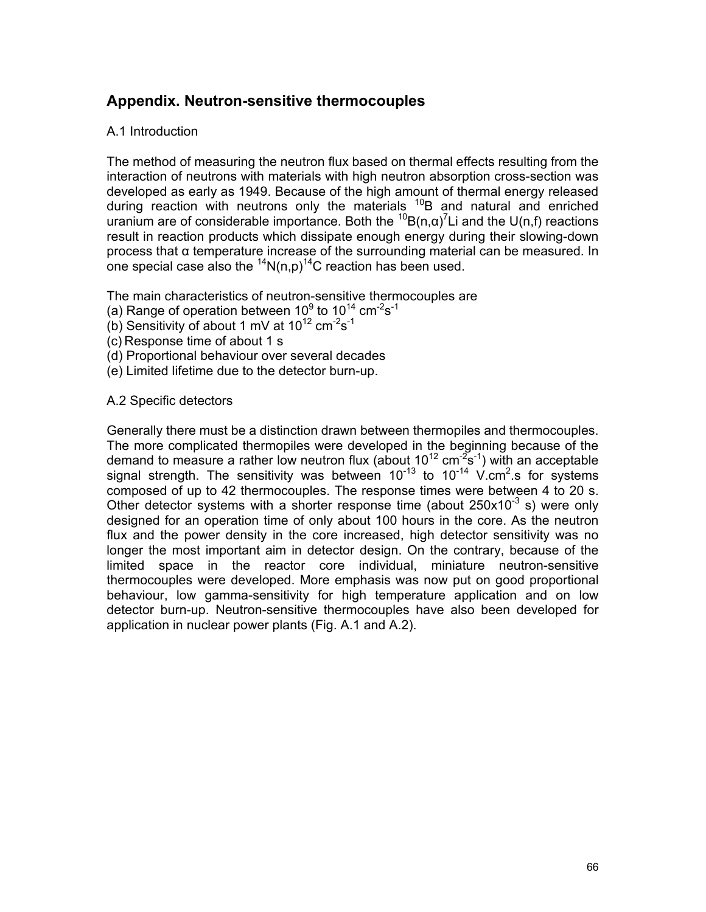# **Appendix. Neutron-sensitive thermocouples**

### A.1 Introduction

The method of measuring the neutron flux based on thermal effects resulting from the interaction of neutrons with materials with high neutron absorption cross-section was developed as early as 1949. Because of the high amount of thermal energy released during reaction with neutrons only the materials  $^{10}B$  and natural and enriched uranium are of considerable importance. Both the  ${}^{10}B(n,\alpha)^7L$  and the U(n,f) reactions result in reaction products which dissipate enough energy during their slowing-down process that α temperature increase of the surrounding material can be measured. In one special case also the  $^{14}N(n,p)^{14}C$  reaction has been used.

The main characteristics of neutron-sensitive thermocouples are

- (a) Range of operation between 10<sup>9</sup> to 10<sup>14</sup> cm<sup>-2</sup>s<sup>-1</sup>
- (b) Sensitivity of about 1 mV at  $10^{12}$  cm<sup>-2</sup>s<sup>-1</sup>
- (c) Response time of about 1 s
- (d) Proportional behaviour over several decades
- (e) Limited lifetime due to the detector burn-up.

#### A.2 Specific detectors

Generally there must be a distinction drawn between thermopiles and thermocouples. The more complicated thermopiles were developed in the beginning because of the demand to measure a rather low neutron flux (about 10<sup>12</sup> cm<sup>-2</sup>s<sup>-1</sup>) with an acceptable signal strength. The sensitivity was between  $10^{-13}$  to  $10^{-14}$  V.cm<sup>2</sup>.s for systems composed of up to 42 thermocouples. The response times were between 4 to 20 s. Other detector systems with a shorter response time (about  $250x10^{-3}$  s) were only designed for an operation time of only about 100 hours in the core. As the neutron flux and the power density in the core increased, high detector sensitivity was no longer the most important aim in detector design. On the contrary, because of the limited space in the reactor core individual, miniature neutron-sensitive thermocouples were developed. More emphasis was now put on good proportional behaviour, low gamma-sensitivity for high temperature application and on low detector burn-up. Neutron-sensitive thermocouples have also been developed for application in nuclear power plants (Fig. A.1 and A.2).